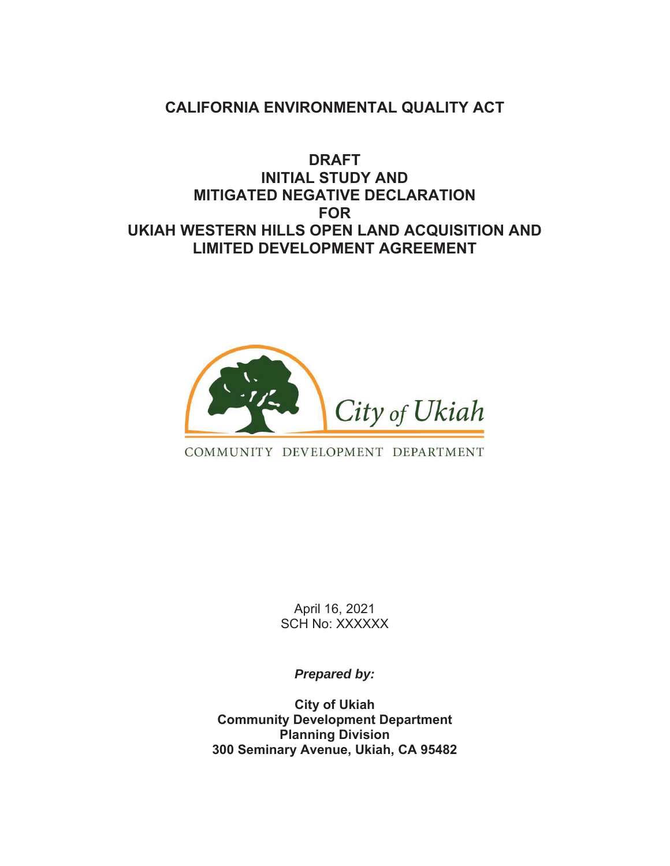# **CALIFORNIA ENVIRONMENTAL QUALITY ACT**

# **DRAFT INITIAL STUDY AND MITIGATED NEGATIVE DECLARATION FOR UKIAH WESTERN HILLS OPEN LAND ACQUISITION AND LIMITED DEVELOPMENT AGREEMENT**



## COMMUNITY DEVELOPMENT DEPARTMENT

April 16, 2021 SCH No: XXXXXX

*Prepared by:*

**City of Ukiah Community Development Department Planning Division 300 Seminary Avenue, Ukiah, CA 95482**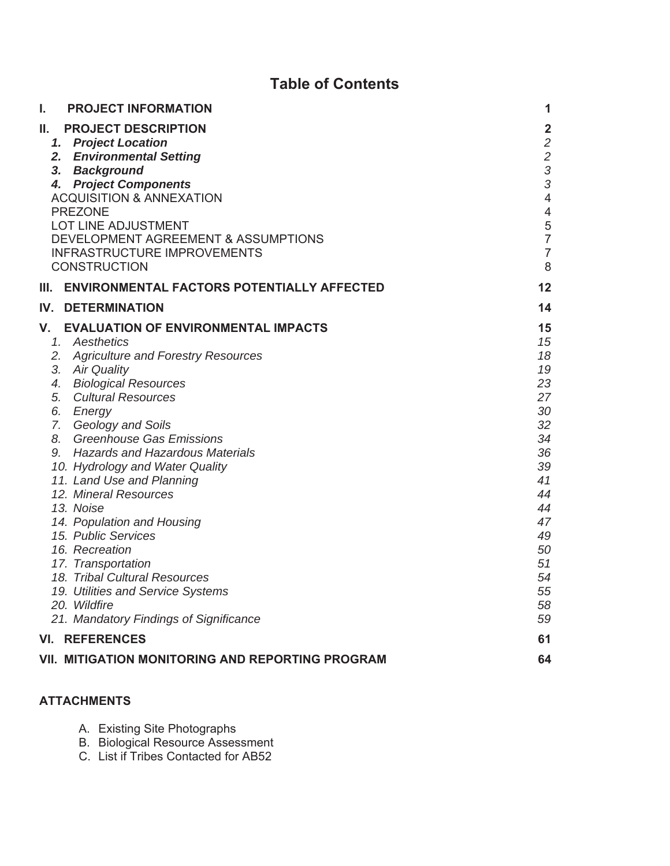# **Table of Contents**

| I.<br><b>PROJECT INFORMATION</b>                                                                                                                                                                                                                                                                                                                                                                                                                                                                                                                                                                                                                  | 1                                                                                                                                                                 |
|---------------------------------------------------------------------------------------------------------------------------------------------------------------------------------------------------------------------------------------------------------------------------------------------------------------------------------------------------------------------------------------------------------------------------------------------------------------------------------------------------------------------------------------------------------------------------------------------------------------------------------------------------|-------------------------------------------------------------------------------------------------------------------------------------------------------------------|
| Н.<br><b>PROJECT DESCRIPTION</b><br>1. Project Location<br>2. Environmental Setting<br>3. Background<br>4. Project Components<br><b>ACQUISITION &amp; ANNEXATION</b><br><b>PREZONE</b><br>LOT LINE ADJUSTMENT<br>DEVELOPMENT AGREEMENT & ASSUMPTIONS<br><b>INFRASTRUCTURE IMPROVEMENTS</b>                                                                                                                                                                                                                                                                                                                                                        | $\overline{\mathbf{2}}$<br>$\overline{c}$<br>$\overline{c}$<br>3<br>3<br>$\overline{4}$<br>$\overline{\mathcal{A}}$<br>5<br>$\overline{7}$<br>$\overline{7}$<br>8 |
| <b>CONSTRUCTION</b>                                                                                                                                                                                                                                                                                                                                                                                                                                                                                                                                                                                                                               |                                                                                                                                                                   |
| <b>ENVIRONMENTAL FACTORS POTENTIALLY AFFECTED</b><br>Ш.                                                                                                                                                                                                                                                                                                                                                                                                                                                                                                                                                                                           | 12                                                                                                                                                                |
| <b>DETERMINATION</b><br>IV.                                                                                                                                                                                                                                                                                                                                                                                                                                                                                                                                                                                                                       | 14                                                                                                                                                                |
| V.<br><b>EVALUATION OF ENVIRONMENTAL IMPACTS</b><br>1. Aesthetics<br>2. Agriculture and Forestry Resources<br>3. Air Quality<br><b>Biological Resources</b><br>4.<br>5.<br><b>Cultural Resources</b><br>6. Energy<br>7. Geology and Soils<br>8. Greenhouse Gas Emissions<br>9. Hazards and Hazardous Materials<br>10. Hydrology and Water Quality<br>11. Land Use and Planning<br>12. Mineral Resources<br>13. Noise<br>14. Population and Housing<br>15. Public Services<br>16. Recreation<br>17. Transportation<br>18. Tribal Cultural Resources<br>19. Utilities and Service Systems<br>20. Wildfire<br>21. Mandatory Findings of Significance | 15<br>15<br>18<br>19<br>23<br>27<br>30<br>32<br>34<br>36<br>39<br>41<br>44<br>44<br>47<br>49<br>50<br>51<br>54<br>55<br>58<br>59                                  |
| <b>VI. REFERENCES</b>                                                                                                                                                                                                                                                                                                                                                                                                                                                                                                                                                                                                                             | 61                                                                                                                                                                |
| <b>VII. MITIGATION MONITORING AND REPORTING PROGRAM</b>                                                                                                                                                                                                                                                                                                                                                                                                                                                                                                                                                                                           | 64                                                                                                                                                                |

## **ATTACHMENTS**

- A. Existing Site Photographs
- B. Biological Resource Assessment
- C. List if Tribes Contacted for AB52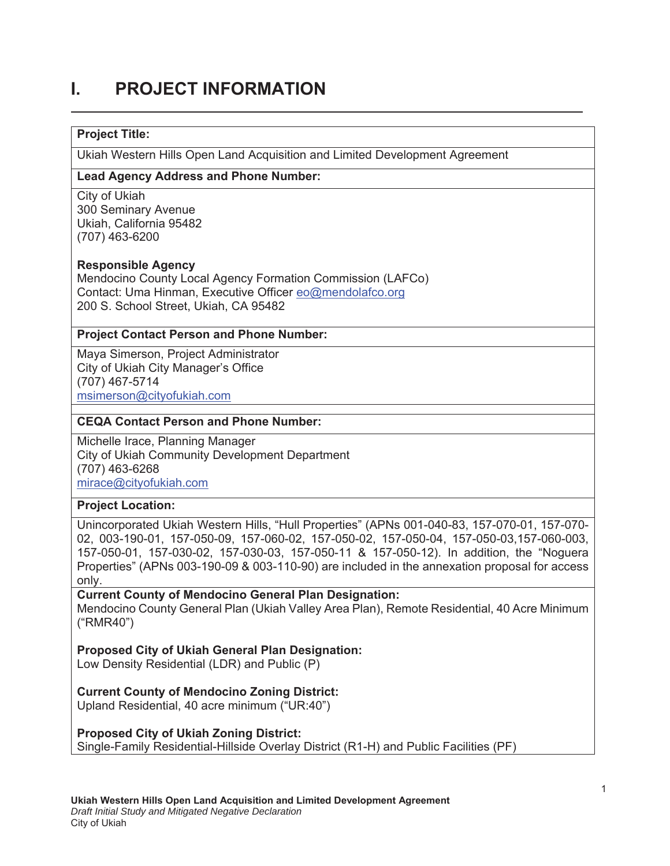# **1. PROJECT INFORMATION**

### **Project Title:**

Ukiah Western Hills Open Land Acquisition and Limited Development Agreement

### **Lead Agency Address and Phone Number:**

City of Ukiah 300 Seminary Avenue Ukiah, California 95482 (707) 463-6200

### **Responsible Agency**

Mendocino County Local Agency Formation Commission (LAFCo) Contact: Uma Hinman, Executive Officer eo@mendolafco.org 200 S. School Street, Ukiah, CA 95482

### **Project Contact Person and Phone Number:**

Maya Simerson, Project Administrator City of Ukiah City Manager's Office (707) 467-5714 msimerson@cityofukiah.com

#### **CEQA Contact Person and Phone Number:**

Michelle Irace, Planning Manager City of Ukiah Community Development Department (707) 463-6268 mirace@cityofukiah.com

### **Project Location:**

Unincorporated Ukiah Western Hills, "Hull Properties" (APNs 001-040-83, 157-070-01, 157-070- 02, 003-190-01, 157-050-09, 157-060-02, 157-050-02, 157-050-04, 157-050-03,157-060-003, 157-050-01, 157-030-02, 157-030-03, 157-050-11 & 157-050-12). In addition, the "Noguera Properties" (APNs 003-190-09 & 003-110-90) are included in the annexation proposal for access only.

**Current County of Mendocino General Plan Designation:** Mendocino County General Plan (Ukiah Valley Area Plan), Remote Residential, 40 Acre Minimum ("RMR40")

### **Proposed City of Ukiah General Plan Designation:**

Low Density Residential (LDR) and Public (P)

### **Current County of Mendocino Zoning District:**

Upland Residential, 40 acre minimum ("UR:40")

### **Proposed City of Ukiah Zoning District:**

Single-Family Residential-Hillside Overlay District (R1-H) and Public Facilities (PF)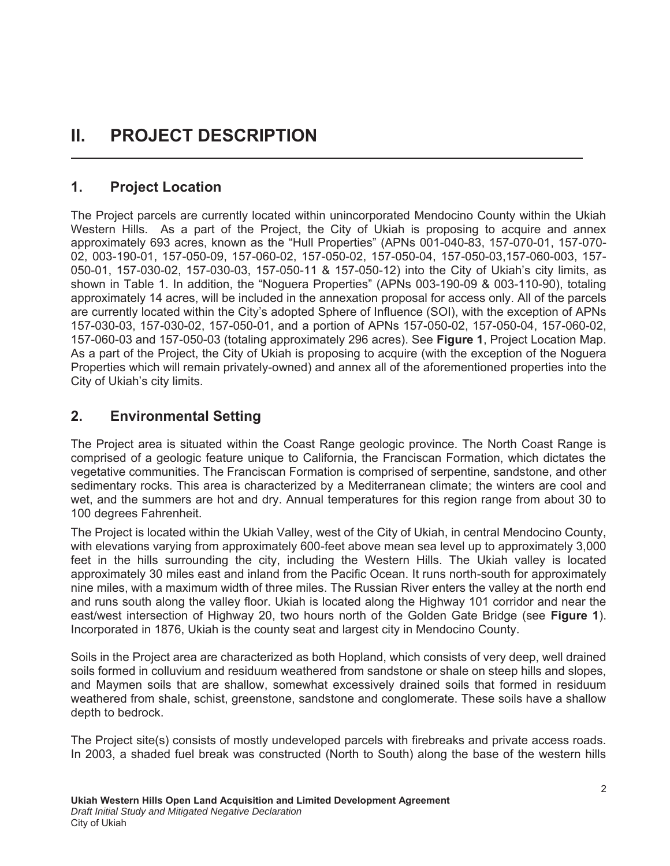# **II. PROJECT DESCRIPTION**

## **1.** Project Location

The Project parcels are currently located within unincorporated Mendocino County within the Ukiah Western Hills. As a part of the Project, the City of Ukiah is proposing to acquire and annex approximately 693 acres, known as the "Hull Properties" (APNs 001-040-83, 157-070-01, 157-070- 02, 003-190-01, 157-050-09, 157-060-02, 157-050-02, 157-050-04, 157-050-03,157-060-003, 157- 050-01, 157-030-02, 157-030-03, 157-050-11 & 157-050-12) into the City of Ukiah's city limits, as shown in Table 1. In addition, the "Noguera Properties" (APNs 003-190-09 & 003-110-90), totaling approximately 14 acres, will be included in the annexation proposal for access only. All of the parcels are currently located within the City's adopted Sphere of Influence (SOI), with the exception of APNs 157-030-03, 157-030-02, 157-050-01, and a portion of APNs 157-050-02, 157-050-04, 157-060-02, 157-060-03 and 157-050-03 (totaling approximately 296 acres). See **Figure 1**, Project Location Map. As a part of the Project, the City of Ukiah is proposing to acquire (with the exception of the Noguera Properties which will remain privately-owned) and annex all of the aforementioned properties into the City of Ukiah's city limits.

<u> 1989 - Johann Stein, marwolaethau a bhaile an t-Alban ann an t-Alban an t-Alban an t-Alban an t-Alban an t-Al</u>

# **2.** Environmental Setting

The Project area is situated within the Coast Range geologic province. The North Coast Range is comprised of a geologic feature unique to California, the Franciscan Formation, which dictates the vegetative communities. The Franciscan Formation is comprised of serpentine, sandstone, and other sedimentary rocks. This area is characterized by a Mediterranean climate; the winters are cool and wet, and the summers are hot and dry. Annual temperatures for this region range from about 30 to 100 degrees Fahrenheit.

The Project is located within the Ukiah Valley, west of the City of Ukiah, in central Mendocino County, with elevations varying from approximately 600-feet above mean sea level up to approximately 3,000 feet in the hills surrounding the city, including the Western Hills. The Ukiah valley is located approximately 30 miles east and inland from the Pacific Ocean. It runs north-south for approximately nine miles, with a maximum width of three miles. The Russian River enters the valley at the north end and runs south along the valley floor. Ukiah is located along the Highway 101 corridor and near the east/west intersection of Highway 20, two hours north of the Golden Gate Bridge (see **Figure 1**). Incorporated in 1876, Ukiah is the county seat and largest city in Mendocino County.

Soils in the Project area are characterized as both Hopland, which consists of very deep, well drained soils formed in colluvium and residuum weathered from sandstone or shale on steep hills and slopes, and Maymen soils that are shallow, somewhat excessively drained soils that formed in residuum weathered from shale, schist, greenstone, sandstone and conglomerate. These soils have a shallow depth to bedrock.

The Project site(s) consists of mostly undeveloped parcels with firebreaks and private access roads. In 2003, a shaded fuel break was constructed (North to South) along the base of the western hills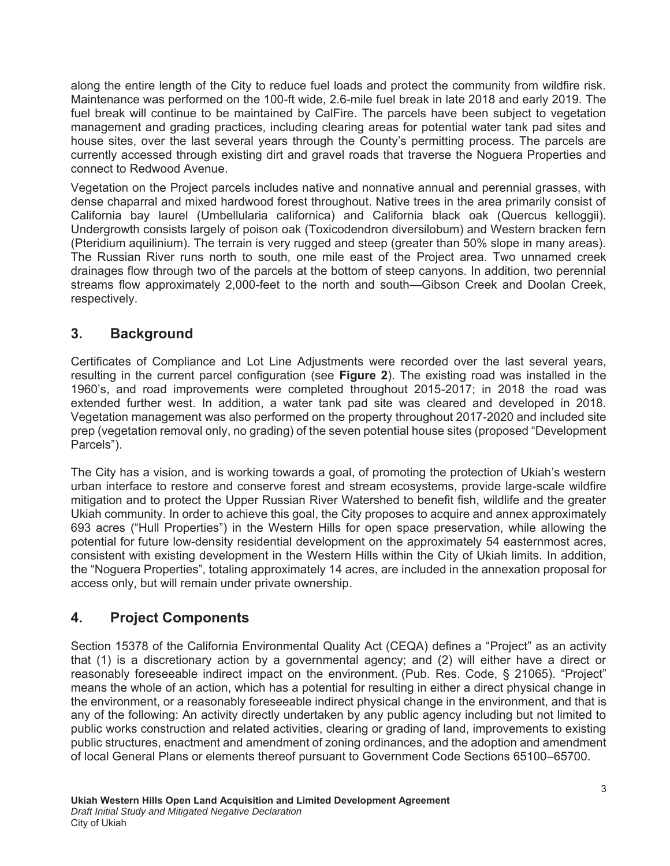along the entire length of the City to reduce fuel loads and protect the community from wildfire risk. Maintenance was performed on the 100-ft wide, 2.6-mile fuel break in late 2018 and early 2019. The fuel break will continue to be maintained by CalFire. The parcels have been subject to vegetation management and grading practices, including clearing areas for potential water tank pad sites and house sites, over the last several years through the County's permitting process. The parcels are currently accessed through existing dirt and gravel roads that traverse the Noguera Properties and connect to Redwood Avenue.

Vegetation on the Project parcels includes native and nonnative annual and perennial grasses, with dense chaparral and mixed hardwood forest throughout. Native trees in the area primarily consist of California bay laurel (Umbellularia californica) and California black oak (Quercus kelloggii). Undergrowth consists largely of poison oak (Toxicodendron diversilobum) and Western bracken fern (Pteridium aquilinium). The terrain is very rugged and steep (greater than 50% slope in many areas). The Russian River runs north to south, one mile east of the Project area. Two unnamed creek drainages flow through two of the parcels at the bottom of steep canyons. In addition, two perennial streams flow approximately 2,000-feet to the north and south—Gibson Creek and Doolan Creek, respectively.

# **3.** Background

Certificates of Compliance and Lot Line Adjustments were recorded over the last several years, resulting in the current parcel configuration (see Figure 2). The existing road was installed in the 1960's, and road improvements were completed throughout 2015-2017; in 2018 the road was extended further west. In addition, a water tank pad site was cleared and developed in 2018. Vegetation management was also performed on the property throughout 2017-2020 and included site prep (vegetation removal only, no grading) of the seven potential house sites (proposed "Development Parcels").

The City has a vision, and is working towards a goal, of promoting the protection of Ukiah's western urban interface to restore and conserve forest and stream ecosystems, provide large-scale wildfire mitigation and to protect the Upper Russian River Watershed to benefit fish, wildlife and the greater Ukiah community. In order to achieve this goal, the City proposes to acquire and annex approximately 693 acres ("Hull Properties") in the Western Hills for open space preservation, while allowing the potential for future low-density residential development on the approximately 54 easternmost acres, consistent with existing development in the Western Hills within the City of Ukiah limits. In addition, the "Noguera Properties", totaling approximately 14 acres, are included in the annexation proposal for access only, but will remain under private ownership.

# **4.** Project Components

Section 15378 of the California Environmental Quality Act (CEQA) defines a "Project" as an activity that (1) is a discretionary action by a governmental agency; and (2) will either have a direct or reasonably foreseeable indirect impact on the environment. (Pub. Res. Code, § 21065). "Project" means the whole of an action, which has a potential for resulting in either a direct physical change in the environment, or a reasonably foreseeable indirect physical change in the environment, and that is any of the following: An activity directly undertaken by any public agency including but not limited to public works construction and related activities, clearing or grading of land, improvements to existing public structures, enactment and amendment of zoning ordinances, and the adoption and amendment of local General Plans or elements thereof pursuant to Government Code Sections 65100–65700.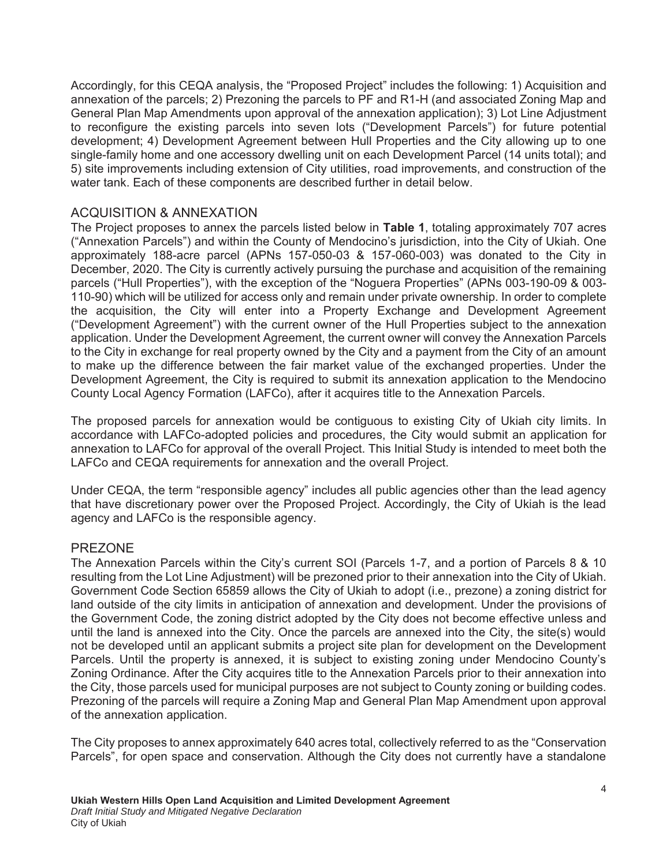Accordingly, for this CEQA analysis, the "Proposed Project" includes the following: 1) Acquisition and annexation of the parcels; 2) Prezoning the parcels to PF and R1-H (and associated Zoning Map and General Plan Map Amendments upon approval of the annexation application); 3) Lot Line Adjustment to reconfigure the existing parcels into seven lots ("Development Parcels") for future potential development; 4) Development Agreement between Hull Properties and the City allowing up to one single-family home and one accessory dwelling unit on each Development Parcel (14 units total); and 5) site improvements including extension of City utilities, road improvements, and construction of the water tank. Each of these components are described further in detail below.

## ACQUISITION & ANNEXATION

The Project proposes to annex the parcels listed below in **Table 1**, totaling approximately 707 acres ("Annexation Parcels") and within the County of Mendocino's jurisdiction, into the City of Ukiah. One approximately 188-acre parcel (APNs 157-050-03 & 157-060-003) was donated to the City in December, 2020. The City is currently actively pursuing the purchase and acquisition of the remaining parcels ("Hull Properties"), with the exception of the "Noguera Properties" (APNs 003-190-09 & 003- 110-90) which will be utilized for access only and remain under private ownership. In order to complete the acquisition, the City will enter into a Property Exchange and Development Agreement ("Development Agreement") with the current owner of the Hull Properties subject to the annexation application. Under the Development Agreement, the current owner will convey the Annexation Parcels to the City in exchange for real property owned by the City and a payment from the City of an amount to make up the difference between the fair market value of the exchanged properties. Under the Development Agreement, the City is required to submit its annexation application to the Mendocino County Local Agency Formation (LAFCo), after it acquires title to the Annexation Parcels.

The proposed parcels for annexation would be contiguous to existing City of Ukiah city limits. In accordance with LAFCo-adopted policies and procedures, the City would submit an application for annexation to LAFCo for approval of the overall Project. This Initial Study is intended to meet both the LAFCo and CEQA requirements for annexation and the overall Project.

Under CEQA, the term "responsible agency" includes all public agencies other than the lead agency that have discretionary power over the Proposed Project. Accordingly, the City of Ukiah is the lead agency and LAFCo is the responsible agency.

### PREZONE

The Annexation Parcels within the City's current SOI (Parcels 1-7, and a portion of Parcels 8 & 10 resulting from the Lot Line Adjustment) will be prezoned prior to their annexation into the City of Ukiah. Government Code Section 65859 allows the City of Ukiah to adopt (i.e., prezone) a zoning district for land outside of the city limits in anticipation of annexation and development. Under the provisions of the Government Code, the zoning district adopted by the City does not become effective unless and until the land is annexed into the City. Once the parcels are annexed into the City, the site(s) would not be developed until an applicant submits a project site plan for development on the Development Parcels. Until the property is annexed, it is subject to existing zoning under Mendocino County's Zoning Ordinance. After the City acquires title to the Annexation Parcels prior to their annexation into the City, those parcels used for municipal purposes are not subject to County zoning or building codes. Prezoning of the parcels will require a Zoning Map and General Plan Map Amendment upon approval of the annexation application.

The City proposes to annex approximately 640 acres total, collectively referred to as the "Conservation Parcels", for open space and conservation. Although the City does not currently have a standalone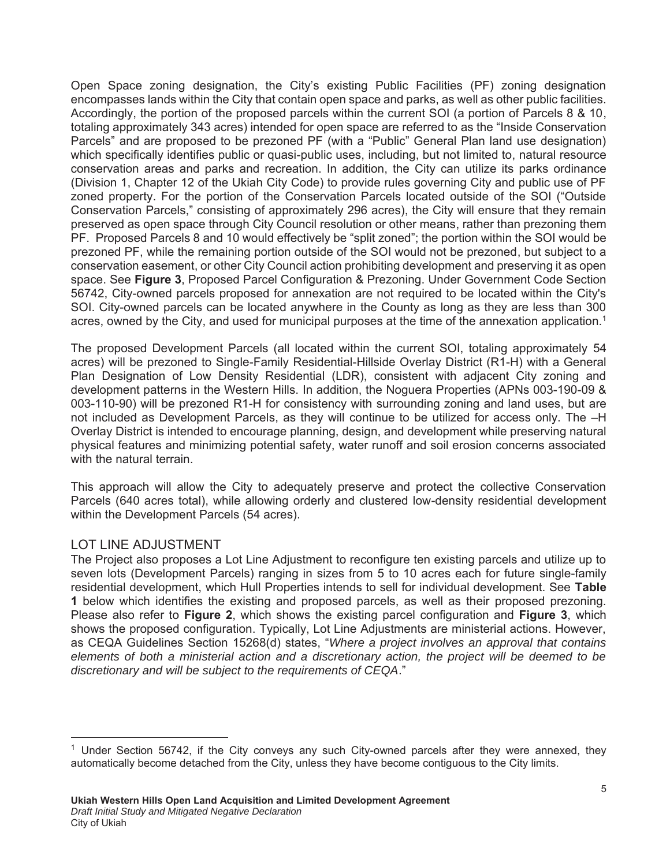Open Space zoning designation, the City's existing Public Facilities (PF) zoning designation encompasses lands within the City that contain open space and parks, as well as other public facilities. Accordingly, the portion of the proposed parcels within the current SOI (a portion of Parcels 8 & 10, totaling approximately 343 acres) intended for open space are referred to as the "Inside Conservation Parcels" and are proposed to be prezoned PF (with a "Public" General Plan land use designation) which specifically identifies public or quasi-public uses, including, but not limited to, natural resource conservation areas and parks and recreation. In addition, the City can utilize its parks ordinance (Division 1, Chapter 12 of the Ukiah City Code) to provide rules governing City and public use of PF zoned property. For the portion of the Conservation Parcels located outside of the SOI ("Outside Conservation Parcels," consisting of approximately 296 acres), the City will ensure that they remain preserved as open space through City Council resolution or other means, rather than prezoning them PF. Proposed Parcels 8 and 10 would effectively be "split zoned"; the portion within the SOI would be prezoned PF, while the remaining portion outside of the SOI would not be prezoned, but subject to a conservation easement, or other City Council action prohibiting development and preserving it as open space. See Figure 3, Proposed Parcel Configuration & Prezoning. Under Government Code Section 56742, City-owned parcels proposed for annexation are not required to be located within the City's SOI. City-owned parcels can be located anywhere in the County as long as they are less than 300 acres, owned by the City, and used for municipal purposes at the time of the annexation application.<sup>1</sup>

The proposed Development Parcels (all located within the current SOI, totaling approximately 54 acres) will be prezoned to Single-Family Residential-Hillside Overlay District (R1-H) with a General Plan Designation of Low Density Residential (LDR), consistent with adjacent City zoning and development patterns in the Western Hills. In addition, the Noguera Properties (APNs 003-190-09 & 003-110-90) will be prezoned R1-H for consistency with surrounding zoning and land uses, but are not included as Development Parcels, as they will continue to be utilized for access only. The –H Overlay District is intended to encourage planning, design, and development while preserving natural physical features and minimizing potential safety, water runoff and soil erosion concerns associated with the natural terrain.

This approach will allow the City to adequately preserve and protect the collective Conservation Parcels (640 acres total), while allowing orderly and clustered low-density residential development within the Development Parcels (54 acres).

## LOT LINE ADJUSTMENT

l

The Project also proposes a Lot Line Adjustment to reconfigure ten existing parcels and utilize up to seven lots (Development Parcels) ranging in sizes from 5 to 10 acres each for future single-family residential development, which Hull Properties intends to sell for individual development. See Table 1 below which identifies the existing and proposed parcels, as well as their proposed prezoning. Please also refer to Figure 2, which shows the existing parcel configuration and Figure 3, which shows the proposed configuration. Typically, Lot Line Adjustments are ministerial actions. However, as CEQA Guidelines Section 15268(d) states, "*Where a project involves an approval that contains elements of both a ministerial action and a discretionary action, the project will be deemed to be discretionary and will be subject to the requirements of CEQA*."

<sup>&</sup>lt;sup>1</sup> Under Section 56742, if the City conveys any such City-owned parcels after they were annexed, they automatically become detached from the City, unless they have become contiguous to the City limits.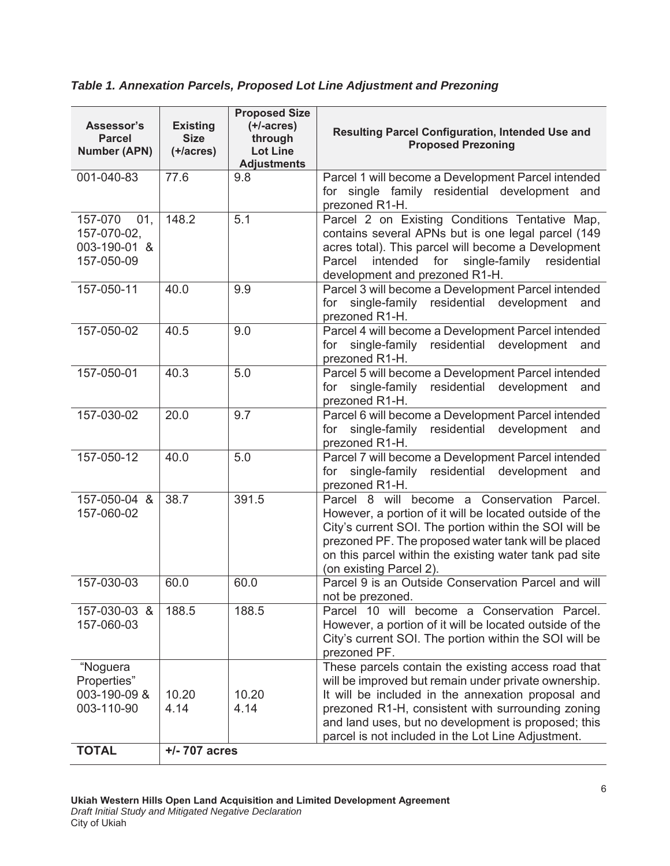*Table 1. Annexation Parcels, Proposed Lot Line Adjustment and Prezoning*

| Assessor's<br><b>Parcel</b><br><b>Number (APN)</b>          | <b>Existing</b><br><b>Size</b><br>$(+/acres)$ | <b>Proposed Size</b><br>$(+/-acres)$<br>through<br><b>Lot Line</b><br><b>Adjustments</b> | Resulting Parcel Configuration, Intended Use and<br><b>Proposed Prezoning</b>                                                                                                                                                                                                                                                       |  |  |  |  |
|-------------------------------------------------------------|-----------------------------------------------|------------------------------------------------------------------------------------------|-------------------------------------------------------------------------------------------------------------------------------------------------------------------------------------------------------------------------------------------------------------------------------------------------------------------------------------|--|--|--|--|
| 001-040-83                                                  | 77.6                                          | 9.8                                                                                      | Parcel 1 will become a Development Parcel intended<br>for single family residential development and<br>prezoned R1-H.                                                                                                                                                                                                               |  |  |  |  |
| 157-070<br>01,<br>157-070-02,<br>003-190-01 &<br>157-050-09 | 148.2                                         | 5.1                                                                                      | Parcel 2 on Existing Conditions Tentative Map,<br>contains several APNs but is one legal parcel (149<br>acres total). This parcel will become a Development<br>intended for single-family residential<br>Parcel<br>development and prezoned R1-H.                                                                                   |  |  |  |  |
| 157-050-11                                                  | 40.0                                          | 9.9                                                                                      | Parcel 3 will become a Development Parcel intended<br>single-family residential<br>development<br>for<br>and<br>prezoned R1-H.                                                                                                                                                                                                      |  |  |  |  |
| 157-050-02                                                  | 40.5                                          | 9.0                                                                                      | Parcel 4 will become a Development Parcel intended<br>single-family residential development and<br>for<br>prezoned R1-H.                                                                                                                                                                                                            |  |  |  |  |
| 157-050-01                                                  | 40.3                                          | 5.0                                                                                      | Parcel 5 will become a Development Parcel intended<br>for single-family residential development and<br>prezoned R1-H.                                                                                                                                                                                                               |  |  |  |  |
| 157-030-02                                                  | 20.0                                          | 9.7                                                                                      | Parcel 6 will become a Development Parcel intended<br>residential development and<br>single-family<br>for<br>prezoned R1-H.                                                                                                                                                                                                         |  |  |  |  |
| 157-050-12                                                  | 40.0                                          | 5.0                                                                                      | Parcel 7 will become a Development Parcel intended<br>single-family<br>residential development and<br>for<br>prezoned R1-H.                                                                                                                                                                                                         |  |  |  |  |
| 157-050-04 &<br>157-060-02                                  | 38.7                                          | 391.5                                                                                    | Parcel 8 will become a Conservation Parcel.<br>However, a portion of it will be located outside of the<br>City's current SOI. The portion within the SOI will be<br>prezoned PF. The proposed water tank will be placed<br>on this parcel within the existing water tank pad site<br>(on existing Parcel 2).                        |  |  |  |  |
| 157-030-03                                                  | 60.0                                          | 60.0                                                                                     | Parcel 9 is an Outside Conservation Parcel and will<br>not be prezoned.                                                                                                                                                                                                                                                             |  |  |  |  |
| 157-030-03 &<br>157-060-03                                  | 188.5                                         | 188.5                                                                                    | Parcel 10 will become a Conservation Parcel.<br>However, a portion of it will be located outside of the<br>City's current SOI. The portion within the SOI will be<br>prezoned PF.                                                                                                                                                   |  |  |  |  |
| "Noguera<br>Properties"<br>003-190-09 &<br>003-110-90       | 10.20<br>4.14                                 | 10.20<br>4.14                                                                            | These parcels contain the existing access road that<br>will be improved but remain under private ownership.<br>It will be included in the annexation proposal and<br>prezoned R1-H, consistent with surrounding zoning<br>and land uses, but no development is proposed; this<br>parcel is not included in the Lot Line Adjustment. |  |  |  |  |
| <b>TOTAL</b>                                                | $+/- 707$ acres                               |                                                                                          |                                                                                                                                                                                                                                                                                                                                     |  |  |  |  |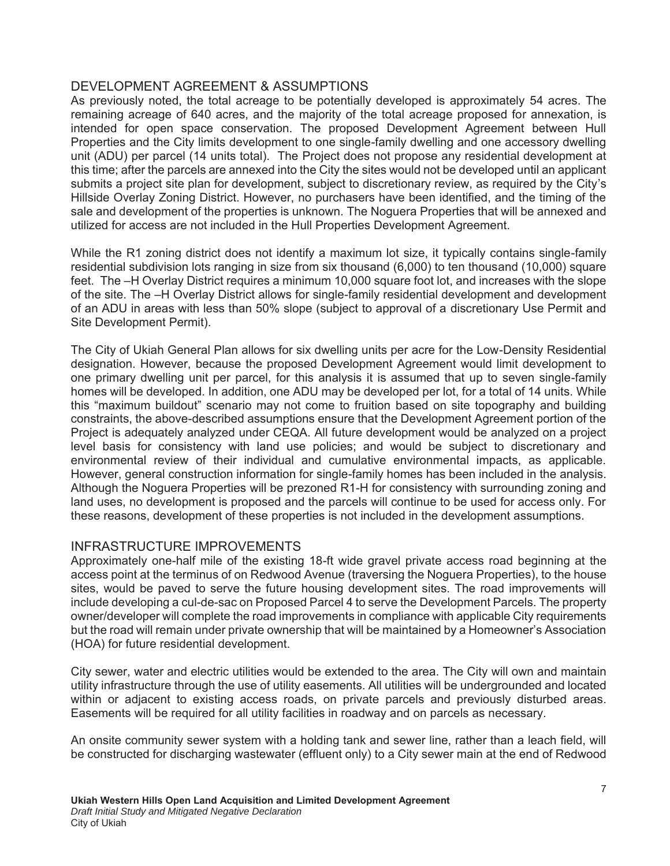## DEVELOPMENT AGREEMENT & ASSUMPTIONS

As previously noted, the total acreage to be potentially developed is approximately 54 acres. The remaining acreage of 640 acres, and the majority of the total acreage proposed for annexation, is intended for open space conservation. The proposed Development Agreement between Hull Properties and the City limits development to one single-family dwelling and one accessory dwelling unit (ADU) per parcel (14 units total). The Project does not propose any residential development at this time; after the parcels are annexed into the City the sites would not be developed until an applicant submits a project site plan for development, subject to discretionary review, as required by the City's Hillside Overlay Zoning District. However, no purchasers have been identified, and the timing of the sale and development of the properties is unknown. The Noguera Properties that will be annexed and utilized for access are not included in the Hull Properties Development Agreement.

While the R1 zoning district does not identify a maximum lot size, it typically contains single-family residential subdivision lots ranging in size from six thousand (6,000) to ten thousand (10,000) square feet. The –H Overlay District requires a minimum 10,000 square foot lot, and increases with the slope of the site. The –H Overlay District allows for single-family residential development and development of an ADU in areas with less than 50% slope (subject to approval of a discretionary Use Permit and Site Development Permit).

The City of Ukiah General Plan allows for six dwelling units per acre for the Low-Density Residential designation. However, because the proposed Development Agreement would limit development to one primary dwelling unit per parcel, for this analysis it is assumed that up to seven single-family homes will be developed. In addition, one ADU may be developed per lot, for a total of 14 units. While this "maximum buildout" scenario may not come to fruition based on site topography and building constraints, the above-described assumptions ensure that the Development Agreement portion of the Project is adequately analyzed under CEQA. All future development would be analyzed on a project level basis for consistency with land use policies; and would be subject to discretionary and environmental review of their individual and cumulative environmental impacts, as applicable. However, general construction information for single-family homes has been included in the analysis. Although the Noguera Properties will be prezoned R1-H for consistency with surrounding zoning and land uses, no development is proposed and the parcels will continue to be used for access only. For these reasons, development of these properties is not included in the development assumptions.

### INFRASTRUCTURE IMPROVEMENTS

Approximately one-half mile of the existing 18-ft wide gravel private access road beginning at the access point at the terminus of on Redwood Avenue (traversing the Noguera Properties), to the house sites, would be paved to serve the future housing development sites. The road improvements will include developing a cul-de-sac on Proposed Parcel 4 to serve the Development Parcels. The property owner/developer will complete the road improvements in compliance with applicable City requirements but the road will remain under private ownership that will be maintained by a Homeowner's Association (HOA) for future residential development.

City sewer, water and electric utilities would be extended to the area. The City will own and maintain utility infrastructure through the use of utility easements. All utilities will be undergrounded and located within or adjacent to existing access roads, on private parcels and previously disturbed areas. Easements will be required for all utility facilities in roadway and on parcels as necessary.

An onsite community sewer system with a holding tank and sewer line, rather than a leach field, will be constructed for discharging wastewater (effluent only) to a City sewer main at the end of Redwood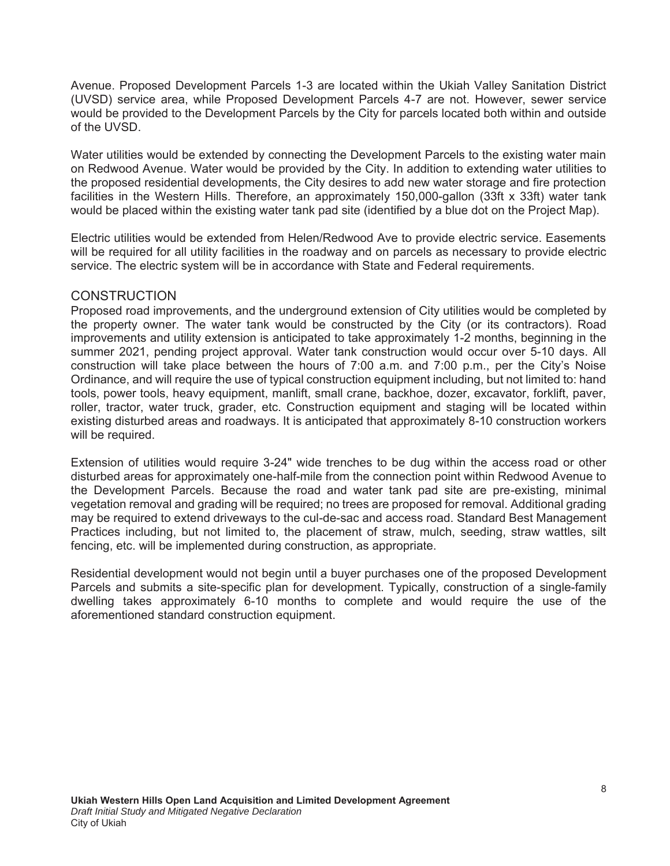Avenue. Proposed Development Parcels 1-3 are located within the Ukiah Valley Sanitation District (UVSD) service area, while Proposed Development Parcels 4-7 are not. However, sewer service would be provided to the Development Parcels by the City for parcels located both within and outside of the UVSD.

Water utilities would be extended by connecting the Development Parcels to the existing water main on Redwood Avenue. Water would be provided by the City. In addition to extending water utilities to the proposed residential developments, the City desires to add new water storage and fire protection facilities in the Western Hills. Therefore, an approximately 150,000-gallon (33ft x 33ft) water tank would be placed within the existing water tank pad site (identified by a blue dot on the Project Map).

Electric utilities would be extended from Helen/Redwood Ave to provide electric service. Easements will be required for all utility facilities in the roadway and on parcels as necessary to provide electric service. The electric system will be in accordance with State and Federal requirements.

## **CONSTRUCTION**

Proposed road improvements, and the underground extension of City utilities would be completed by the property owner. The water tank would be constructed by the City (or its contractors). Road improvements and utility extension is anticipated to take approximately 1-2 months, beginning in the summer 2021, pending project approval. Water tank construction would occur over 5-10 days. All construction will take place between the hours of 7:00 a.m. and 7:00 p.m., per the City's Noise Ordinance, and will require the use of typical construction equipment including, but not limited to: hand tools, power tools, heavy equipment, manlift, small crane, backhoe, dozer, excavator, forklift, paver, roller, tractor, water truck, grader, etc. Construction equipment and staging will be located within existing disturbed areas and roadways. It is anticipated that approximately 8-10 construction workers will be required.

Extension of utilities would require 3-24" wide trenches to be dug within the access road or other disturbed areas for approximately one-half-mile from the connection point within Redwood Avenue to the Development Parcels. Because the road and water tank pad site are pre-existing, minimal vegetation removal and grading will be required; no trees are proposed for removal. Additional grading may be required to extend driveways to the cul-de-sac and access road. Standard Best Management Practices including, but not limited to, the placement of straw, mulch, seeding, straw wattles, silt fencing, etc. will be implemented during construction, as appropriate.

Residential development would not begin until a buyer purchases one of the proposed Development Parcels and submits a site-specific plan for development. Typically, construction of a single-family dwelling takes approximately 6-10 months to complete and would require the use of the aforementioned standard construction equipment.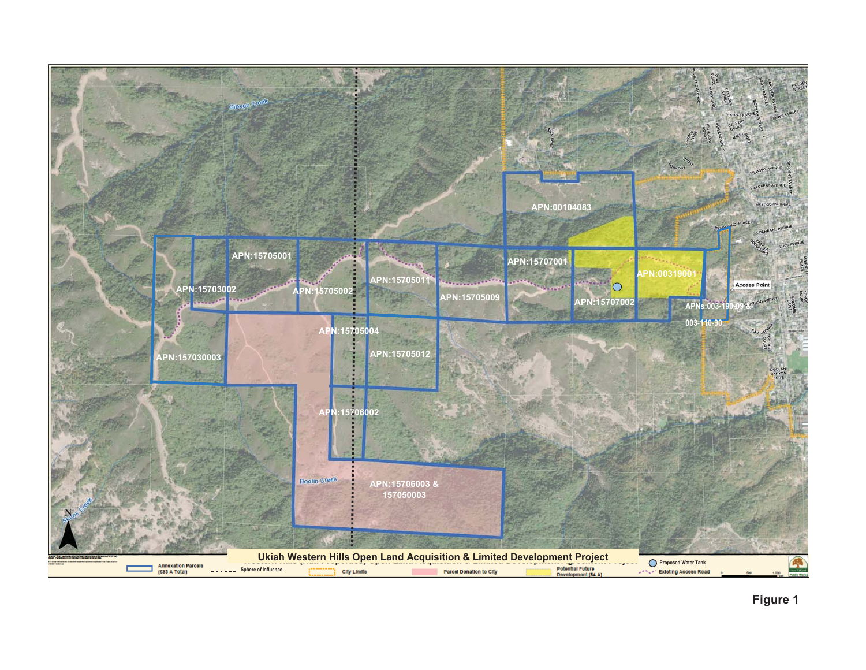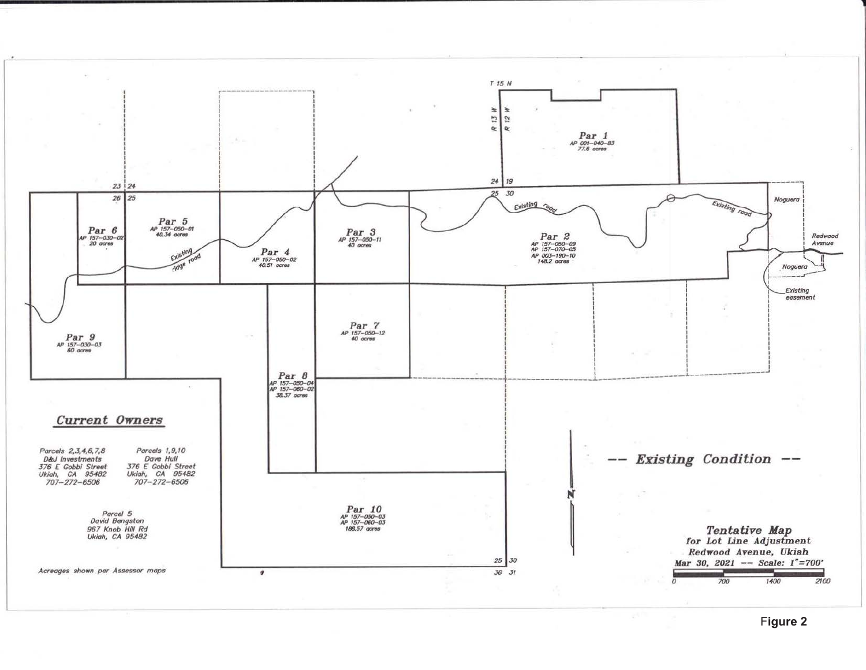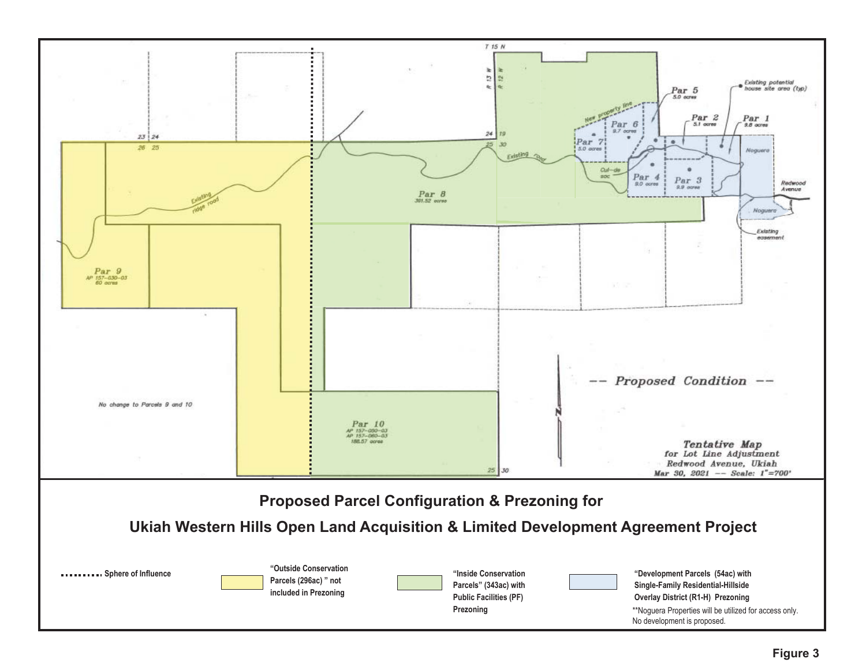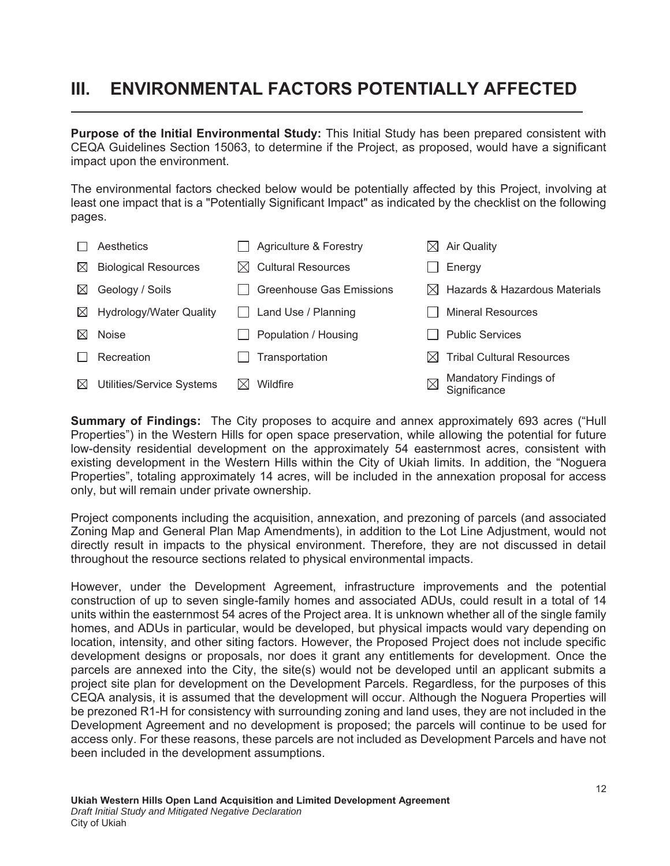# **III. ENVIRONMENTAL FACTORS POTENTIALLY AFFECTED**

**Purpose of the Initial Environmental Study:** This Initial Study has been prepared consistent with CEQA Guidelines Section 15063, to determine if the Project, as proposed, would have a significant impact upon the environment.

The environmental factors checked below would be potentially affected by this Project, involving at least one impact that is a "Potentially Significant Impact" as indicated by the checklist on the following pages.

|           | Aesthetics                  |     | Agriculture & Forestry          | IХI         | <b>Air Quality</b>                        |
|-----------|-----------------------------|-----|---------------------------------|-------------|-------------------------------------------|
| $\bowtie$ | <b>Biological Resources</b> | IХI | <b>Cultural Resources</b>       |             | Energy                                    |
| $\bowtie$ | Geology / Soils             |     | <b>Greenhouse Gas Emissions</b> |             | $\boxtimes$ Hazards & Hazardous Materials |
| $\bowtie$ | Hydrology/Water Quality     |     | Land Use / Planning             |             | <b>Mineral Resources</b>                  |
| $\bowtie$ | Noise                       |     | Population / Housing            |             | <b>Public Services</b>                    |
|           | Recreation                  |     | Transportation                  | IXI         | <b>Tribal Cultural Resources</b>          |
| $\bowtie$ | Utilities/Service Systems   |     | Wildfire                        | $\boxtimes$ | Mandatory Findings of<br>Significance     |

**Summary of Findings:** The City proposes to acquire and annex approximately 693 acres ("Hull Properties") in the Western Hills for open space preservation, while allowing the potential for future low-density residential development on the approximately 54 easternmost acres, consistent with existing development in the Western Hills within the City of Ukiah limits. In addition, the "Noguera Properties", totaling approximately 14 acres, will be included in the annexation proposal for access only, but will remain under private ownership.

Project components including the acquisition, annexation, and prezoning of parcels (and associated Zoning Map and General Plan Map Amendments), in addition to the Lot Line Adjustment, would not directly result in impacts to the physical environment. Therefore, they are not discussed in detail throughout the resource sections related to physical environmental impacts.

However, under the Development Agreement, infrastructure improvements and the potential construction of up to seven single-family homes and associated ADUs, could result in a total of 14 units within the easternmost 54 acres of the Project area. It is unknown whether all of the single family homes, and ADUs in particular, would be developed, but physical impacts would vary depending on location, intensity, and other siting factors. However, the Proposed Project does not include specific development designs or proposals, nor does it grant any entitlements for development. Once the parcels are annexed into the City, the site(s) would not be developed until an applicant submits a project site plan for development on the Development Parcels. Regardless, for the purposes of this CEQA analysis, it is assumed that the development will occur. Although the Noguera Properties will be prezoned R1-H for consistency with surrounding zoning and land uses, they are not included in the Development Agreement and no development is proposed; the parcels will continue to be used for access only. For these reasons, these parcels are not included as Development Parcels and have not been included in the development assumptions.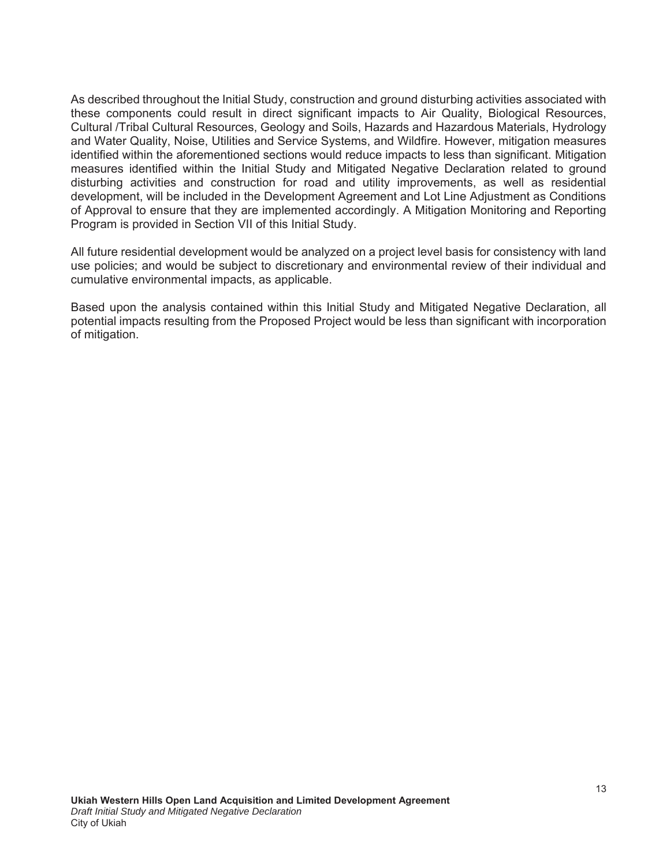As described throughout the Initial Study, construction and ground disturbing activities associated with these components could result in direct significant impacts to Air Quality, Biological Resources, Cultural /Tribal Cultural Resources, Geology and Soils, Hazards and Hazardous Materials, Hydrology and Water Quality, Noise, Utilities and Service Systems, and Wildfire. However, mitigation measures identified within the aforementioned sections would reduce impacts to less than significant. Mitigation measures identified within the Initial Study and Mitigated Negative Declaration related to ground disturbing activities and construction for road and utility improvements, as well as residential development, will be included in the Development Agreement and Lot Line Adjustment as Conditions of Approval to ensure that they are implemented accordingly. A Mitigation Monitoring and Reporting Program is provided in Section VII of this Initial Study.

All future residential development would be analyzed on a project level basis for consistency with land use policies; and would be subject to discretionary and environmental review of their individual and cumulative environmental impacts, as applicable.

Based upon the analysis contained within this Initial Study and Mitigated Negative Declaration, all potential impacts resulting from the Proposed Project would be less than significant with incorporation of mitigation.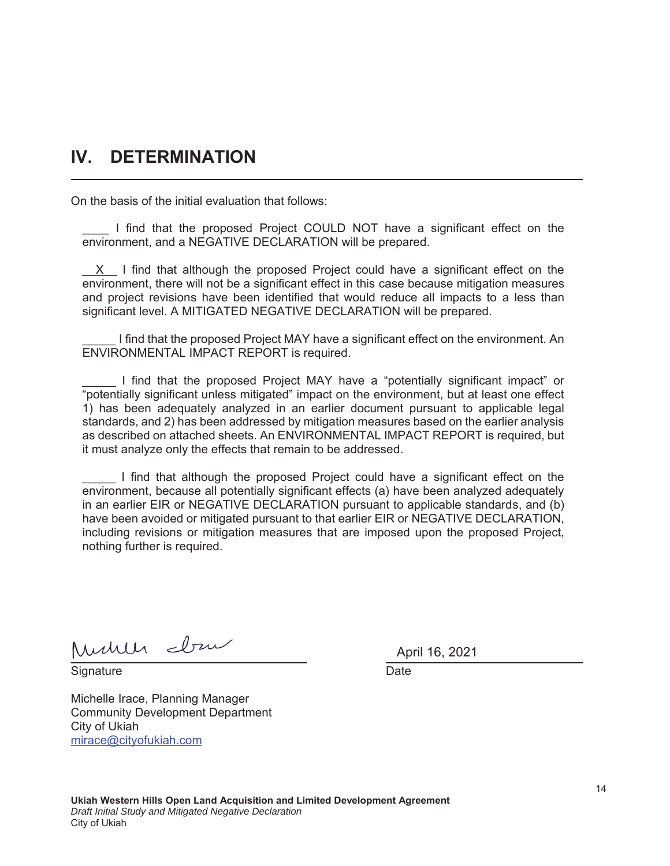# **IV. DETERMINATION**

On the basis of the initial evaluation that follows:

\_\_\_\_ I find that the proposed Project COULD NOT have a significant effect on the environment, and a NEGATIVE DECLARATION will be prepared.

 $X$  I find that although the proposed Project could have a significant effect on the environment, there will not be a significant effect in this case because mitigation measures and project revisions have been identified that would reduce all impacts to a less than significant level. A MITIGATED NEGATIVE DECLARATION will be prepared.

I find that the proposed Project MAY have a significant effect on the environment. An ENVIRONMENTAL IMPACT REPORT is required.

\_\_\_\_\_ I find that the proposed Project MAY have a "potentially significant impact" or "potentially significant unless mitigated" impact on the environment, but at least one effect 1) has been adequately analyzed in an earlier document pursuant to applicable legal standards, and 2) has been addressed by mitigation measures based on the earlier analysis as described on attached sheets. An ENVIRONMENTAL IMPACT REPORT is required, but it must analyze only the effects that remain to be addressed.

I find that although the proposed Project could have a significant effect on the environment, because all potentially significant effects (a) have been analyzed adequately in an earlier EIR or NEGATIVE DECLARATION pursuant to applicable standards, and (b) have been avoided or mitigated pursuant to that earlier EIR or NEGATIVE DECLARATION, including revisions or mitigation measures that are imposed upon the proposed Project, nothing further is required.

Mulle dru

Signature **Date** 

Michelle Irace, Planning Manager Community Development Department City of Ukiah mirace@cityofukiah.com

April 16, 2021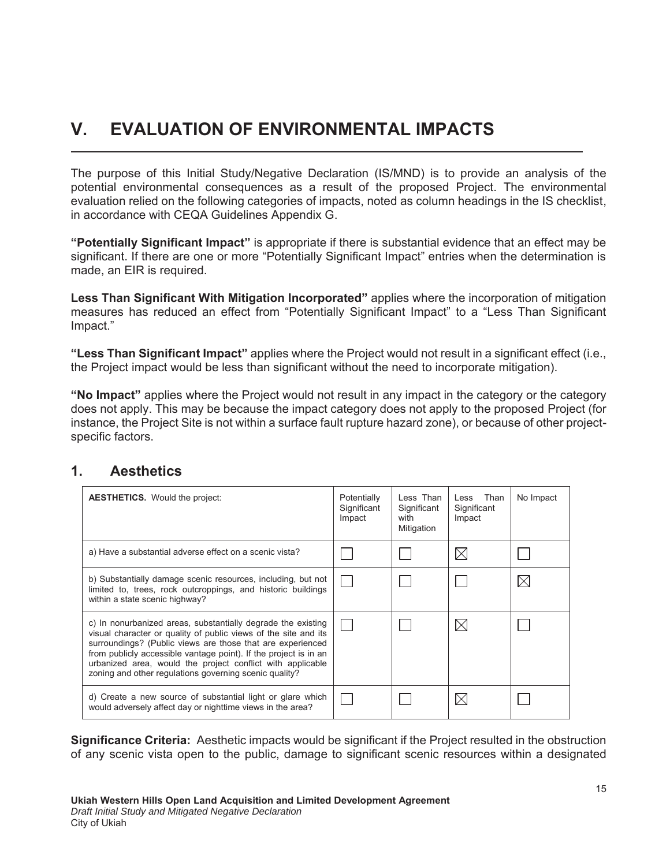# **V. EVALUATION OF ENVIRONMENTAL IMPACTS**

The purpose of this Initial Study/Negative Declaration (IS/MND) is to provide an analysis of the potential environmental consequences as a result of the proposed Project. The environmental evaluation relied on the following categories of impacts, noted as column headings in the IS checklist, in accordance with CEQA Guidelines Appendix G.

**Potentially Significant Impact**" is appropriate if there is substantial evidence that an effect may be significant. If there are one or more "Potentially Significant Impact" entries when the determination is made, an EIR is required.

**Less Than Significant With Mitigation Incorporated"** applies where the incorporation of mitigation measures has reduced an effect from "Potentially Significant Impact" to a "Less Than Significant Impact."

**"Less Than Significant Impact"** applies where the Project would not result in a significant effect (i.e., the Project impact would be less than significant without the need to incorporate mitigation).

**Allerth Inducated is obtained the Project would not result in any impact in the category or the category or the category or the category or the category or the category or the category or the category or the category or t** does not apply. This may be because the impact category does not apply to the proposed Project (for instance, the Project Site is not within a surface fault rupture hazard zone), or because of other projectspecific factors.

# 1. **Aesthetics**

| <b>AESTHETICS.</b> Would the project:                                                                                                                                                                                                                                                                                                                                                     | Potentially<br>Significant<br>Impact | Less Than<br>Significant<br>with<br>Mitigation | Less Than<br>Significant<br>Impact | No Impact |
|-------------------------------------------------------------------------------------------------------------------------------------------------------------------------------------------------------------------------------------------------------------------------------------------------------------------------------------------------------------------------------------------|--------------------------------------|------------------------------------------------|------------------------------------|-----------|
| a) Have a substantial adverse effect on a scenic vista?                                                                                                                                                                                                                                                                                                                                   |                                      |                                                |                                    |           |
| b) Substantially damage scenic resources, including, but not<br>limited to, trees, rock outcroppings, and historic buildings<br>within a state scenic highway?                                                                                                                                                                                                                            |                                      |                                                |                                    |           |
| c) In nonurbanized areas, substantially degrade the existing<br>visual character or quality of public views of the site and its<br>surroundings? (Public views are those that are experienced<br>from publicly accessible vantage point). If the project is in an<br>urbanized area, would the project conflict with applicable<br>zoning and other regulations governing scenic quality? |                                      |                                                |                                    |           |
| d) Create a new source of substantial light or glare which<br>would adversely affect day or nighttime views in the area?                                                                                                                                                                                                                                                                  |                                      |                                                |                                    |           |

**Significance Criteria:** Aesthetic impacts would be significant if the Project resulted in the obstruction of any scenic vista open to the public, damage to significant scenic resources within a designated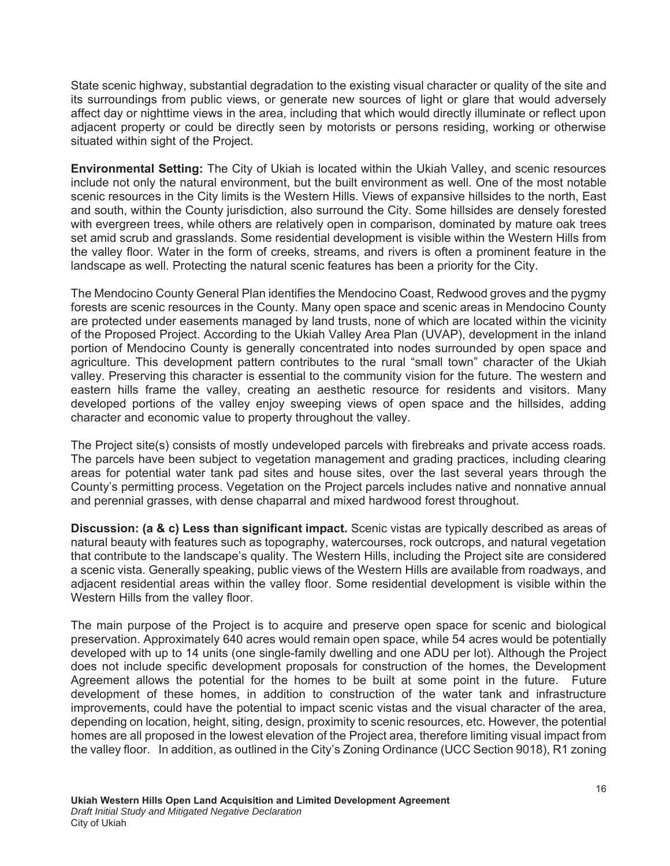State scenic highway, substantial degradation to the existing visual character or quality of the site and its surroundings from public views, or generate new sources of light or glare that would adversely affect day or nighttime views in the area, including that which would directly illuminate or reflect upon adjacent property or could be directly seen by motorists or persons residing, working or otherwise situated within sight of the Project.

**Environmental Setting:** The City of Ukiah is located within the Ukiah Valley, and scenic resources include not only the natural environment, but the built environment as well. One of the most notable scenic resources in the City limits is the Western Hills. Views of expansive hillsides to the north, East and south, within the County jurisdiction, also surround the City. Some hillsides are densely forested with evergreen trees, while others are relatively open in comparison, dominated by mature oak trees set amid scrub and grasslands. Some residential development is visible within the Western Hills from the valley floor. Water in the form of creeks, streams, and rivers is often a prominent feature in the landscape as well. Protecting the natural scenic features has been a priority for the City.

The Mendocino County General Plan identifies the Mendocino Coast, Redwood groves and the pygmy forests are scenic resources in the County. Many open space and scenic areas in Mendocino County are protected under easements managed by land trusts, none of which are located within the vicinity of the Proposed Project. According to the Ukiah Valley Area Plan (UVAP), development in the inland portion of Mendocino County is generally concentrated into nodes surrounded by open space and agriculture. This development pattern contributes to the rural "small town" character of the Ukiah valley. Preserving this character is essential to the community vision for the future. The western and eastern hills frame the valley, creating an aesthetic resource for residents and visitors. Many developed portions of the valley enjoy sweeping views of open space and the hillsides, adding character and economic value to property throughout the valley.

The Project site(s) consists of mostly undeveloped parcels with firebreaks and private access roads. The parcels have been subject to vegetation management and grading practices, including clearing areas for potential water tank pad sites and house sites, over the last several years through the County's permitting process. Vegetation on the Project parcels includes native and nonnative annual and perennial grasses, with dense chaparral and mixed hardwood forest throughout.

**Discussion: (a & c) Less than significant impact.** Scenic vistas are typically described as areas of natural beauty with features such as topography, watercourses, rock outcrops, and natural vegetation that contribute to the landscape's quality. The Western Hills, including the Project site are considered a scenic vista. Generally speaking, public views of the Western Hills are available from roadways, and adjacent residential areas within the valley floor. Some residential development is visible within the Western Hills from the valley floor.

The main purpose of the Project is to acquire and preserve open space for scenic and biological preservation. Approximately 640 acres would remain open space, while 54 acres would be potentially developed with up to 14 units (one single-family dwelling and one ADU per lot). Although the Project does not include specific development proposals for construction of the homes, the Development Agreement allows the potential for the homes to be built at some point in the future. Future development of these homes, in addition to construction of the water tank and infrastructure improvements, could have the potential to impact scenic vistas and the visual character of the area, depending on location, height, siting, design, proximity to scenic resources, etc. However, the potential homes are all proposed in the lowest elevation of the Project area, therefore limiting visual impact from the valley floor. In addition, as outlined in the City's Zoning Ordinance (UCC Section 9018), R1 zoning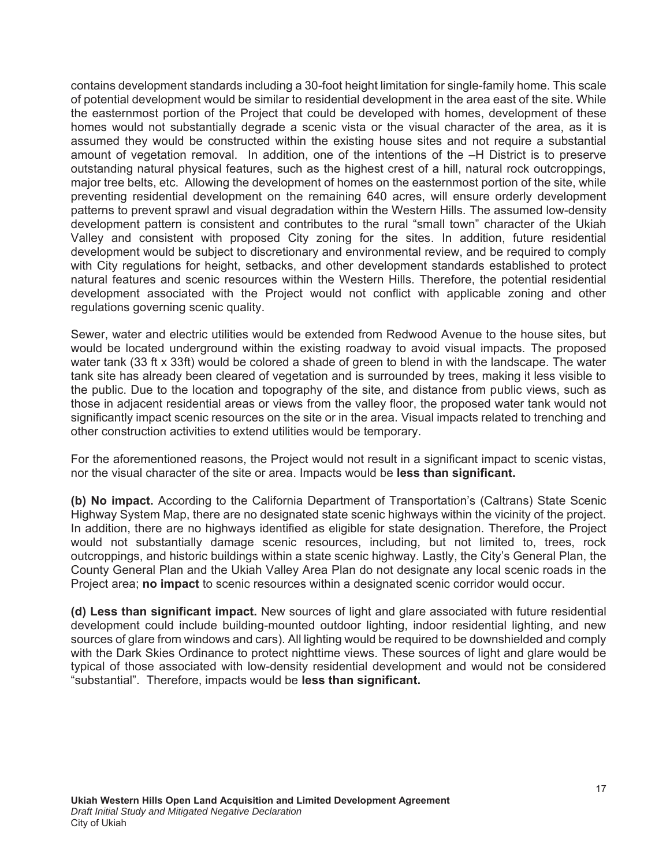contains development standards including a 30-foot height limitation for single-family home. This scale of potential development would be similar to residential development in the area east of the site. While the easternmost portion of the Project that could be developed with homes, development of these homes would not substantially degrade a scenic vista or the visual character of the area, as it is assumed they would be constructed within the existing house sites and not require a substantial amount of vegetation removal. In addition, one of the intentions of the –H District is to preserve outstanding natural physical features, such as the highest crest of a hill, natural rock outcroppings, major tree belts, etc. Allowing the development of homes on the easternmost portion of the site, while preventing residential development on the remaining 640 acres, will ensure orderly development patterns to prevent sprawl and visual degradation within the Western Hills. The assumed low-density development pattern is consistent and contributes to the rural "small town" character of the Ukiah Valley and consistent with proposed City zoning for the sites. In addition, future residential development would be subject to discretionary and environmental review, and be required to comply with City regulations for height, setbacks, and other development standards established to protect natural features and scenic resources within the Western Hills. Therefore, the potential residential development associated with the Project would not conflict with applicable zoning and other regulations governing scenic quality.

Sewer, water and electric utilities would be extended from Redwood Avenue to the house sites, but would be located underground within the existing roadway to avoid visual impacts. The proposed water tank (33 ft x 33ft) would be colored a shade of green to blend in with the landscape. The water tank site has already been cleared of vegetation and is surrounded by trees, making it less visible to the public. Due to the location and topography of the site, and distance from public views, such as those in adjacent residential areas or views from the valley floor, the proposed water tank would not significantly impact scenic resources on the site or in the area. Visual impacts related to trenching and other construction activities to extend utilities would be temporary.

For the aforementioned reasons, the Project would not result in a significant impact to scenic vistas, nor the visual character of the site or area. Impacts would be **less than significant.** 

**(b) No impact.** According to the California Department of Transportation's (Caltrans) State Scenic Highway System Map, there are no designated state scenic highways within the vicinity of the project. In addition, there are no highways identified as eligible for state designation. Therefore, the Project would not substantially damage scenic resources, including, but not limited to, trees, rock outcroppings, and historic buildings within a state scenic highway. Lastly, the City's General Plan, the County General Plan and the Ukiah Valley Area Plan do not designate any local scenic roads in the Project area; **no impact** to scenic resources within a designated scenic corridor would occur.

(d) Less than significant impact. New sources of light and glare associated with future residential development could include building-mounted outdoor lighting, indoor residential lighting, and new sources of glare from windows and cars). All lighting would be required to be downshielded and comply with the Dark Skies Ordinance to protect nighttime views. These sources of light and glare would be typical of those associated with low-density residential development and would not be considered "substantial". Therefore, impacts would be **less than significant.**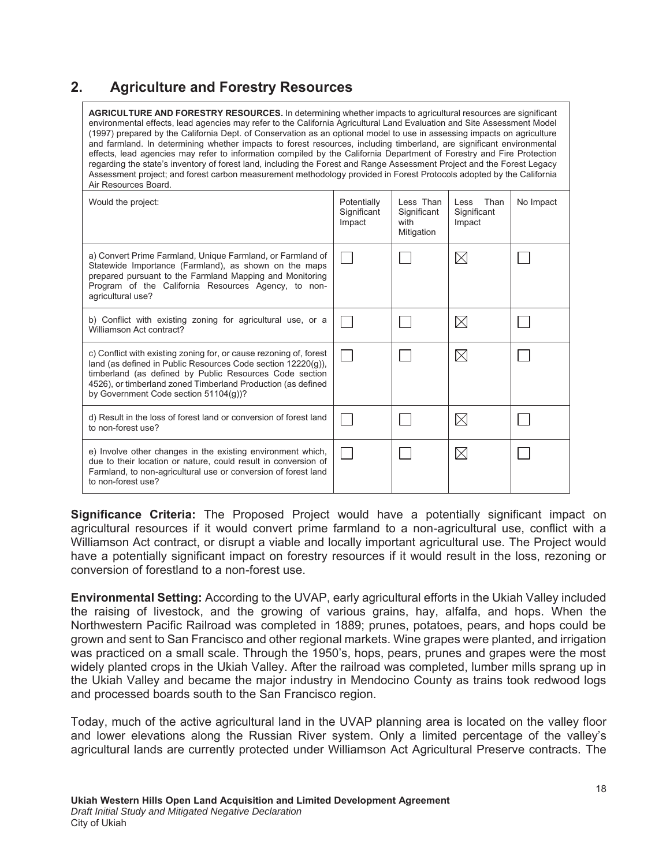# **2.** Agriculture and Forestry Resources

| <b>AGRICULTURE AND FORESTRY RESOURCES.</b> In determining whether impacts to agricultural resources are significant<br>environmental effects, lead agencies may refer to the California Agricultural Land Evaluation and Site Assessment Model<br>(1997) prepared by the California Dept. of Conservation as an optional model to use in assessing impacts on agriculture<br>and farmland. In determining whether impacts to forest resources, including timberland, are significant environmental<br>effects, lead agencies may refer to information compiled by the California Department of Forestry and Fire Protection<br>regarding the state's inventory of forest land, including the Forest and Range Assessment Project and the Forest Legacy<br>Assessment project; and forest carbon measurement methodology provided in Forest Protocols adopted by the California<br>Air Resources Board. |                                      |                                                |                                       |           |  |  |
|--------------------------------------------------------------------------------------------------------------------------------------------------------------------------------------------------------------------------------------------------------------------------------------------------------------------------------------------------------------------------------------------------------------------------------------------------------------------------------------------------------------------------------------------------------------------------------------------------------------------------------------------------------------------------------------------------------------------------------------------------------------------------------------------------------------------------------------------------------------------------------------------------------|--------------------------------------|------------------------------------------------|---------------------------------------|-----------|--|--|
| Would the project:                                                                                                                                                                                                                                                                                                                                                                                                                                                                                                                                                                                                                                                                                                                                                                                                                                                                                     | Potentially<br>Significant<br>Impact | Less Than<br>Significant<br>with<br>Mitigation | Than<br>Less<br>Significant<br>Impact | No Impact |  |  |
| a) Convert Prime Farmland, Unique Farmland, or Farmland of<br>Statewide Importance (Farmland), as shown on the maps<br>prepared pursuant to the Farmland Mapping and Monitoring<br>Program of the California Resources Agency, to non-<br>agricultural use?                                                                                                                                                                                                                                                                                                                                                                                                                                                                                                                                                                                                                                            |                                      |                                                | $\boxtimes$                           |           |  |  |
| b) Conflict with existing zoning for agricultural use, or a<br>Williamson Act contract?                                                                                                                                                                                                                                                                                                                                                                                                                                                                                                                                                                                                                                                                                                                                                                                                                |                                      |                                                | $\boxtimes$                           |           |  |  |
| c) Conflict with existing zoning for, or cause rezoning of, forest<br>land (as defined in Public Resources Code section 12220(q)),<br>timberland (as defined by Public Resources Code section<br>4526), or timberland zoned Timberland Production (as defined<br>by Government Code section 51104(g))?                                                                                                                                                                                                                                                                                                                                                                                                                                                                                                                                                                                                 |                                      |                                                | $\boxtimes$                           |           |  |  |
| d) Result in the loss of forest land or conversion of forest land<br>to non-forest use?                                                                                                                                                                                                                                                                                                                                                                                                                                                                                                                                                                                                                                                                                                                                                                                                                |                                      |                                                | $\boxtimes$                           |           |  |  |
| e) Involve other changes in the existing environment which,<br>due to their location or nature, could result in conversion of<br>Farmland, to non-agricultural use or conversion of forest land<br>to non-forest use?                                                                                                                                                                                                                                                                                                                                                                                                                                                                                                                                                                                                                                                                                  |                                      |                                                | $\boxtimes$                           |           |  |  |

**Significance Criteria:** The Proposed Project would have a potentially significant impact on agricultural resources if it would convert prime farmland to a non-agricultural use, conflict with a Williamson Act contract, or disrupt a viable and locally important agricultural use. The Project would have a potentially significant impact on forestry resources if it would result in the loss, rezoning or conversion of forestland to a non-forest use.

**Environmental Setting:** According to the UVAP, early agricultural efforts in the Ukiah Valley included the raising of livestock, and the growing of various grains, hay, alfalfa, and hops. When the Northwestern Pacific Railroad was completed in 1889; prunes, potatoes, pears, and hops could be grown and sent to San Francisco and other regional markets. Wine grapes were planted, and irrigation was practiced on a small scale. Through the 1950's, hops, pears, prunes and grapes were the most widely planted crops in the Ukiah Valley. After the railroad was completed, lumber mills sprang up in the Ukiah Valley and became the major industry in Mendocino County as trains took redwood logs and processed boards south to the San Francisco region.

Today, much of the active agricultural land in the UVAP planning area is located on the valley floor and lower elevations along the Russian River system. Only a limited percentage of the valley's agricultural lands are currently protected under Williamson Act Agricultural Preserve contracts. The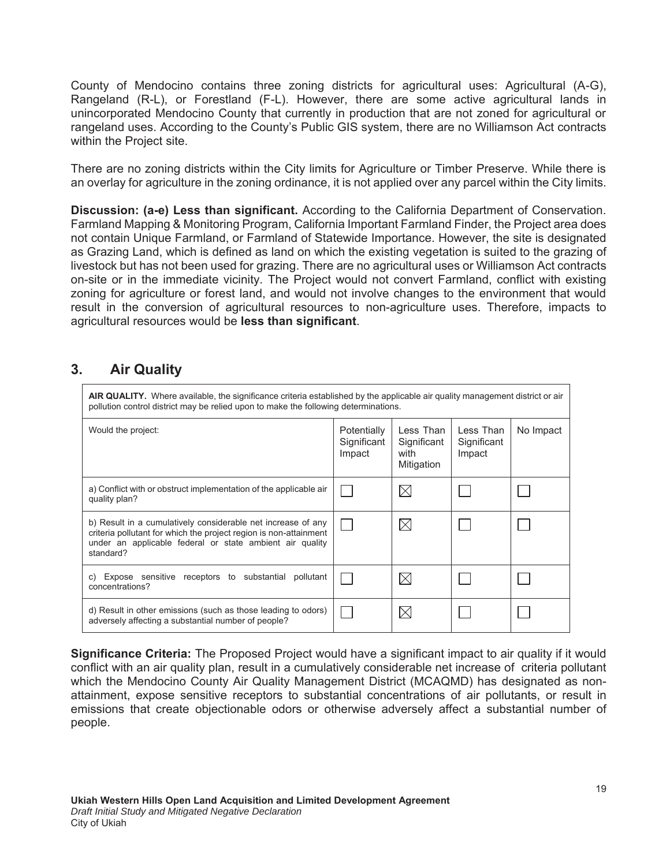County of Mendocino contains three zoning districts for agricultural uses: Agricultural (A-G), Rangeland (R-L), or Forestland (F-L). However, there are some active agricultural lands in unincorporated Mendocino County that currently in production that are not zoned for agricultural or rangeland uses. According to the County's Public GIS system, there are no Williamson Act contracts within the Project site.

There are no zoning districts within the City limits for Agriculture or Timber Preserve. While there is an overlay for agriculture in the zoning ordinance, it is not applied over any parcel within the City limits.

**Discussion: (a-e) Less than significant.** According to the California Department of Conservation. Farmland Mapping & Monitoring Program, California Important Farmland Finder, the Project area does not contain Unique Farmland, or Farmland of Statewide Importance. However, the site is designated as Grazing Land, which is defined as land on which the existing vegetation is suited to the grazing of livestock but has not been used for grazing. There are no agricultural uses or Williamson Act contracts on-site or in the immediate vicinity. The Project would not convert Farmland, conflict with existing zoning for agriculture or forest land, and would not involve changes to the environment that would result in the conversion of agricultural resources to non-agriculture uses. Therefore, impacts to agricultural resources would be less than significant.

# **3.** Air Quality

| AIR QUALITY. Where available, the significance criteria established by the applicable air quality management district or air<br>pollution control district may be relied upon to make the following determinations. |                                      |                                                |                                    |           |  |  |
|---------------------------------------------------------------------------------------------------------------------------------------------------------------------------------------------------------------------|--------------------------------------|------------------------------------------------|------------------------------------|-----------|--|--|
| Would the project:                                                                                                                                                                                                  | Potentially<br>Significant<br>Impact | Less Than<br>Significant<br>with<br>Mitigation | Less Than<br>Significant<br>Impact | No Impact |  |  |
| a) Conflict with or obstruct implementation of the applicable air<br>quality plan?                                                                                                                                  |                                      |                                                |                                    |           |  |  |
| b) Result in a cumulatively considerable net increase of any<br>criteria pollutant for which the project region is non-attainment<br>under an applicable federal or state ambient air quality<br>standard?          |                                      |                                                |                                    |           |  |  |
| Expose sensitive receptors to substantial pollutant<br>C)<br>concentrations?                                                                                                                                        |                                      |                                                |                                    |           |  |  |
| d) Result in other emissions (such as those leading to odors)<br>adversely affecting a substantial number of people?                                                                                                |                                      |                                                |                                    |           |  |  |

**Significance Criteria:** The Proposed Project would have a significant impact to air quality if it would conflict with an air quality plan, result in a cumulatively considerable net increase of criteria pollutant which the Mendocino County Air Quality Management District (MCAQMD) has designated as nonattainment, expose sensitive receptors to substantial concentrations of air pollutants, or result in emissions that create objectionable odors or otherwise adversely affect a substantial number of people.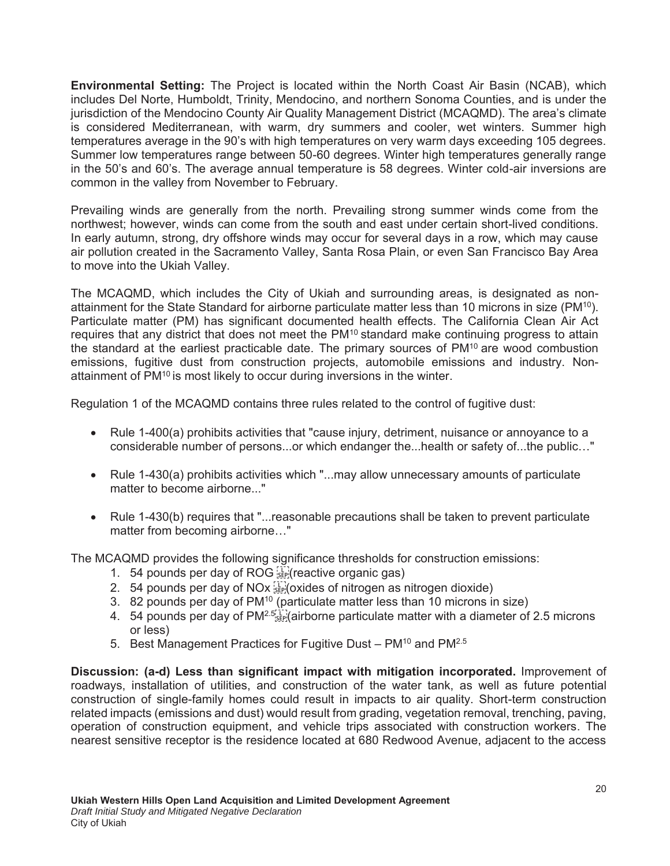**Environmental Setting:** The Project is located within the North Coast Air Basin (NCAB), which includes Del Norte, Humboldt, Trinity, Mendocino, and northern Sonoma Counties, and is under the jurisdiction of the Mendocino County Air Quality Management District (MCAQMD). The area's climate is considered Mediterranean, with warm, dry summers and cooler, wet winters. Summer high temperatures average in the 90's with high temperatures on very warm days exceeding 105 degrees. Summer low temperatures range between 50-60 degrees. Winter high temperatures generally range in the 50's and 60's. The average annual temperature is 58 degrees. Winter cold-air inversions are common in the valley from November to February.

Prevailing winds are generally from the north. Prevailing strong summer winds come from the northwest; however, winds can come from the south and east under certain short-lived conditions. In early autumn, strong, dry offshore winds may occur for several days in a row, which may cause air pollution created in the Sacramento Valley, Santa Rosa Plain, or even San Francisco Bay Area to move into the Ukiah Valley.

The MCAQMD, which includes the City of Ukiah and surrounding areas, is designated as nonattainment for the State Standard for airborne particulate matter less than 10 microns in size (PM10). Particulate matter (PM) has significant documented health effects. The California Clean Air Act requires that any district that does not meet the PM<sup>10</sup> standard make continuing progress to attain the standard at the earliest practicable date. The primary sources of PM10 are wood combustion emissions, fugitive dust from construction projects, automobile emissions and industry. Nonattainment of PM<sup>10</sup> is most likely to occur during inversions in the winter.

Regulation 1 of the MCAQMD contains three rules related to the control of fugitive dust:

- $\bullet$  Rule 1-400(a) prohibits activities that "cause injury, detriment, nuisance or annoyance to a considerable number of persons...or which endanger the...health or safety of...the public…"
- Rule 1-430(a) prohibits activities which "...may allow unnecessary amounts of particulate matter to become airborne..."
- Rule 1-430(b) requires that "...reasonable precautions shall be taken to prevent particulate matter from becoming airborne…"

The MCAQMD provides the following significance thresholds for construction emissions:

- 1. 54 pounds per day of ROG  $\frac{1}{2}$  (reactive organic gas)
- 2. 54 pounds per day of NOx  $\frac{1}{100}$  oxides of nitrogen as nitrogen dioxide)
- 3. 82 pounds per day of PM10 (particulate matter less than 10 microns in size)
- 4. 54 pounds per day of  $PM^{2.5}$   $\ddots$  (airborne particulate matter with a diameter of 2.5 microns or less)
- 5. Best Management Practices for Fugitive Dust PM<sup>10</sup> and PM<sup>2.5</sup>

**Discussion: (a-d) Less than significant impact with mitigation incorporated.** Improvement of roadways, installation of utilities, and construction of the water tank, as well as future potential construction of single-family homes could result in impacts to air quality. Short-term construction related impacts (emissions and dust) would result from grading, vegetation removal, trenching, paving, operation of construction equipment, and vehicle trips associated with construction workers. The nearest sensitive receptor is the residence located at 680 Redwood Avenue, adjacent to the access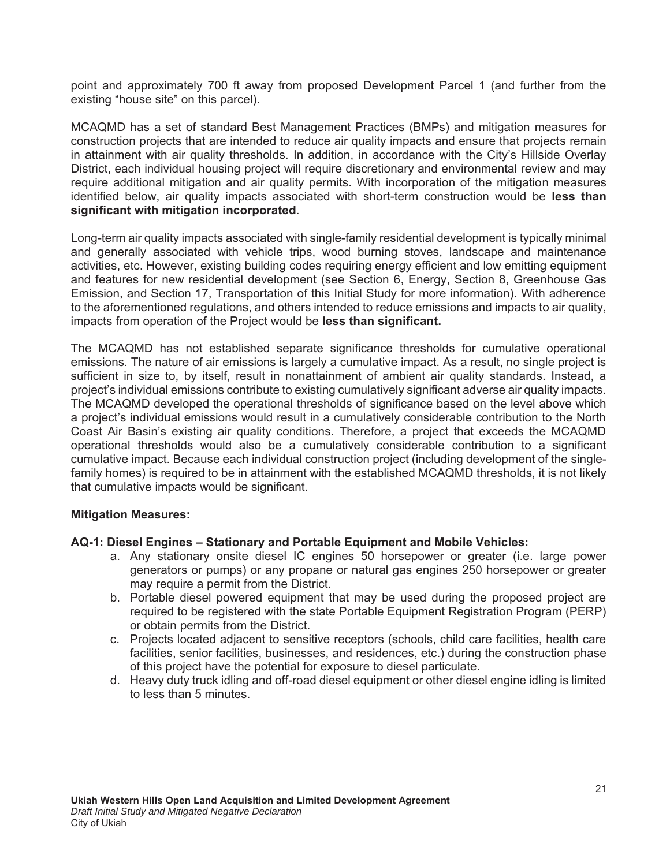point and approximately 700 ft away from proposed Development Parcel 1 (and further from the existing "house site" on this parcel).

MCAQMD has a set of standard Best Management Practices (BMPs) and mitigation measures for construction projects that are intended to reduce air quality impacts and ensure that projects remain in attainment with air quality thresholds. In addition, in accordance with the City's Hillside Overlay District, each individual housing project will require discretionary and environmental review and may require additional mitigation and air quality permits. With incorporation of the mitigation measures identified below, air quality impacts associated with short-term construction would be less than significant with mitigation incorporated.

Long-term air quality impacts associated with single-family residential development is typically minimal and generally associated with vehicle trips, wood burning stoves, landscape and maintenance activities, etc. However, existing building codes requiring energy efficient and low emitting equipment and features for new residential development (see Section 6, Energy, Section 8, Greenhouse Gas Emission, and Section 17, Transportation of this Initial Study for more information). With adherence to the aforementioned regulations, and others intended to reduce emissions and impacts to air quality, impacts from operation of the Project would be less than significant.

The MCAQMD has not established separate significance thresholds for cumulative operational emissions. The nature of air emissions is largely a cumulative impact. As a result, no single project is sufficient in size to, by itself, result in nonattainment of ambient air quality standards. Instead, a project's individual emissions contribute to existing cumulatively significant adverse air quality impacts. The MCAQMD developed the operational thresholds of significance based on the level above which a project's individual emissions would result in a cumulatively considerable contribution to the North Coast Air Basin's existing air quality conditions. Therefore, a project that exceeds the MCAQMD operational thresholds would also be a cumulatively considerable contribution to a significant cumulative impact. Because each individual construction project (including development of the singlefamily homes) is required to be in attainment with the established MCAQMD thresholds, it is not likely that cumulative impacts would be significant.

#### **Mitigation Measures:**

#### AQ-1: Diesel Engines - Stationary and Portable Equipment and Mobile Vehicles:

- a. Any stationary onsite diesel IC engines 50 horsepower or greater (i.e. large power generators or pumps) or any propane or natural gas engines 250 horsepower or greater may require a permit from the District.
- b. Portable diesel powered equipment that may be used during the proposed project are required to be registered with the state Portable Equipment Registration Program (PERP) or obtain permits from the District.
- c. Projects located adjacent to sensitive receptors (schools, child care facilities, health care facilities, senior facilities, businesses, and residences, etc.) during the construction phase of this project have the potential for exposure to diesel particulate.
- d. Heavy duty truck idling and off-road diesel equipment or other diesel engine idling is limited to less than 5 minutes.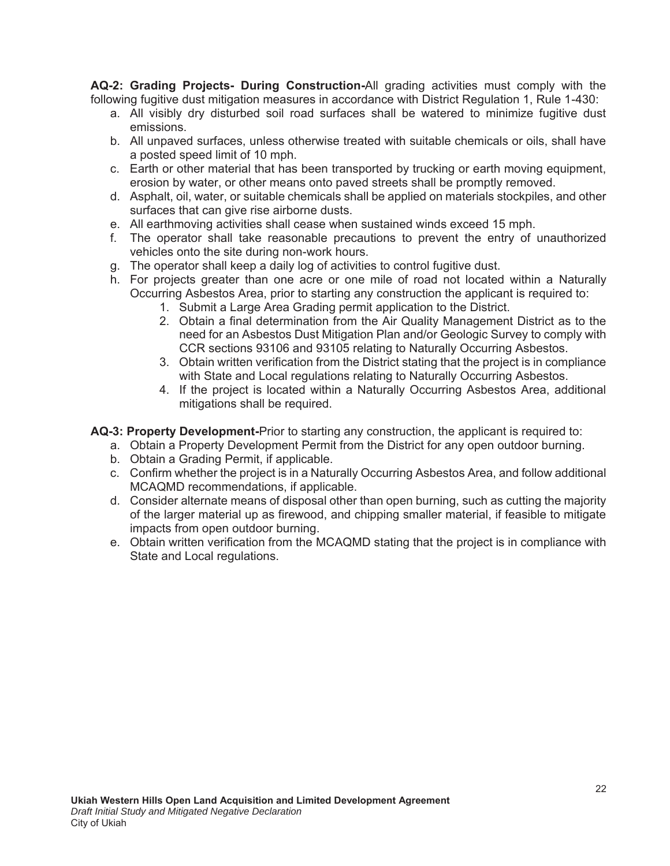**AQ-2: Grading Projects- During Construction-All grading activities must comply with the** following fugitive dust mitigation measures in accordance with District Regulation 1, Rule 1-430:

- a. All visibly dry disturbed soil road surfaces shall be watered to minimize fugitive dust emissions.
- b. All unpaved surfaces, unless otherwise treated with suitable chemicals or oils, shall have a posted speed limit of 10 mph.
- c. Earth or other material that has been transported by trucking or earth moving equipment, erosion by water, or other means onto paved streets shall be promptly removed.
- d. Asphalt, oil, water, or suitable chemicals shall be applied on materials stockpiles, and other surfaces that can give rise airborne dusts.
- e. All earthmoving activities shall cease when sustained winds exceed 15 mph.
- f. The operator shall take reasonable precautions to prevent the entry of unauthorized vehicles onto the site during non-work hours.
- g. The operator shall keep a daily log of activities to control fugitive dust.
- h. For projects greater than one acre or one mile of road not located within a Naturally Occurring Asbestos Area, prior to starting any construction the applicant is required to:
	- 1. Submit a Large Area Grading permit application to the District.
	- 2. Obtain a final determination from the Air Quality Management District as to the need for an Asbestos Dust Mitigation Plan and/or Geologic Survey to comply with CCR sections 93106 and 93105 relating to Naturally Occurring Asbestos.
	- 3. Obtain written verification from the District stating that the project is in compliance with State and Local regulations relating to Naturally Occurring Asbestos.
	- 4. If the project is located within a Naturally Occurring Asbestos Area, additional mitigations shall be required.
- **AQ-3: Property Development-Prior to starting any construction, the applicant is required to:** 
	- a. Obtain a Property Development Permit from the District for any open outdoor burning.
	- b. Obtain a Grading Permit, if applicable.
	- c. Confirm whether the project is in a Naturally Occurring Asbestos Area, and follow additional MCAQMD recommendations, if applicable.
	- d. Consider alternate means of disposal other than open burning, such as cutting the majority of the larger material up as firewood, and chipping smaller material, if feasible to mitigate impacts from open outdoor burning.
	- e. Obtain written verification from the MCAQMD stating that the project is in compliance with State and Local regulations.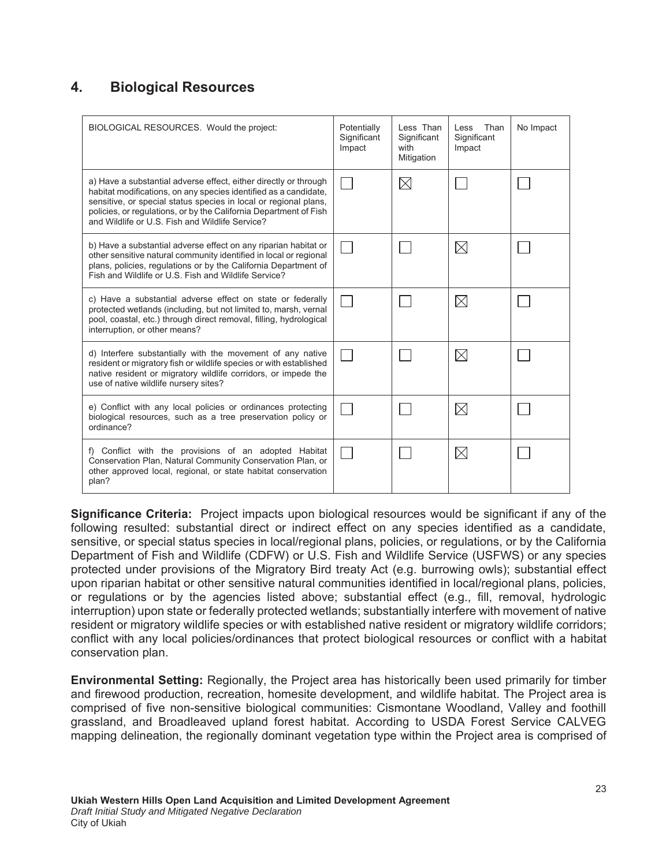# **4. Biological Resources**

| BIOLOGICAL RESOURCES. Would the project:                                                                                                                                                                                                                                                                                         | Potentially<br>Significant<br>Impact | Less Than<br>Significant<br>with<br>Mitigation | Than<br>Less<br>Significant<br>Impact | No Impact |
|----------------------------------------------------------------------------------------------------------------------------------------------------------------------------------------------------------------------------------------------------------------------------------------------------------------------------------|--------------------------------------|------------------------------------------------|---------------------------------------|-----------|
| a) Have a substantial adverse effect, either directly or through<br>habitat modifications, on any species identified as a candidate,<br>sensitive, or special status species in local or regional plans,<br>policies, or regulations, or by the California Department of Fish<br>and Wildlife or U.S. Fish and Wildlife Service? |                                      | $\boxtimes$                                    |                                       |           |
| b) Have a substantial adverse effect on any riparian habitat or<br>other sensitive natural community identified in local or regional<br>plans, policies, regulations or by the California Department of<br>Fish and Wildlife or U.S. Fish and Wildlife Service?                                                                  |                                      |                                                | $\boxtimes$                           |           |
| c) Have a substantial adverse effect on state or federally<br>protected wetlands (including, but not limited to, marsh, vernal<br>pool, coastal, etc.) through direct removal, filling, hydrological<br>interruption, or other means?                                                                                            |                                      |                                                | $\boxtimes$                           |           |
| d) Interfere substantially with the movement of any native<br>resident or migratory fish or wildlife species or with established<br>native resident or migratory wildlife corridors, or impede the<br>use of native wildlife nursery sites?                                                                                      |                                      |                                                | $\boxtimes$                           |           |
| e) Conflict with any local policies or ordinances protecting<br>biological resources, such as a tree preservation policy or<br>ordinance?                                                                                                                                                                                        |                                      |                                                | $\boxtimes$                           |           |
| f) Conflict with the provisions of an adopted Habitat<br>Conservation Plan, Natural Community Conservation Plan, or<br>other approved local, regional, or state habitat conservation<br>plan?                                                                                                                                    |                                      |                                                | $\boxtimes$                           |           |

**Significance Criteria:** Project impacts upon biological resources would be significant if any of the following resulted: substantial direct or indirect effect on any species identified as a candidate, sensitive, or special status species in local/regional plans, policies, or regulations, or by the California Department of Fish and Wildlife (CDFW) or U.S. Fish and Wildlife Service (USFWS) or any species protected under provisions of the Migratory Bird treaty Act (e.g. burrowing owls); substantial effect upon riparian habitat or other sensitive natural communities identified in local/regional plans, policies, or regulations or by the agencies listed above; substantial effect (e.g., fill, removal, hydrologic interruption) upon state or federally protected wetlands; substantially interfere with movement of native resident or migratory wildlife species or with established native resident or migratory wildlife corridors; conflict with any local policies/ordinances that protect biological resources or conflict with a habitat conservation plan.

**Environmental Setting:** Regionally, the Project area has historically been used primarily for timber and firewood production, recreation, homesite development, and wildlife habitat. The Project area is comprised of five non-sensitive biological communities: Cismontane Woodland, Valley and foothill grassland, and Broadleaved upland forest habitat. According to USDA Forest Service CALVEG mapping delineation, the regionally dominant vegetation type within the Project area is comprised of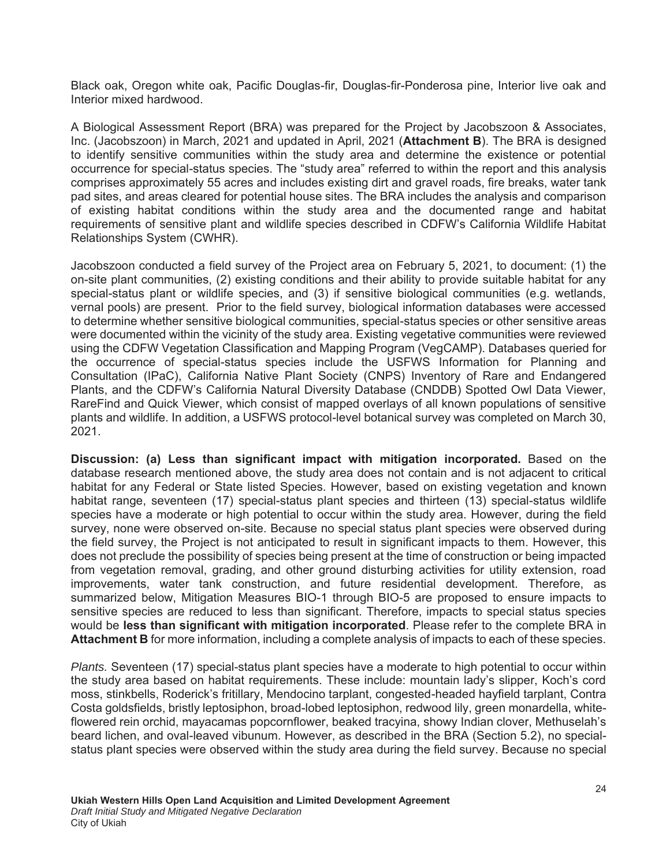Black oak, Oregon white oak, Pacific Douglas-fir, Douglas-fir-Ponderosa pine, Interior live oak and Interior mixed hardwood.

A Biological Assessment Report (BRA) was prepared for the Project by Jacobszoon & Associates, Inc. (Jacobszoon) in March, 2021 and updated in April, 2021 (Attachment B). The BRA is designed to identify sensitive communities within the study area and determine the existence or potential occurrence for special-status species. The "study area" referred to within the report and this analysis comprises approximately 55 acres and includes existing dirt and gravel roads, fire breaks, water tank pad sites, and areas cleared for potential house sites. The BRA includes the analysis and comparison of existing habitat conditions within the study area and the documented range and habitat requirements of sensitive plant and wildlife species described in CDFW's California Wildlife Habitat Relationships System (CWHR).

Jacobszoon conducted a field survey of the Project area on February 5, 2021, to document: (1) the on-site plant communities, (2) existing conditions and their ability to provide suitable habitat for any special-status plant or wildlife species, and (3) if sensitive biological communities (e.g. wetlands, vernal pools) are present. Prior to the field survey, biological information databases were accessed to determine whether sensitive biological communities, special-status species or other sensitive areas were documented within the vicinity of the study area. Existing vegetative communities were reviewed using the CDFW Vegetation Classification and Mapping Program (VegCAMP). Databases queried for the occurrence of special-status species include the USFWS Information for Planning and Consultation (IPaC), California Native Plant Society (CNPS) Inventory of Rare and Endangered Plants, and the CDFW's California Natural Diversity Database (CNDDB) Spotted Owl Data Viewer, RareFind and Quick Viewer, which consist of mapped overlays of all known populations of sensitive plants and wildlife. In addition, a USFWS protocol-level botanical survey was completed on March 30, 2021.

**Discussion: (a) Less than significant impact with mitigation incorporated.** Based on the database research mentioned above, the study area does not contain and is not adjacent to critical habitat for any Federal or State listed Species. However, based on existing vegetation and known habitat range, seventeen (17) special-status plant species and thirteen (13) special-status wildlife species have a moderate or high potential to occur within the study area. However, during the field survey, none were observed on-site. Because no special status plant species were observed during the field survey, the Project is not anticipated to result in significant impacts to them. However, this does not preclude the possibility of species being present at the time of construction or being impacted from vegetation removal, grading, and other ground disturbing activities for utility extension, road improvements, water tank construction, and future residential development. Therefore, as summarized below, Mitigation Measures BIO-1 through BIO-5 are proposed to ensure impacts to sensitive species are reduced to less than significant. Therefore, impacts to special status species would be less than significant with mitigation incorporated. Please refer to the complete BRA in **Attachment B** for more information, including a complete analysis of impacts to each of these species.

*Plants.* Seventeen (17) special-status plant species have a moderate to high potential to occur within the study area based on habitat requirements. These include: mountain lady's slipper, Koch's cord moss, stinkbells, Roderick's fritillary, Mendocino tarplant, congested-headed hayfield tarplant, Contra Costa goldsfields, bristly leptosiphon, broad-lobed leptosiphon, redwood lily, green monardella, whiteflowered rein orchid, mayacamas popcornflower, beaked tracyina, showy Indian clover, Methuselah's beard lichen, and oval-leaved vibunum. However, as described in the BRA (Section 5.2), no specialstatus plant species were observed within the study area during the field survey. Because no special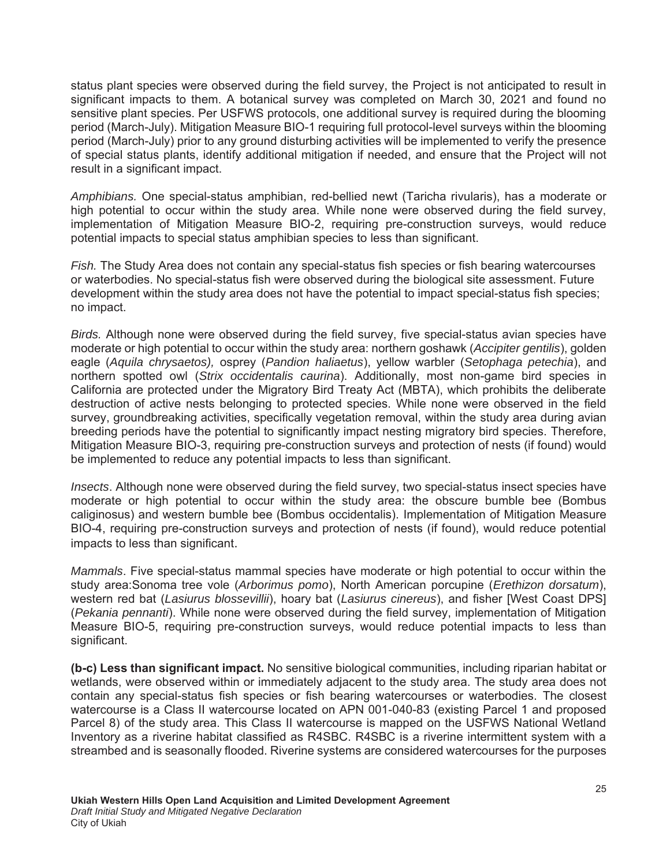status plant species were observed during the field survey, the Project is not anticipated to result in significant impacts to them. A botanical survey was completed on March 30, 2021 and found no sensitive plant species. Per USFWS protocols, one additional survey is required during the blooming period (March-July). Mitigation Measure BIO-1 requiring full protocol-level surveys within the blooming period (March-July) prior to any ground disturbing activities will be implemented to verify the presence of special status plants, identify additional mitigation if needed, and ensure that the Project will not result in a significant impact.

*Amphibians.* One special-status amphibian, red-bellied newt (Taricha rivularis), has a moderate or high potential to occur within the study area. While none were observed during the field survey, implementation of Mitigation Measure BIO-2, requiring pre-construction surveys, would reduce potential impacts to special status amphibian species to less than significant.

*Fish.* The Study Area does not contain any special-status fish species or fish bearing watercourses or waterbodies. No special-status fish were observed during the biological site assessment. Future development within the study area does not have the potential to impact special-status fish species; no impact.

*Birds.* Although none were observed during the field survey, five special-status avian species have moderate or high potential to occur within the study area: northern goshawk (*Accipiter gentilis*), golden eagle (*Aquila chrysaetos),* osprey (*Pandion haliaetus*), yellow warbler (*Setophaga petechia*), and northern spotted owl (*Strix occidentalis caurina*). Additionally, most non-game bird species in California are protected under the Migratory Bird Treaty Act (MBTA), which prohibits the deliberate destruction of active nests belonging to protected species. While none were observed in the field survey, groundbreaking activities, specifically vegetation removal, within the study area during avian breeding periods have the potential to significantly impact nesting migratory bird species. Therefore, Mitigation Measure BIO-3, requiring pre-construction surveys and protection of nests (if found) would be implemented to reduce any potential impacts to less than significant.

*Insects*. Although none were observed during the field survey, two special-status insect species have moderate or high potential to occur within the study area: the obscure bumble bee (Bombus caliginosus) and western bumble bee (Bombus occidentalis). Implementation of Mitigation Measure BIO-4, requiring pre-construction surveys and protection of nests (if found), would reduce potential impacts to less than significant.

*Mammals*. Five special-status mammal species have moderate or high potential to occur within the study area:Sonoma tree vole (*Arborimus pomo*), North American porcupine (*Erethizon dorsatum*), western red bat (*Lasiurus blossevillii*), hoary bat (*Lasiurus cinereus*), and fisher [West Coast DPS] (*Pekania pennanti*). While none were observed during the field survey, implementation of Mitigation Measure BIO-5, requiring pre-construction surveys, would reduce potential impacts to less than significant.

(b-c) Less than significant impact. No sensitive biological communities, including riparian habitat or wetlands, were observed within or immediately adjacent to the study area. The study area does not contain any special-status fish species or fish bearing watercourses or waterbodies. The closest watercourse is a Class II watercourse located on APN 001-040-83 (existing Parcel 1 and proposed Parcel 8) of the study area. This Class II watercourse is mapped on the USFWS National Wetland Inventory as a riverine habitat classified as R4SBC. R4SBC is a riverine intermittent system with a streambed and is seasonally flooded. Riverine systems are considered watercourses for the purposes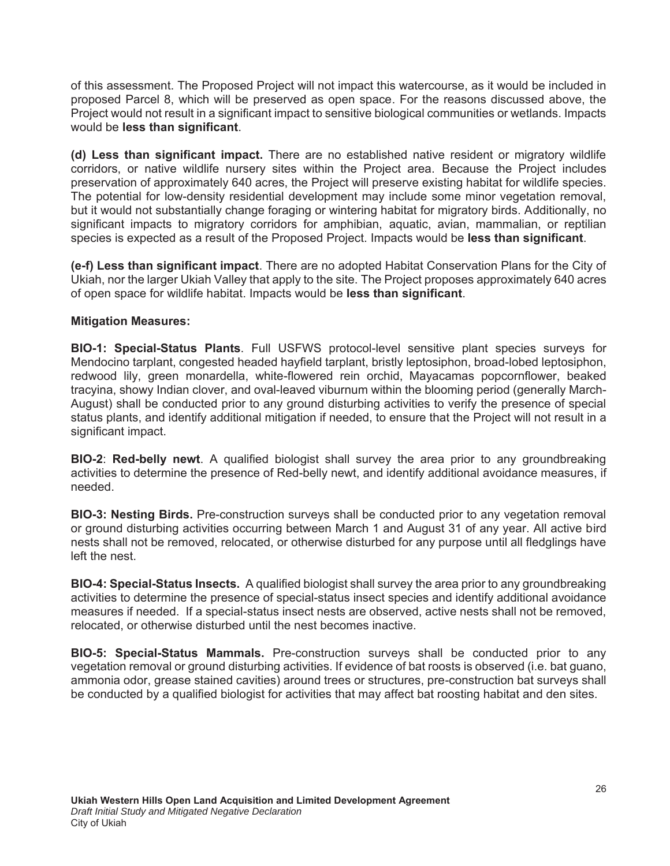of this assessment. The Proposed Project will not impact this watercourse, as it would be included in proposed Parcel 8, which will be preserved as open space. For the reasons discussed above, the Project would not result in a significant impact to sensitive biological communities or wetlands. Impacts would be **less than significant**.

(d) Less than significant impact. There are no established native resident or migratory wildlife corridors, or native wildlife nursery sites within the Project area. Because the Project includes preservation of approximately 640 acres, the Project will preserve existing habitat for wildlife species. The potential for low-density residential development may include some minor vegetation removal, but it would not substantially change foraging or wintering habitat for migratory birds. Additionally, no significant impacts to migratory corridors for amphibian, aquatic, avian, mammalian, or reptilian species is expected as a result of the Proposed Project. Impacts would be **less than significant**.

(e-f) Less than significant impact. There are no adopted Habitat Conservation Plans for the City of Ukiah, nor the larger Ukiah Valley that apply to the site. The Project proposes approximately 640 acres of open space for wildlife habitat. Impacts would be less than significant.

### **Mitigation Measures:**

BIO-1: Special-Status Plants. Full USFWS protocol-level sensitive plant species surveys for Mendocino tarplant, congested headed hayfield tarplant, bristly leptosiphon, broad-lobed leptosiphon, redwood lily, green monardella, white-flowered rein orchid, Mayacamas popcornflower, beaked tracyina, showy Indian clover, and oval-leaved viburnum within the blooming period (generally March-August) shall be conducted prior to any ground disturbing activities to verify the presence of special status plants, and identify additional mitigation if needed, to ensure that the Project will not result in a significant impact.

**BIO-2: Red-belly newt.** A qualified biologist shall survey the area prior to any groundbreaking activities to determine the presence of Red-belly newt, and identify additional avoidance measures, if needed.

**BIO-3: Nesting Birds.** Pre-construction surveys shall be conducted prior to any vegetation removal or ground disturbing activities occurring between March 1 and August 31 of any year. All active bird nests shall not be removed, relocated, or otherwise disturbed for any purpose until all fledglings have left the nest.

**BIO-4: Special-Status Insects.** A qualified biologist shall survey the area prior to any groundbreaking activities to determine the presence of special-status insect species and identify additional avoidance measures if needed. If a special-status insect nests are observed, active nests shall not be removed, relocated, or otherwise disturbed until the nest becomes inactive.

**BIO-5: Special-Status Mammals.** Pre-construction surveys shall be conducted prior to any vegetation removal or ground disturbing activities. If evidence of bat roosts is observed (i.e. bat guano, ammonia odor, grease stained cavities) around trees or structures, pre-construction bat surveys shall be conducted by a qualified biologist for activities that may affect bat roosting habitat and den sites.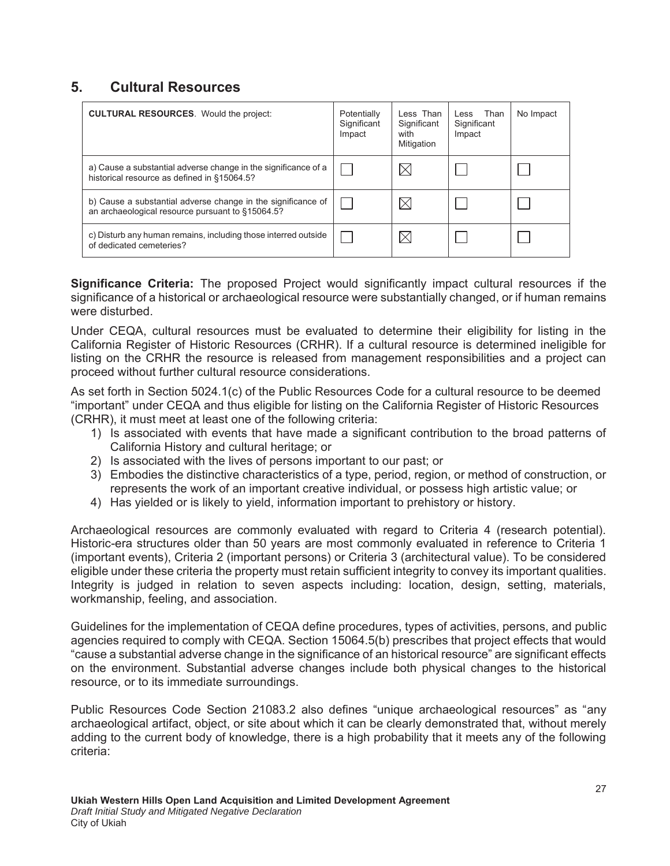# **5. Cultural Resources**

| <b>CULTURAL RESOURCES.</b> Would the project:                                                                    | Potentially<br>Significant<br>Impact | Less Than<br>Significant<br>with<br>Mitigation | Less Than<br>Significant<br>Impact | No Impact |
|------------------------------------------------------------------------------------------------------------------|--------------------------------------|------------------------------------------------|------------------------------------|-----------|
| a) Cause a substantial adverse change in the significance of a<br>historical resource as defined in §15064.5?    |                                      |                                                |                                    |           |
| b) Cause a substantial adverse change in the significance of<br>an archaeological resource pursuant to §15064.5? |                                      |                                                |                                    |           |
| c) Disturb any human remains, including those interred outside<br>of dedicated cemeteries?                       |                                      |                                                |                                    |           |

**Significance Criteria:** The proposed Project would significantly impact cultural resources if the significance of a historical or archaeological resource were substantially changed, or if human remains were disturbed.

Under CEQA, cultural resources must be evaluated to determine their eligibility for listing in the California Register of Historic Resources (CRHR). If a cultural resource is determined ineligible for listing on the CRHR the resource is released from management responsibilities and a project can proceed without further cultural resource considerations.

As set forth in Section 5024.1(c) of the Public Resources Code for a cultural resource to be deemed "important" under CEQA and thus eligible for listing on the California Register of Historic Resources (CRHR), it must meet at least one of the following criteria:

- 1) Is associated with events that have made a significant contribution to the broad patterns of California History and cultural heritage; or
- 2) Is associated with the lives of persons important to our past; or
- 3) Embodies the distinctive characteristics of a type, period, region, or method of construction, or represents the work of an important creative individual, or possess high artistic value; or
- 4) Has yielded or is likely to yield, information important to prehistory or history.

Archaeological resources are commonly evaluated with regard to Criteria 4 (research potential). Historic-era structures older than 50 years are most commonly evaluated in reference to Criteria 1 (important events), Criteria 2 (important persons) or Criteria 3 (architectural value). To be considered eligible under these criteria the property must retain sufficient integrity to convey its important qualities. Integrity is judged in relation to seven aspects including: location, design, setting, materials, workmanship, feeling, and association.

Guidelines for the implementation of CEQA define procedures, types of activities, persons, and public agencies required to comply with CEQA. Section 15064.5(b) prescribes that project effects that would "cause a substantial adverse change in the significance of an historical resource" are significant effects on the environment. Substantial adverse changes include both physical changes to the historical resource, or to its immediate surroundings.

Public Resources Code Section 21083.2 also defines "unique archaeological resources" as "any archaeological artifact, object, or site about which it can be clearly demonstrated that, without merely adding to the current body of knowledge, there is a high probability that it meets any of the following criteria: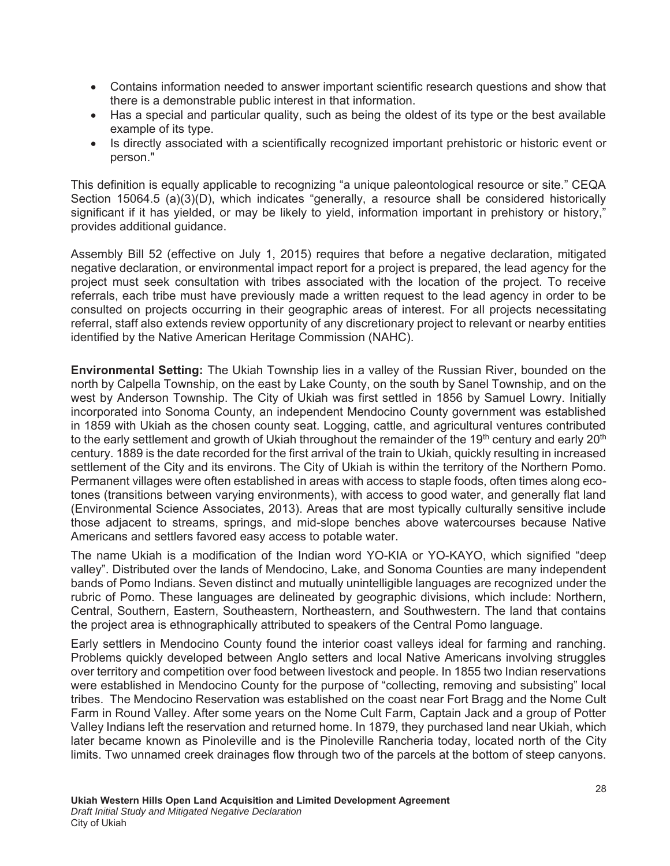- Contains information needed to answer important scientific research questions and show that there is a demonstrable public interest in that information.
- Has a special and particular quality, such as being the oldest of its type or the best available example of its type.
- Is directly associated with a scientifically recognized important prehistoric or historic event or person."

This definition is equally applicable to recognizing "a unique paleontological resource or site." CEQA Section 15064.5 (a)(3)(D), which indicates "generally, a resource shall be considered historically significant if it has yielded, or may be likely to yield, information important in prehistory or history," provides additional guidance.

Assembly Bill 52 (effective on July 1, 2015) requires that before a negative declaration, mitigated negative declaration, or environmental impact report for a project is prepared, the lead agency for the project must seek consultation with tribes associated with the location of the project. To receive referrals, each tribe must have previously made a written request to the lead agency in order to be consulted on projects occurring in their geographic areas of interest. For all projects necessitating referral, staff also extends review opportunity of any discretionary project to relevant or nearby entities identified by the Native American Heritage Commission (NAHC).

**Environmental Setting:** The Ukiah Township lies in a valley of the Russian River, bounded on the north by Calpella Township, on the east by Lake County, on the south by Sanel Township, and on the west by Anderson Township. The City of Ukiah was first settled in 1856 by Samuel Lowry. Initially incorporated into Sonoma County, an independent Mendocino County government was established in 1859 with Ukiah as the chosen county seat. Logging, cattle, and agricultural ventures contributed to the early settlement and growth of Ukiah throughout the remainder of the 19<sup>th</sup> century and early 20<sup>th</sup> century. 1889 is the date recorded for the first arrival of the train to Ukiah, quickly resulting in increased settlement of the City and its environs. The City of Ukiah is within the territory of the Northern Pomo. Permanent villages were often established in areas with access to staple foods, often times along ecotones (transitions between varying environments), with access to good water, and generally flat land (Environmental Science Associates, 2013). Areas that are most typically culturally sensitive include those adjacent to streams, springs, and mid-slope benches above watercourses because Native Americans and settlers favored easy access to potable water.

The name Ukiah is a modification of the Indian word YO-KIA or YO-KAYO, which signified "deep valley". Distributed over the lands of Mendocino, Lake, and Sonoma Counties are many independent bands of Pomo Indians. Seven distinct and mutually unintelligible languages are recognized under the rubric of Pomo. These languages are delineated by geographic divisions, which include: Northern, Central, Southern, Eastern, Southeastern, Northeastern, and Southwestern. The land that contains the project area is ethnographically attributed to speakers of the Central Pomo language.

Early settlers in Mendocino County found the interior coast valleys ideal for farming and ranching. Problems quickly developed between Anglo setters and local Native Americans involving struggles over territory and competition over food between livestock and people. In 1855 two Indian reservations were established in Mendocino County for the purpose of "collecting, removing and subsisting" local tribes. The Mendocino Reservation was established on the coast near Fort Bragg and the Nome Cult Farm in Round Valley. After some years on the Nome Cult Farm, Captain Jack and a group of Potter Valley Indians left the reservation and returned home. In 1879, they purchased land near Ukiah, which later became known as Pinoleville and is the Pinoleville Rancheria today, located north of the City limits. Two unnamed creek drainages flow through two of the parcels at the bottom of steep canyons.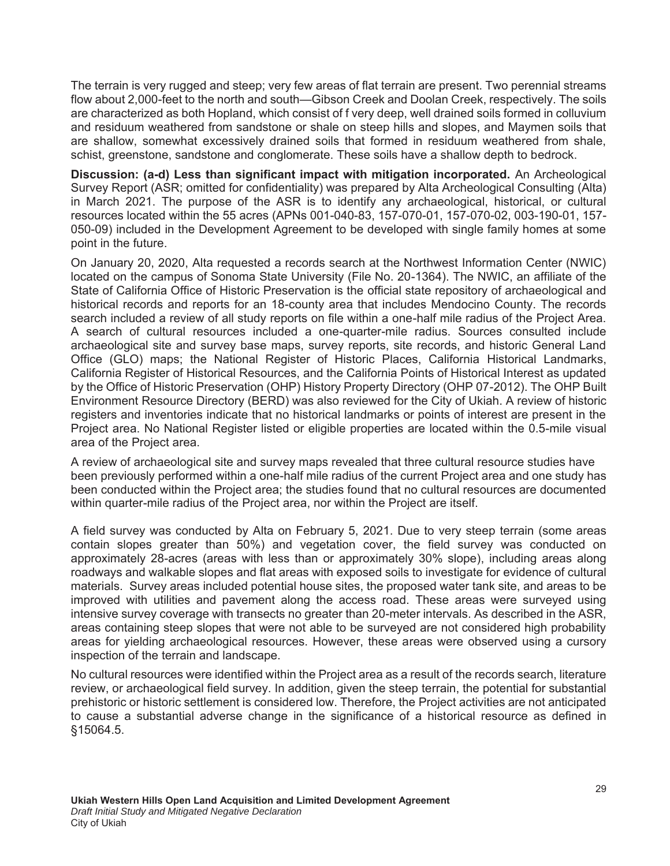The terrain is very rugged and steep; very few areas of flat terrain are present. Two perennial streams flow about 2,000-feet to the north and south—Gibson Creek and Doolan Creek, respectively. The soils are characterized as both Hopland, which consist of f very deep, well drained soils formed in colluvium and residuum weathered from sandstone or shale on steep hills and slopes, and Maymen soils that are shallow, somewhat excessively drained soils that formed in residuum weathered from shale, schist, greenstone, sandstone and conglomerate. These soils have a shallow depth to bedrock.

Discussion: (a-d) Less than significant impact with mitigation incorporated. An Archeological Survey Report (ASR; omitted for confidentiality) was prepared by Alta Archeological Consulting (Alta) in March 2021. The purpose of the ASR is to identify any archaeological, historical, or cultural resources located within the 55 acres (APNs 001-040-83, 157-070-01, 157-070-02, 003-190-01, 157- 050-09) included in the Development Agreement to be developed with single family homes at some point in the future.

On January 20, 2020, Alta requested a records search at the Northwest Information Center (NWIC) located on the campus of Sonoma State University (File No. 20-1364). The NWIC, an affiliate of the State of California Office of Historic Preservation is the official state repository of archaeological and historical records and reports for an 18-county area that includes Mendocino County. The records search included a review of all study reports on file within a one-half mile radius of the Project Area. A search of cultural resources included a one-quarter-mile radius. Sources consulted include archaeological site and survey base maps, survey reports, site records, and historic General Land Office (GLO) maps; the National Register of Historic Places, California Historical Landmarks, California Register of Historical Resources, and the California Points of Historical Interest as updated by the Office of Historic Preservation (OHP) History Property Directory (OHP 07-2012). The OHP Built Environment Resource Directory (BERD) was also reviewed for the City of Ukiah. A review of historic registers and inventories indicate that no historical landmarks or points of interest are present in the Project area. No National Register listed or eligible properties are located within the 0.5-mile visual area of the Project area.

A review of archaeological site and survey maps revealed that three cultural resource studies have been previously performed within a one-half mile radius of the current Project area and one study has been conducted within the Project area; the studies found that no cultural resources are documented within quarter-mile radius of the Project area, nor within the Project are itself.

A field survey was conducted by Alta on February 5, 2021. Due to very steep terrain (some areas contain slopes greater than 50%) and vegetation cover, the field survey was conducted on approximately 28-acres (areas with less than or approximately 30% slope), including areas along roadways and walkable slopes and flat areas with exposed soils to investigate for evidence of cultural materials. Survey areas included potential house sites, the proposed water tank site, and areas to be improved with utilities and pavement along the access road. These areas were surveyed using intensive survey coverage with transects no greater than 20-meter intervals. As described in the ASR, areas containing steep slopes that were not able to be surveyed are not considered high probability areas for yielding archaeological resources. However, these areas were observed using a cursory inspection of the terrain and landscape.

No cultural resources were identified within the Project area as a result of the records search, literature review, or archaeological field survey. In addition, given the steep terrain, the potential for substantial prehistoric or historic settlement is considered low. Therefore, the Project activities are not anticipated to cause a substantial adverse change in the significance of a historical resource as defined in §15064.5.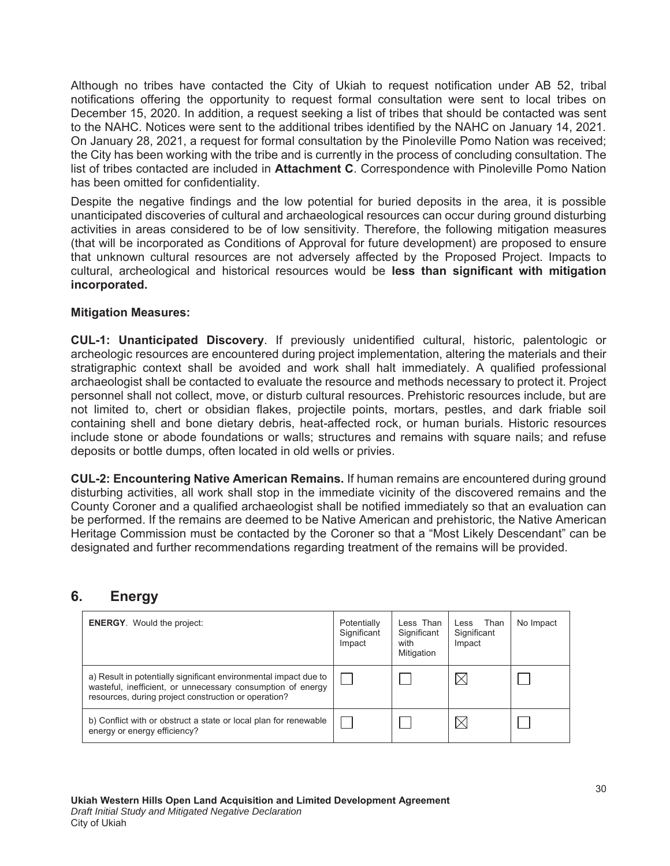Although no tribes have contacted the City of Ukiah to request notification under AB 52, tribal notifications offering the opportunity to request formal consultation were sent to local tribes on December 15, 2020. In addition, a request seeking a list of tribes that should be contacted was sent to the NAHC. Notices were sent to the additional tribes identified by the NAHC on January 14, 2021. On January 28, 2021, a request for formal consultation by the Pinoleville Pomo Nation was received; the City has been working with the tribe and is currently in the process of concluding consultation. The list of tribes contacted are included in Attachment C. Correspondence with Pinoleville Pomo Nation has been omitted for confidentiality.

Despite the negative findings and the low potential for buried deposits in the area, it is possible unanticipated discoveries of cultural and archaeological resources can occur during ground disturbing activities in areas considered to be of low sensitivity. Therefore, the following mitigation measures (that will be incorporated as Conditions of Approval for future development) are proposed to ensure that unknown cultural resources are not adversely affected by the Proposed Project. Impacts to cultural, archeological and historical resources would be less than significant with mitigation incorporated.

#### **Mitigation Measures:**

**CUL-1: Unanticipated Discovery**. If previously unidentified cultural, historic, palentologic or archeologic resources are encountered during project implementation, altering the materials and their stratigraphic context shall be avoided and work shall halt immediately. A qualified professional archaeologist shall be contacted to evaluate the resource and methods necessary to protect it. Project personnel shall not collect, move, or disturb cultural resources. Prehistoric resources include, but are not limited to, chert or obsidian flakes, projectile points, mortars, pestles, and dark friable soil containing shell and bone dietary debris, heat-affected rock, or human burials. Historic resources include stone or abode foundations or walls; structures and remains with square nails; and refuse deposits or bottle dumps, often located in old wells or privies.

**CUL-2: Encountering Native American Remains.** If human remains are encountered during ground disturbing activities, all work shall stop in the immediate vicinity of the discovered remains and the County Coroner and a qualified archaeologist shall be notified immediately so that an evaluation can be performed. If the remains are deemed to be Native American and prehistoric, the Native American Heritage Commission must be contacted by the Coroner so that a "Most Likely Descendant" can be designated and further recommendations regarding treatment of the remains will be provided.

## 6. Energy

| <b>ENERGY.</b> Would the project:                                                                                                                                                       | Potentially<br>Significant<br>Impact | Less Than<br>Significant<br>with<br>Mitigation | Less Than<br>Significant<br>Impact | No Impact |
|-----------------------------------------------------------------------------------------------------------------------------------------------------------------------------------------|--------------------------------------|------------------------------------------------|------------------------------------|-----------|
| a) Result in potentially significant environmental impact due to<br>wasteful, inefficient, or unnecessary consumption of energy<br>resources, during project construction or operation? |                                      |                                                | $\boxtimes$                        |           |
| b) Conflict with or obstruct a state or local plan for renewable<br>energy or energy efficiency?                                                                                        |                                      |                                                | $\times$                           |           |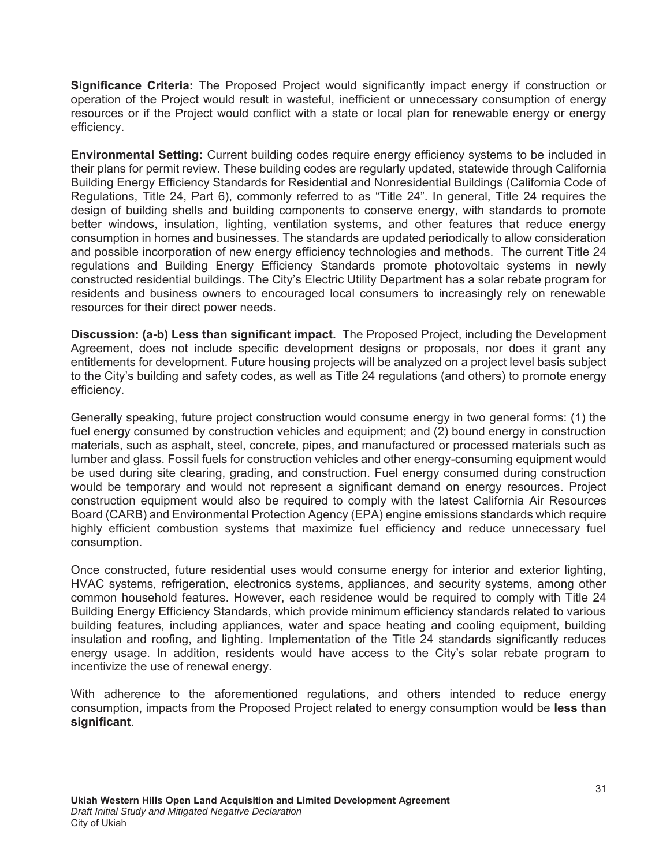**Significance Criteria:** The Proposed Project would significantly impact energy if construction or operation of the Project would result in wasteful, inefficient or unnecessary consumption of energy resources or if the Project would conflict with a state or local plan for renewable energy or energy efficiency.

**Environmental Setting:** Current building codes require energy efficiency systems to be included in their plans for permit review. These building codes are regularly updated, statewide through California Building Energy Efficiency Standards for Residential and Nonresidential Buildings (California Code of Regulations, Title 24, Part 6), commonly referred to as "Title 24". In general, Title 24 requires the design of building shells and building components to conserve energy, with standards to promote better windows, insulation, lighting, ventilation systems, and other features that reduce energy consumption in homes and businesses. The standards are updated periodically to allow consideration and possible incorporation of new energy efficiency technologies and methods. The current Title 24 regulations and Building Energy Efficiency Standards promote photovoltaic systems in newly constructed residential buildings. The City's Electric Utility Department has a solar rebate program for residents and business owners to encouraged local consumers to increasingly rely on renewable resources for their direct power needs.

**Discussion: (a-b) Less than significant impact.** The Proposed Project, including the Development Agreement, does not include specific development designs or proposals, nor does it grant any entitlements for development. Future housing projects will be analyzed on a project level basis subject to the City's building and safety codes, as well as Title 24 regulations (and others) to promote energy efficiency.

Generally speaking, future project construction would consume energy in two general forms: (1) the fuel energy consumed by construction vehicles and equipment; and (2) bound energy in construction materials, such as asphalt, steel, concrete, pipes, and manufactured or processed materials such as lumber and glass. Fossil fuels for construction vehicles and other energy-consuming equipment would be used during site clearing, grading, and construction. Fuel energy consumed during construction would be temporary and would not represent a significant demand on energy resources. Project construction equipment would also be required to comply with the latest California Air Resources Board (CARB) and Environmental Protection Agency (EPA) engine emissions standards which require highly efficient combustion systems that maximize fuel efficiency and reduce unnecessary fuel consumption.

Once constructed, future residential uses would consume energy for interior and exterior lighting, HVAC systems, refrigeration, electronics systems, appliances, and security systems, among other common household features. However, each residence would be required to comply with Title 24 Building Energy Efficiency Standards, which provide minimum efficiency standards related to various building features, including appliances, water and space heating and cooling equipment, building insulation and roofing, and lighting. Implementation of the Title 24 standards significantly reduces energy usage. In addition, residents would have access to the City's solar rebate program to incentivize the use of renewal energy.

With adherence to the aforementioned regulations, and others intended to reduce energy consumption, impacts from the Proposed Project related to energy consumption would be **less than** significant.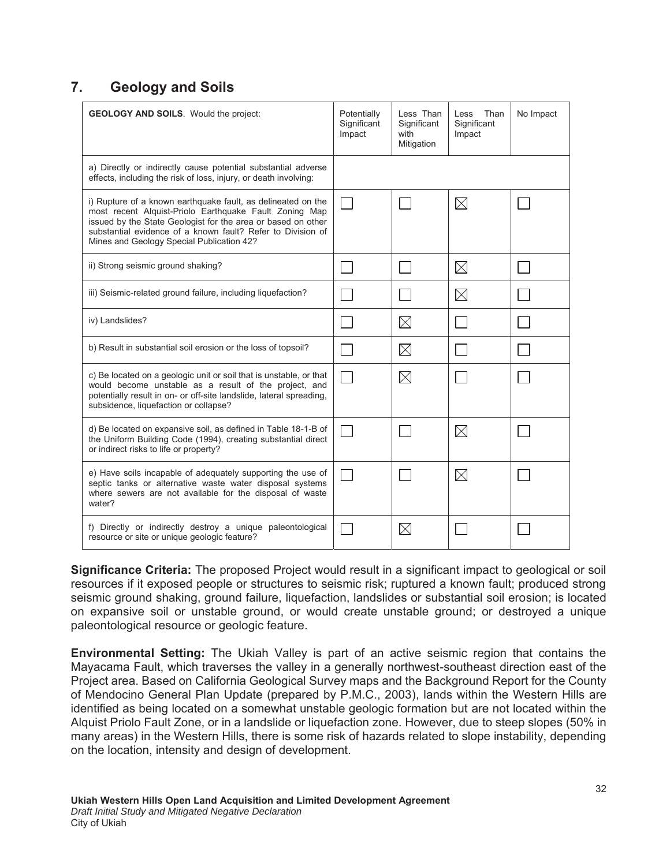# **7.** Geology and Soils

| <b>GEOLOGY AND SOILS.</b> Would the project:                                                                                                                                                                                                                                                       | Potentially<br>Significant<br>Impact | Less Than<br>Significant<br>with<br>Mitigation | Than<br>Less<br>Significant<br>Impact | No Impact |
|----------------------------------------------------------------------------------------------------------------------------------------------------------------------------------------------------------------------------------------------------------------------------------------------------|--------------------------------------|------------------------------------------------|---------------------------------------|-----------|
| a) Directly or indirectly cause potential substantial adverse<br>effects, including the risk of loss, injury, or death involving:                                                                                                                                                                  |                                      |                                                |                                       |           |
| i) Rupture of a known earthquake fault, as delineated on the<br>most recent Alquist-Priolo Earthquake Fault Zoning Map<br>issued by the State Geologist for the area or based on other<br>substantial evidence of a known fault? Refer to Division of<br>Mines and Geology Special Publication 42? |                                      |                                                | $\boxtimes$                           |           |
| ii) Strong seismic ground shaking?                                                                                                                                                                                                                                                                 |                                      |                                                | $\boxtimes$                           |           |
| iii) Seismic-related ground failure, including liquefaction?                                                                                                                                                                                                                                       |                                      |                                                | $\boxtimes$                           |           |
| iv) Landslides?                                                                                                                                                                                                                                                                                    |                                      | $\boxtimes$                                    |                                       |           |
| b) Result in substantial soil erosion or the loss of topsoil?                                                                                                                                                                                                                                      |                                      | $\boxtimes$                                    |                                       |           |
| c) Be located on a geologic unit or soil that is unstable, or that<br>would become unstable as a result of the project, and<br>potentially result in on- or off-site landslide, lateral spreading,<br>subsidence, liquefaction or collapse?                                                        |                                      | $\boxtimes$                                    |                                       |           |
| d) Be located on expansive soil, as defined in Table 18-1-B of<br>the Uniform Building Code (1994), creating substantial direct<br>or indirect risks to life or property?                                                                                                                          |                                      |                                                | $\boxtimes$                           |           |
| e) Have soils incapable of adequately supporting the use of<br>septic tanks or alternative waste water disposal systems<br>where sewers are not available for the disposal of waste<br>water?                                                                                                      |                                      |                                                | $\boxtimes$                           |           |
| f) Directly or indirectly destroy a unique paleontological<br>resource or site or unique geologic feature?                                                                                                                                                                                         |                                      | $\times$                                       |                                       |           |

**Significance Criteria:** The proposed Project would result in a significant impact to geological or soil resources if it exposed people or structures to seismic risk; ruptured a known fault; produced strong seismic ground shaking, ground failure, liquefaction, landslides or substantial soil erosion; is located on expansive soil or unstable ground, or would create unstable ground; or destroyed a unique paleontological resource or geologic feature.

**Environmental Setting:** The Ukiah Valley is part of an active seismic region that contains the Mayacama Fault, which traverses the valley in a generally northwest-southeast direction east of the Project area. Based on California Geological Survey maps and the Background Report for the County of Mendocino General Plan Update (prepared by P.M.C., 2003), lands within the Western Hills are identified as being located on a somewhat unstable geologic formation but are not located within the Alquist Priolo Fault Zone, or in a landslide or liquefaction zone. However, due to steep slopes (50% in many areas) in the Western Hills, there is some risk of hazards related to slope instability, depending on the location, intensity and design of development.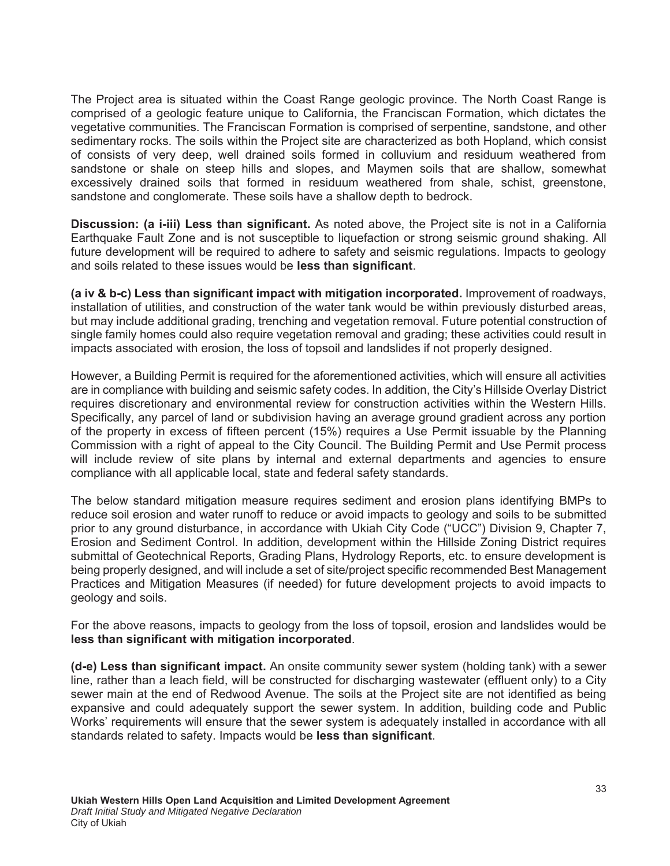The Project area is situated within the Coast Range geologic province. The North Coast Range is comprised of a geologic feature unique to California, the Franciscan Formation, which dictates the vegetative communities. The Franciscan Formation is comprised of serpentine, sandstone, and other sedimentary rocks. The soils within the Project site are characterized as both Hopland, which consist of consists of very deep, well drained soils formed in colluvium and residuum weathered from sandstone or shale on steep hills and slopes, and Maymen soils that are shallow, somewhat excessively drained soils that formed in residuum weathered from shale, schist, greenstone, sandstone and conglomerate. These soils have a shallow depth to bedrock.

**Discussion: (a i-iii) Less than significant.** As noted above, the Project site is not in a California Earthquake Fault Zone and is not susceptible to liquefaction or strong seismic ground shaking. All future development will be required to adhere to safety and seismic regulations. Impacts to geology and soils related to these issues would be less than significant.

(a iv & b-c) Less than significant impact with mitigation incorporated. Improvement of roadways, installation of utilities, and construction of the water tank would be within previously disturbed areas, but may include additional grading, trenching and vegetation removal. Future potential construction of single family homes could also require vegetation removal and grading; these activities could result in impacts associated with erosion, the loss of topsoil and landslides if not properly designed.

However, a Building Permit is required for the aforementioned activities, which will ensure all activities are in compliance with building and seismic safety codes. In addition, the City's Hillside Overlay District requires discretionary and environmental review for construction activities within the Western Hills. Specifically, any parcel of land or subdivision having an average ground gradient across any portion of the property in excess of fifteen percent (15%) requires a Use Permit issuable by the Planning Commission with a right of appeal to the City Council. The Building Permit and Use Permit process will include review of site plans by internal and external departments and agencies to ensure compliance with all applicable local, state and federal safety standards.

The below standard mitigation measure requires sediment and erosion plans identifying BMPs to reduce soil erosion and water runoff to reduce or avoid impacts to geology and soils to be submitted prior to any ground disturbance, in accordance with Ukiah City Code ("UCC") Division 9, Chapter 7, Erosion and Sediment Control. In addition, development within the Hillside Zoning District requires submittal of Geotechnical Reports, Grading Plans, Hydrology Reports, etc. to ensure development is being properly designed, and will include a set of site/project specific recommended Best Management Practices and Mitigation Measures (if needed) for future development projects to avoid impacts to geology and soils.

For the above reasons, impacts to geology from the loss of topsoil, erosion and landslides would be less than significant with mitigation incorporated.

**(d-e) Less than significant impact.** An onsite community sewer system (holding tank) with a sewer line, rather than a leach field, will be constructed for discharging wastewater (effluent only) to a City sewer main at the end of Redwood Avenue. The soils at the Project site are not identified as being expansive and could adequately support the sewer system. In addition, building code and Public Works' requirements will ensure that the sewer system is adequately installed in accordance with all standards related to safety. Impacts would be **less than significant**.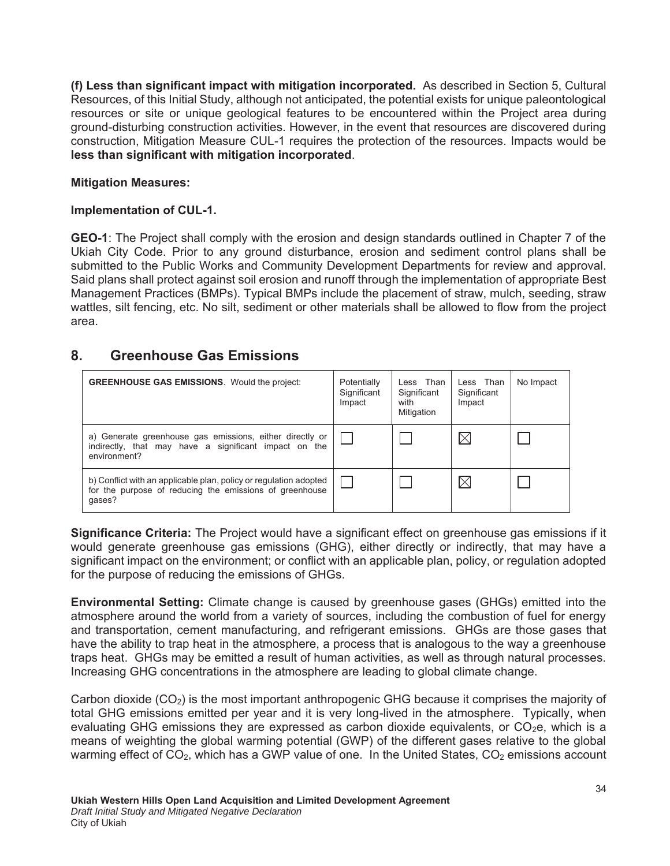**(f) Less than significant impact with mitigation incorporated.** As described in Section 5, Cultural Resources, of this Initial Study, although not anticipated, the potential exists for unique paleontological resources or site or unique geological features to be encountered within the Project area during ground-disturbing construction activities. However, in the event that resources are discovered during construction, Mitigation Measure CUL-1 requires the protection of the resources. Impacts would be less than significant with mitigation incorporated.

## **Mitigation Measures:**

## **Implementation of CUL-1.**

GEO-1: The Project shall comply with the erosion and design standards outlined in Chapter 7 of the Ukiah City Code. Prior to any ground disturbance, erosion and sediment control plans shall be submitted to the Public Works and Community Development Departments for review and approval. Said plans shall protect against soil erosion and runoff through the implementation of appropriate Best Management Practices (BMPs). Typical BMPs include the placement of straw, mulch, seeding, straw wattles, silt fencing, etc. No silt, sediment or other materials shall be allowed to flow from the project area.

# 8. Greenhouse Gas Emissions

| <b>GREENHOUSE GAS EMISSIONS.</b> Would the project:                                                                                    | Potentially<br>Significant<br>Impact | Less Than<br>Significant<br>with<br>Mitigation | Less Than<br>Significant<br>Impact | No Impact |
|----------------------------------------------------------------------------------------------------------------------------------------|--------------------------------------|------------------------------------------------|------------------------------------|-----------|
| a) Generate greenhouse gas emissions, either directly or<br>indirectly, that may have a significant impact on the<br>environment?      |                                      |                                                | IX                                 |           |
| b) Conflict with an applicable plan, policy or regulation adopted<br>for the purpose of reducing the emissions of greenhouse<br>qases? |                                      |                                                | IX                                 |           |

**Significance Criteria:** The Project would have a significant effect on greenhouse gas emissions if it would generate greenhouse gas emissions (GHG), either directly or indirectly, that may have a significant impact on the environment; or conflict with an applicable plan, policy, or regulation adopted for the purpose of reducing the emissions of GHGs.

**Environmental Setting:** Climate change is caused by greenhouse gases (GHGs) emitted into the atmosphere around the world from a variety of sources, including the combustion of fuel for energy and transportation, cement manufacturing, and refrigerant emissions. GHGs are those gases that have the ability to trap heat in the atmosphere, a process that is analogous to the way a greenhouse traps heat. GHGs may be emitted a result of human activities, as well as through natural processes. Increasing GHG concentrations in the atmosphere are leading to global climate change.

Carbon dioxide  $(CO_2)$  is the most important anthropogenic GHG because it comprises the majority of total GHG emissions emitted per year and it is very long-lived in the atmosphere. Typically, when evaluating GHG emissions they are expressed as carbon dioxide equivalents, or  $CO<sub>2</sub>e$ , which is a means of weighting the global warming potential (GWP) of the different gases relative to the global warming effect of  $CO<sub>2</sub>$ , which has a GWP value of one. In the United States,  $CO<sub>2</sub>$  emissions account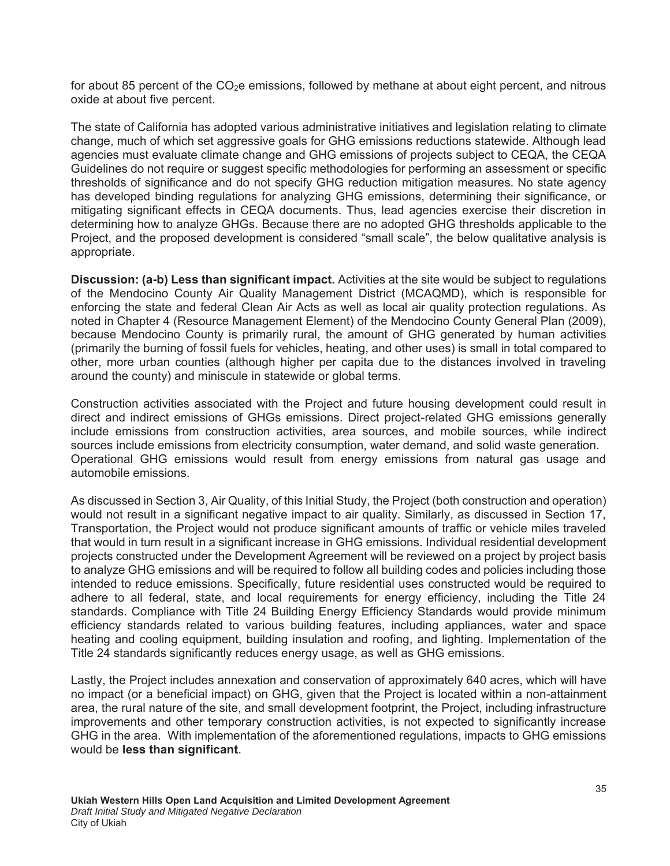for about 85 percent of the  $CO<sub>2</sub>e$  emissions, followed by methane at about eight percent, and nitrous oxide at about five percent.

The state of California has adopted various administrative initiatives and legislation relating to climate change, much of which set aggressive goals for GHG emissions reductions statewide. Although lead agencies must evaluate climate change and GHG emissions of projects subject to CEQA, the CEQA Guidelines do not require or suggest specific methodologies for performing an assessment or specific thresholds of significance and do not specify GHG reduction mitigation measures. No state agency has developed binding regulations for analyzing GHG emissions, determining their significance, or mitigating significant effects in CEQA documents. Thus, lead agencies exercise their discretion in determining how to analyze GHGs. Because there are no adopted GHG thresholds applicable to the Project, and the proposed development is considered "small scale", the below qualitative analysis is appropriate.

**Discussion: (a-b) Less than significant impact.** Activities at the site would be subject to regulations of the Mendocino County Air Quality Management District (MCAQMD), which is responsible for enforcing the state and federal Clean Air Acts as well as local air quality protection regulations. As noted in Chapter 4 (Resource Management Element) of the Mendocino County General Plan (2009), because Mendocino County is primarily rural, the amount of GHG generated by human activities (primarily the burning of fossil fuels for vehicles, heating, and other uses) is small in total compared to other, more urban counties (although higher per capita due to the distances involved in traveling around the county) and miniscule in statewide or global terms.

Construction activities associated with the Project and future housing development could result in direct and indirect emissions of GHGs emissions. Direct project-related GHG emissions generally include emissions from construction activities, area sources, and mobile sources, while indirect sources include emissions from electricity consumption, water demand, and solid waste generation. Operational GHG emissions would result from energy emissions from natural gas usage and automobile emissions.

As discussed in Section 3, Air Quality, of this Initial Study, the Project (both construction and operation) would not result in a significant negative impact to air quality. Similarly, as discussed in Section 17, Transportation, the Project would not produce significant amounts of traffic or vehicle miles traveled that would in turn result in a significant increase in GHG emissions. Individual residential development projects constructed under the Development Agreement will be reviewed on a project by project basis to analyze GHG emissions and will be required to follow all building codes and policies including those intended to reduce emissions. Specifically, future residential uses constructed would be required to adhere to all federal, state, and local requirements for energy efficiency, including the Title 24 standards. Compliance with Title 24 Building Energy Efficiency Standards would provide minimum efficiency standards related to various building features, including appliances, water and space heating and cooling equipment, building insulation and roofing, and lighting. Implementation of the Title 24 standards significantly reduces energy usage, as well as GHG emissions.

Lastly, the Project includes annexation and conservation of approximately 640 acres, which will have no impact (or a beneficial impact) on GHG, given that the Project is located within a non-attainment area, the rural nature of the site, and small development footprint, the Project, including infrastructure improvements and other temporary construction activities, is not expected to significantly increase GHG in the area. With implementation of the aforementioned regulations, impacts to GHG emissions would be **less than significant**.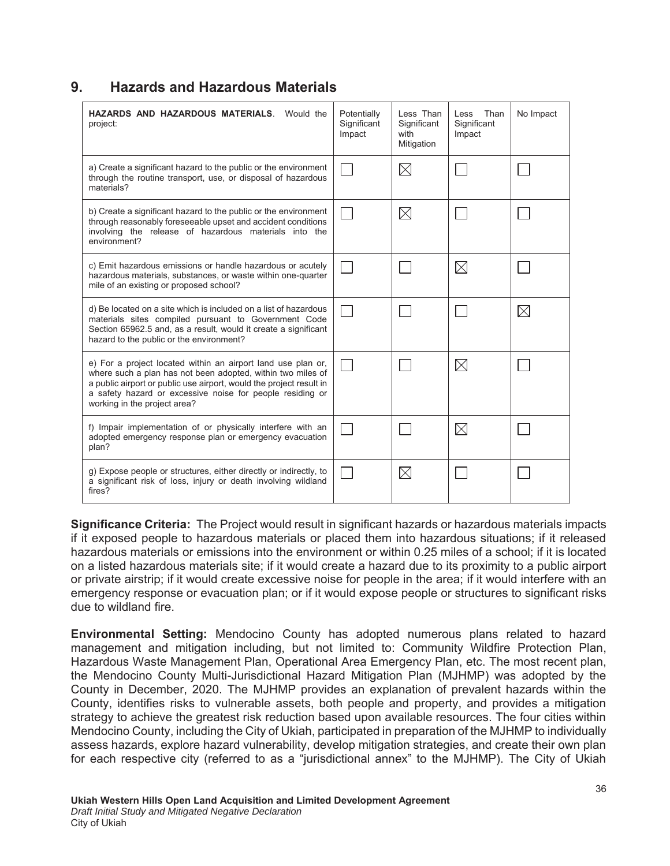### **9. Hazards and Hazardous Materials**

| HAZARDS AND HAZARDOUS MATERIALS.<br>Would the<br>project:                                                                                                                                                                                                                                       | Potentially<br>Significant<br>Impact | Less Than<br>Significant<br>with<br>Mitigation | Than<br>Less<br>Significant<br>Impact | No Impact   |
|-------------------------------------------------------------------------------------------------------------------------------------------------------------------------------------------------------------------------------------------------------------------------------------------------|--------------------------------------|------------------------------------------------|---------------------------------------|-------------|
| a) Create a significant hazard to the public or the environment<br>through the routine transport, use, or disposal of hazardous<br>materials?                                                                                                                                                   |                                      | $\boxtimes$                                    |                                       |             |
| b) Create a significant hazard to the public or the environment<br>through reasonably foreseeable upset and accident conditions<br>involving the release of hazardous materials into the<br>environment?                                                                                        |                                      | $\boxtimes$                                    |                                       |             |
| c) Emit hazardous emissions or handle hazardous or acutely<br>hazardous materials, substances, or waste within one-quarter<br>mile of an existing or proposed school?                                                                                                                           |                                      |                                                | $\boxtimes$                           |             |
| d) Be located on a site which is included on a list of hazardous<br>materials sites compiled pursuant to Government Code<br>Section 65962.5 and, as a result, would it create a significant<br>hazard to the public or the environment?                                                         |                                      |                                                |                                       | $\boxtimes$ |
| e) For a project located within an airport land use plan or,<br>where such a plan has not been adopted, within two miles of<br>a public airport or public use airport, would the project result in<br>a safety hazard or excessive noise for people residing or<br>working in the project area? |                                      |                                                | $\boxtimes$                           |             |
| f) Impair implementation of or physically interfere with an<br>adopted emergency response plan or emergency evacuation<br>plan?                                                                                                                                                                 |                                      |                                                | $\boxtimes$                           |             |
| g) Expose people or structures, either directly or indirectly, to<br>a significant risk of loss, injury or death involving wildland<br>fires?                                                                                                                                                   |                                      | $\boxtimes$                                    |                                       |             |

**Significance Criteria:** The Project would result in significant hazards or hazardous materials impacts if it exposed people to hazardous materials or placed them into hazardous situations; if it released hazardous materials or emissions into the environment or within 0.25 miles of a school; if it is located on a listed hazardous materials site; if it would create a hazard due to its proximity to a public airport or private airstrip; if it would create excessive noise for people in the area; if it would interfere with an emergency response or evacuation plan; or if it would expose people or structures to significant risks due to wildland fire.

**Environmental Setting:** Mendocino County has adopted numerous plans related to hazard management and mitigation including, but not limited to: Community Wildfire Protection Plan, Hazardous Waste Management Plan, Operational Area Emergency Plan, etc. The most recent plan, the Mendocino County Multi-Jurisdictional Hazard Mitigation Plan (MJHMP) was adopted by the County in December, 2020. The MJHMP provides an explanation of prevalent hazards within the County, identifies risks to vulnerable assets, both people and property, and provides a mitigation strategy to achieve the greatest risk reduction based upon available resources. The four cities within Mendocino County, including the City of Ukiah, participated in preparation of the MJHMP to individually assess hazards, explore hazard vulnerability, develop mitigation strategies, and create their own plan for each respective city (referred to as a "jurisdictional annex" to the MJHMP). The City of Ukiah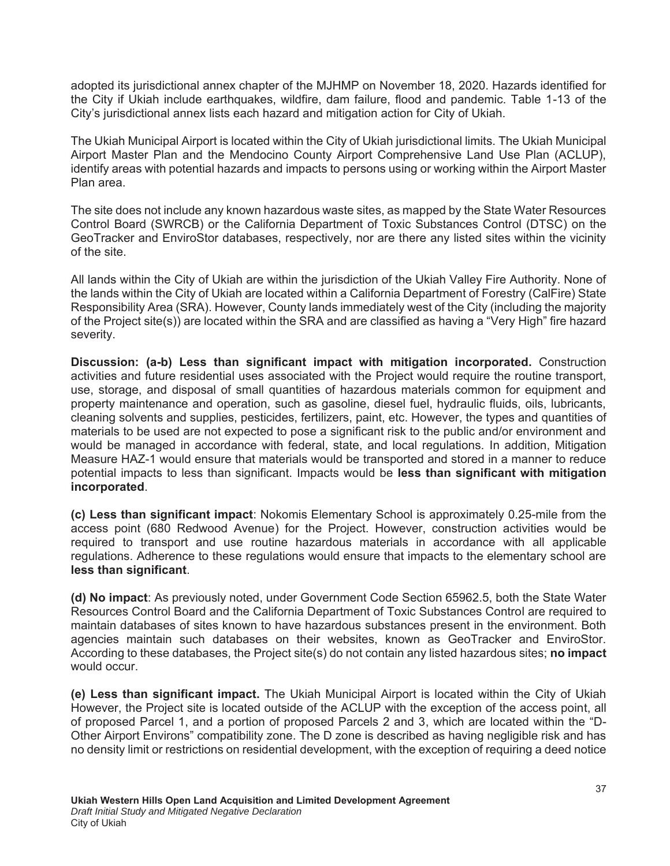adopted its jurisdictional annex chapter of the MJHMP on November 18, 2020. Hazards identified for the City if Ukiah include earthquakes, wildfire, dam failure, flood and pandemic. Table 1-13 of the City's jurisdictional annex lists each hazard and mitigation action for City of Ukiah.

The Ukiah Municipal Airport is located within the City of Ukiah jurisdictional limits. The Ukiah Municipal Airport Master Plan and the Mendocino County Airport Comprehensive Land Use Plan (ACLUP), identify areas with potential hazards and impacts to persons using or working within the Airport Master Plan area.

The site does not include any known hazardous waste sites, as mapped by the State Water Resources Control Board (SWRCB) or the California Department of Toxic Substances Control (DTSC) on the GeoTracker and EnviroStor databases, respectively, nor are there any listed sites within the vicinity of the site.

All lands within the City of Ukiah are within the jurisdiction of the Ukiah Valley Fire Authority. None of the lands within the City of Ukiah are located within a California Department of Forestry (CalFire) State Responsibility Area (SRA). However, County lands immediately west of the City (including the majority of the Project site(s)) are located within the SRA and are classified as having a "Very High" fire hazard severity.

**Discussion: (a-b) Less than significant impact with mitigation incorporated.** Construction activities and future residential uses associated with the Project would require the routine transport, use, storage, and disposal of small quantities of hazardous materials common for equipment and property maintenance and operation, such as gasoline, diesel fuel, hydraulic fluids, oils, lubricants, cleaning solvents and supplies, pesticides, fertilizers, paint, etc. However, the types and quantities of materials to be used are not expected to pose a significant risk to the public and/or environment and would be managed in accordance with federal, state, and local regulations. In addition, Mitigation Measure HAZ-1 would ensure that materials would be transported and stored in a manner to reduce potential impacts to less than significant. Impacts would be less than significant with mitigation **incorporated.** 

**(c) Less than significant impact:** Nokomis Elementary School is approximately 0.25-mile from the access point (680 Redwood Avenue) for the Project. However, construction activities would be required to transport and use routine hazardous materials in accordance with all applicable regulations. Adherence to these regulations would ensure that impacts to the elementary school are less than significant.

(d) No impact: As previously noted, under Government Code Section 65962.5, both the State Water Resources Control Board and the California Department of Toxic Substances Control are required to maintain databases of sites known to have hazardous substances present in the environment. Both agencies maintain such databases on their websites, known as GeoTracker and EnviroStor. According to these databases, the Project site(s) do not contain any listed hazardous sites; **no impact** would occur.

(e) Less than significant impact. The Ukiah Municipal Airport is located within the City of Ukiah However, the Project site is located outside of the ACLUP with the exception of the access point, all of proposed Parcel 1, and a portion of proposed Parcels 2 and 3, which are located within the "D-Other Airport Environs" compatibility zone. The D zone is described as having negligible risk and has no density limit or restrictions on residential development, with the exception of requiring a deed notice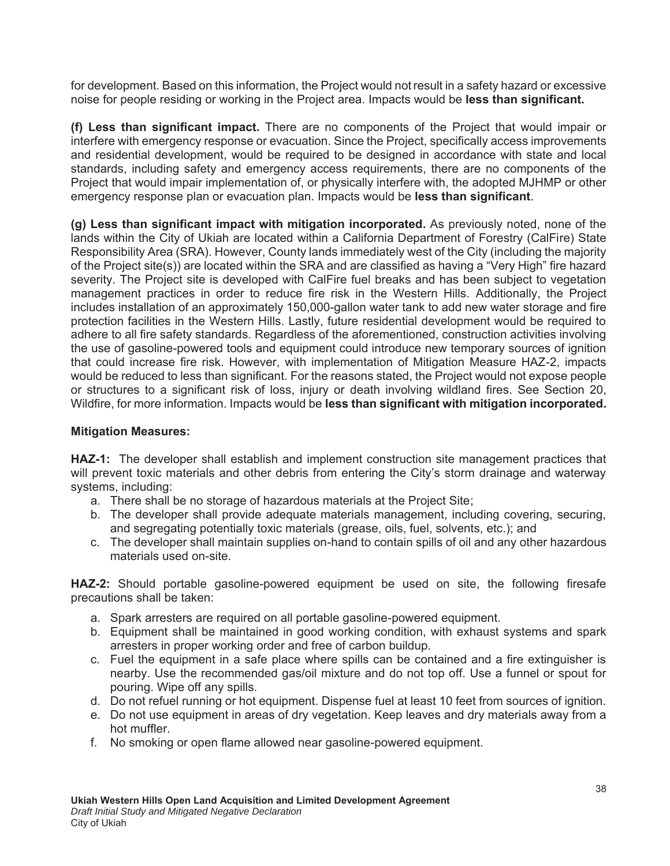for development. Based on this information, the Project would not result in a safety hazard or excessive noise for people residing or working in the Project area. Impacts would be less than significant.

**If) Less than significant impact.** There are no components of the Project that would impair or interfere with emergency response or evacuation. Since the Project, specifically access improvements and residential development, would be required to be designed in accordance with state and local standards, including safety and emergency access requirements, there are no components of the Project that would impair implementation of, or physically interfere with, the adopted MJHMP or other emergency response plan or evacuation plan. Impacts would be **less than significant**.

(g) Less than significant impact with mitigation incorporated. As previously noted, none of the lands within the City of Ukiah are located within a California Department of Forestry (CalFire) State Responsibility Area (SRA). However, County lands immediately west of the City (including the majority of the Project site(s)) are located within the SRA and are classified as having a "Very High" fire hazard severity. The Project site is developed with CalFire fuel breaks and has been subject to vegetation management practices in order to reduce fire risk in the Western Hills. Additionally, the Project includes installation of an approximately 150,000-gallon water tank to add new water storage and fire protection facilities in the Western Hills. Lastly, future residential development would be required to adhere to all fire safety standards. Regardless of the aforementioned, construction activities involving the use of gasoline-powered tools and equipment could introduce new temporary sources of ignition that could increase fire risk. However, with implementation of Mitigation Measure HAZ-2, impacts would be reduced to less than significant. For the reasons stated, the Project would not expose people or structures to a significant risk of loss, injury or death involving wildland fires. See Section 20, Wildfire, for more information. Impacts would be **less than significant with mitigation incorporated.** 

#### **Mitigation Measures:**

**HAZ-1:** The developer shall establish and implement construction site management practices that will prevent toxic materials and other debris from entering the City's storm drainage and waterway systems, including:

- a. There shall be no storage of hazardous materials at the Project Site;
- b. The developer shall provide adequate materials management, including covering, securing, and segregating potentially toxic materials (grease, oils, fuel, solvents, etc.); and
- c. The developer shall maintain supplies on-hand to contain spills of oil and any other hazardous materials used on-site.

**HAZ-2:** Should portable gasoline-powered equipment be used on site, the following firesafe precautions shall be taken:

- a. Spark arresters are required on all portable gasoline-powered equipment.
- b. Equipment shall be maintained in good working condition, with exhaust systems and spark arresters in proper working order and free of carbon buildup.
- c. Fuel the equipment in a safe place where spills can be contained and a fire extinguisher is nearby. Use the recommended gas/oil mixture and do not top off. Use a funnel or spout for pouring. Wipe off any spills.
- d. Do not refuel running or hot equipment. Dispense fuel at least 10 feet from sources of ignition.
- e. Do not use equipment in areas of dry vegetation. Keep leaves and dry materials away from a hot muffler.
- f. No smoking or open flame allowed near gasoline-powered equipment.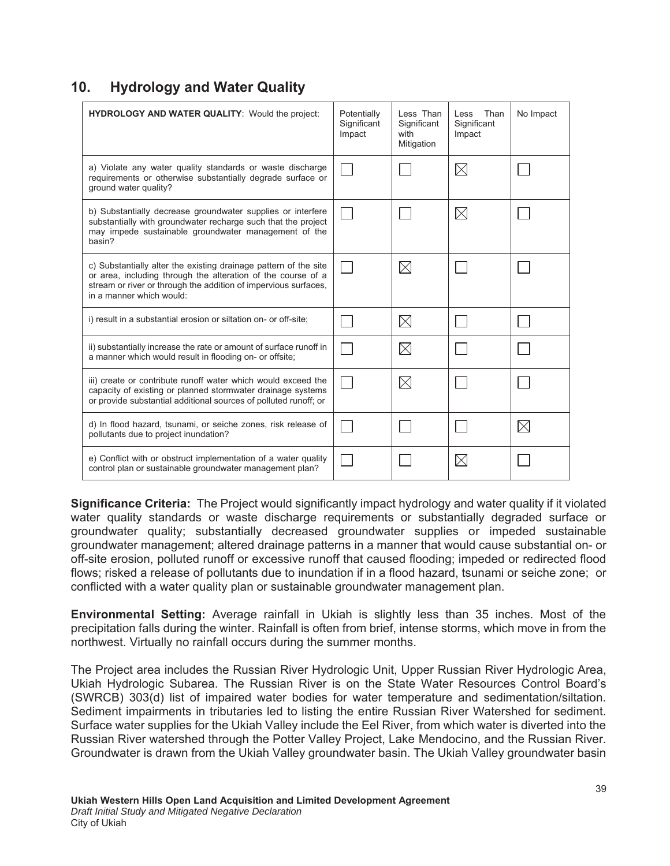### **10.** Hydrology and Water Quality

| <b>HYDROLOGY AND WATER QUALITY: Would the project:</b>                                                                                                                                                                          | Potentially<br>Significant<br>Impact | Less Than<br>Significant<br>with<br>Mitigation | Than<br>l ess<br>Significant<br>Impact | No Impact   |
|---------------------------------------------------------------------------------------------------------------------------------------------------------------------------------------------------------------------------------|--------------------------------------|------------------------------------------------|----------------------------------------|-------------|
| a) Violate any water quality standards or waste discharge<br>requirements or otherwise substantially degrade surface or<br>ground water quality?                                                                                |                                      |                                                | $\boxtimes$                            |             |
| b) Substantially decrease groundwater supplies or interfere<br>substantially with groundwater recharge such that the project<br>may impede sustainable groundwater management of the<br>basin?                                  |                                      |                                                | $\boxtimes$                            |             |
| c) Substantially alter the existing drainage pattern of the site<br>or area, including through the alteration of the course of a<br>stream or river or through the addition of impervious surfaces,<br>in a manner which would: |                                      | $\times$                                       |                                        |             |
| i) result in a substantial erosion or siltation on- or off-site;                                                                                                                                                                |                                      | $\boxtimes$                                    |                                        |             |
| ii) substantially increase the rate or amount of surface runoff in<br>a manner which would result in flooding on- or offsite;                                                                                                   |                                      | $\boxtimes$                                    |                                        |             |
| iii) create or contribute runoff water which would exceed the<br>capacity of existing or planned stormwater drainage systems<br>or provide substantial additional sources of polluted runoff; or                                |                                      | $\boxtimes$                                    |                                        |             |
| d) In flood hazard, tsunami, or seiche zones, risk release of<br>pollutants due to project inundation?                                                                                                                          |                                      |                                                |                                        | $\boxtimes$ |
| e) Conflict with or obstruct implementation of a water quality<br>control plan or sustainable groundwater management plan?                                                                                                      |                                      |                                                | $\boxtimes$                            |             |

**Significance Criteria:** The Project would significantly impact hydrology and water quality if it violated water quality standards or waste discharge requirements or substantially degraded surface or groundwater quality; substantially decreased groundwater supplies or impeded sustainable groundwater management; altered drainage patterns in a manner that would cause substantial on- or off-site erosion, polluted runoff or excessive runoff that caused flooding; impeded or redirected flood flows; risked a release of pollutants due to inundation if in a flood hazard, tsunami or seiche zone; or conflicted with a water quality plan or sustainable groundwater management plan.

**Environmental Setting:** Average rainfall in Ukiah is slightly less than 35 inches. Most of the precipitation falls during the winter. Rainfall is often from brief, intense storms, which move in from the northwest. Virtually no rainfall occurs during the summer months.

The Project area includes the Russian River Hydrologic Unit, Upper Russian River Hydrologic Area, Ukiah Hydrologic Subarea. The Russian River is on the State Water Resources Control Board's (SWRCB) 303(d) list of impaired water bodies for water temperature and sedimentation/siltation. Sediment impairments in tributaries led to listing the entire Russian River Watershed for sediment. Surface water supplies for the Ukiah Valley include the Eel River, from which water is diverted into the Russian River watershed through the Potter Valley Project, Lake Mendocino, and the Russian River. Groundwater is drawn from the Ukiah Valley groundwater basin. The Ukiah Valley groundwater basin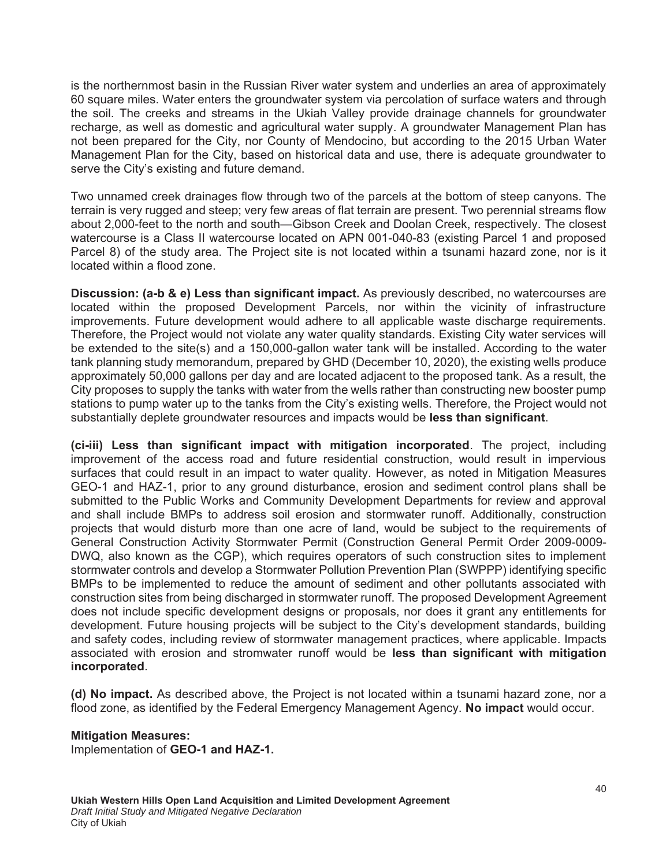is the northernmost basin in the Russian River water system and underlies an area of approximately 60 square miles. Water enters the groundwater system via percolation of surface waters and through the soil. The creeks and streams in the Ukiah Valley provide drainage channels for groundwater recharge, as well as domestic and agricultural water supply. A groundwater Management Plan has not been prepared for the City, nor County of Mendocino, but according to the 2015 Urban Water Management Plan for the City, based on historical data and use, there is adequate groundwater to serve the City's existing and future demand.

Two unnamed creek drainages flow through two of the parcels at the bottom of steep canyons. The terrain is very rugged and steep; very few areas of flat terrain are present. Two perennial streams flow about 2,000-feet to the north and south—Gibson Creek and Doolan Creek, respectively. The closest watercourse is a Class II watercourse located on APN 001-040-83 (existing Parcel 1 and proposed Parcel 8) of the study area. The Project site is not located within a tsunami hazard zone, nor is it located within a flood zone.

**Discussion: (a-b & e) Less than significant impact.** As previously described, no watercourses are located within the proposed Development Parcels, nor within the vicinity of infrastructure improvements. Future development would adhere to all applicable waste discharge requirements. Therefore, the Project would not violate any water quality standards. Existing City water services will be extended to the site(s) and a 150,000-gallon water tank will be installed. According to the water tank planning study memorandum, prepared by GHD (December 10, 2020), the existing wells produce approximately 50,000 gallons per day and are located adjacent to the proposed tank. As a result, the City proposes to supply the tanks with water from the wells rather than constructing new booster pump stations to pump water up to the tanks from the City's existing wells. Therefore, the Project would not substantially deplete groundwater resources and impacts would be less than significant.

(ci-iii) Less than significant impact with mitigation incorporated. The project, including improvement of the access road and future residential construction, would result in impervious surfaces that could result in an impact to water quality. However, as noted in Mitigation Measures GEO-1 and HAZ-1, prior to any ground disturbance, erosion and sediment control plans shall be submitted to the Public Works and Community Development Departments for review and approval and shall include BMPs to address soil erosion and stormwater runoff. Additionally, construction projects that would disturb more than one acre of land, would be subject to the requirements of General Construction Activity Stormwater Permit (Construction General Permit Order 2009-0009- DWQ, also known as the CGP), which requires operators of such construction sites to implement stormwater controls and develop a Stormwater Pollution Prevention Plan (SWPPP) identifying specific BMPs to be implemented to reduce the amount of sediment and other pollutants associated with construction sites from being discharged in stormwater runoff. The proposed Development Agreement does not include specific development designs or proposals, nor does it grant any entitlements for development. Future housing projects will be subject to the City's development standards, building and safety codes, including review of stormwater management practices, where applicable. Impacts associated with erosion and stromwater runoff would be less than significant with mitigation incorporated.

(d) No impact. As described above, the Project is not located within a tsunami hazard zone, nor a flood zone, as identified by the Federal Emergency Management Agency. **No impact** would occur.

#### **Mitigation Measures:**

Implementation of GEO-1 and HAZ-1.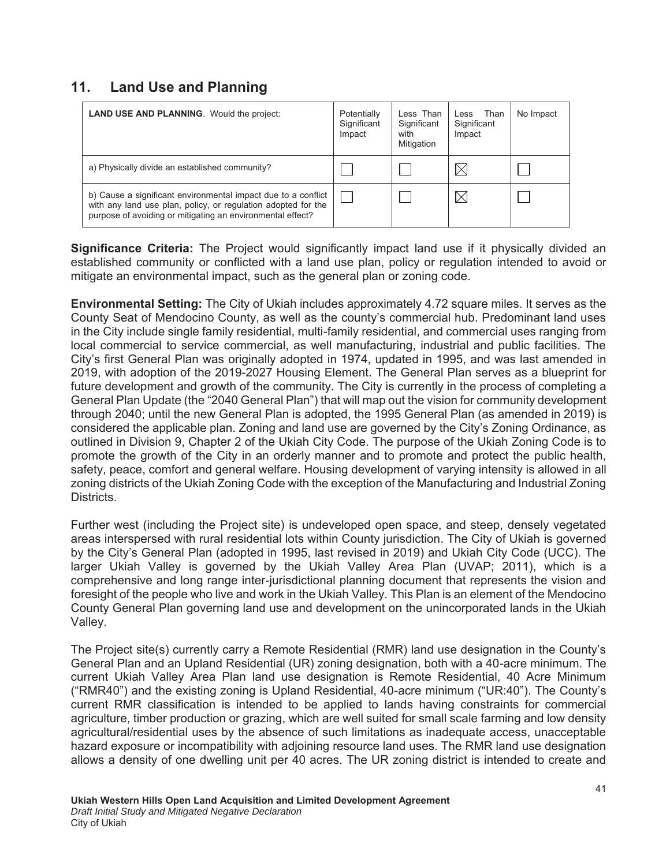# **11.** Land Use and Planning

| <b>LAND USE AND PLANNING.</b> Would the project:                                                                                                                                             | Potentially<br>Significant<br>Impact | Less Than<br>Significant<br>with<br>Mitigation | Less Than<br>Significant<br>Impact | No Impact |
|----------------------------------------------------------------------------------------------------------------------------------------------------------------------------------------------|--------------------------------------|------------------------------------------------|------------------------------------|-----------|
| a) Physically divide an established community?                                                                                                                                               |                                      |                                                |                                    |           |
| b) Cause a significant environmental impact due to a conflict<br>with any land use plan, policy, or regulation adopted for the<br>purpose of avoiding or mitigating an environmental effect? |                                      |                                                | ×                                  |           |

**Significance Criteria:** The Project would significantly impact land use if it physically divided an established community or conflicted with a land use plan, policy or regulation intended to avoid or mitigate an environmental impact, such as the general plan or zoning code.

**Environmental Setting:** The City of Ukiah includes approximately 4.72 square miles. It serves as the County Seat of Mendocino County, as well as the county's commercial hub. Predominant land uses in the City include single family residential, multi-family residential, and commercial uses ranging from local commercial to service commercial, as well manufacturing, industrial and public facilities. The City's first General Plan was originally adopted in 1974, updated in 1995, and was last amended in 2019, with adoption of the 2019-2027 Housing Element. The General Plan serves as a blueprint for future development and growth of the community. The City is currently in the process of completing a General Plan Update (the "2040 General Plan") that will map out the vision for community development through 2040; until the new General Plan is adopted, the 1995 General Plan (as amended in 2019) is considered the applicable plan. Zoning and land use are governed by the City's Zoning Ordinance, as outlined in Division 9, Chapter 2 of the Ukiah City Code. The purpose of the Ukiah Zoning Code is to promote the growth of the City in an orderly manner and to promote and protect the public health, safety, peace, comfort and general welfare. Housing development of varying intensity is allowed in all zoning districts of the Ukiah Zoning Code with the exception of the Manufacturing and Industrial Zoning **Districts** 

Further west (including the Project site) is undeveloped open space, and steep, densely vegetated areas interspersed with rural residential lots within County jurisdiction. The City of Ukiah is governed by the City's General Plan (adopted in 1995, last revised in 2019) and Ukiah City Code (UCC). The larger Ukiah Valley is governed by the Ukiah Valley Area Plan (UVAP; 2011), which is a comprehensive and long range inter-jurisdictional planning document that represents the vision and foresight of the people who live and work in the Ukiah Valley. This Plan is an element of the Mendocino County General Plan governing land use and development on the unincorporated lands in the Ukiah Valley.

The Project site(s) currently carry a Remote Residential (RMR) land use designation in the County's General Plan and an Upland Residential (UR) zoning designation, both with a 40-acre minimum. The current Ukiah Valley Area Plan land use designation is Remote Residential, 40 Acre Minimum ("RMR40") and the existing zoning is Upland Residential, 40-acre minimum ("UR:40"). The County's current RMR classification is intended to be applied to lands having constraints for commercial agriculture, timber production or grazing, which are well suited for small scale farming and low density agricultural/residential uses by the absence of such limitations as inadequate access, unacceptable hazard exposure or incompatibility with adjoining resource land uses. The RMR land use designation allows a density of one dwelling unit per 40 acres. The UR zoning district is intended to create and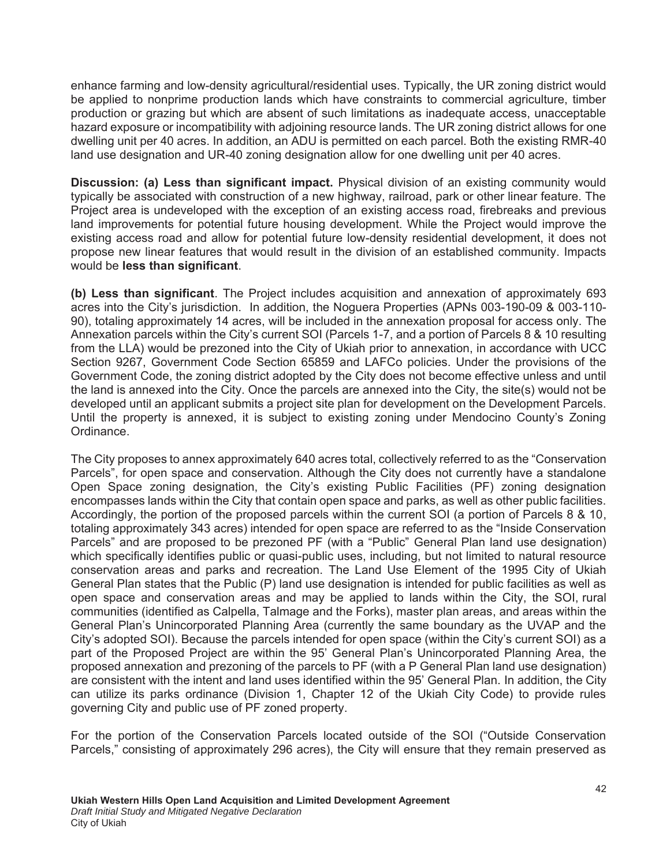enhance farming and low-density agricultural/residential uses. Typically, the UR zoning district would be applied to nonprime production lands which have constraints to commercial agriculture, timber production or grazing but which are absent of such limitations as inadequate access, unacceptable hazard exposure or incompatibility with adjoining resource lands. The UR zoning district allows for one dwelling unit per 40 acres. In addition, an ADU is permitted on each parcel. Both the existing RMR-40 land use designation and UR-40 zoning designation allow for one dwelling unit per 40 acres.

**Discussion: (a) Less than significant impact.** Physical division of an existing community would typically be associated with construction of a new highway, railroad, park or other linear feature. The Project area is undeveloped with the exception of an existing access road, firebreaks and previous land improvements for potential future housing development. While the Project would improve the existing access road and allow for potential future low-density residential development, it does not propose new linear features that would result in the division of an established community. Impacts would be **less than significant**.

**(b) Less than significant**. The Project includes acquisition and annexation of approximately 693 acres into the City's jurisdiction. In addition, the Noguera Properties (APNs 003-190-09 & 003-110- 90), totaling approximately 14 acres, will be included in the annexation proposal for access only. The Annexation parcels within the City's current SOI (Parcels 1-7, and a portion of Parcels 8 & 10 resulting from the LLA) would be prezoned into the City of Ukiah prior to annexation, in accordance with UCC Section 9267, Government Code Section 65859 and LAFCo policies. Under the provisions of the Government Code, the zoning district adopted by the City does not become effective unless and until the land is annexed into the City. Once the parcels are annexed into the City, the site(s) would not be developed until an applicant submits a project site plan for development on the Development Parcels. Until the property is annexed, it is subject to existing zoning under Mendocino County's Zoning Ordinance.

The City proposes to annex approximately 640 acres total, collectively referred to as the "Conservation Parcels", for open space and conservation. Although the City does not currently have a standalone Open Space zoning designation, the City's existing Public Facilities (PF) zoning designation encompasses lands within the City that contain open space and parks, as well as other public facilities. Accordingly, the portion of the proposed parcels within the current SOI (a portion of Parcels 8 & 10, totaling approximately 343 acres) intended for open space are referred to as the "Inside Conservation Parcels" and are proposed to be prezoned PF (with a "Public" General Plan land use designation) which specifically identifies public or quasi-public uses, including, but not limited to natural resource conservation areas and parks and recreation. The Land Use Element of the 1995 City of Ukiah General Plan states that the Public (P) land use designation is intended for public facilities as well as open space and conservation areas and may be applied to lands within the City, the SOI, rural communities (identified as Calpella, Talmage and the Forks), master plan areas, and areas within the General Plan's Unincorporated Planning Area (currently the same boundary as the UVAP and the City's adopted SOI). Because the parcels intended for open space (within the City's current SOI) as a part of the Proposed Project are within the 95' General Plan's Unincorporated Planning Area, the proposed annexation and prezoning of the parcels to PF (with a P General Plan land use designation) are consistent with the intent and land uses identified within the 95' General Plan. In addition, the City can utilize its parks ordinance (Division 1, Chapter 12 of the Ukiah City Code) to provide rules governing City and public use of PF zoned property.

For the portion of the Conservation Parcels located outside of the SOI ("Outside Conservation Parcels," consisting of approximately 296 acres), the City will ensure that they remain preserved as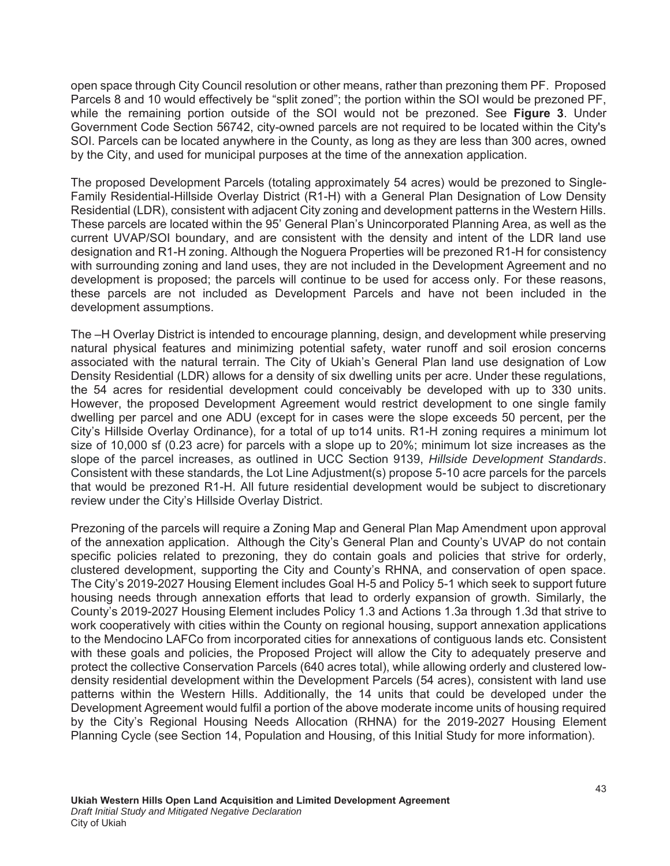open space through City Council resolution or other means, rather than prezoning them PF. Proposed Parcels 8 and 10 would effectively be "split zoned"; the portion within the SOI would be prezoned PF, while the remaining portion outside of the SOI would not be prezoned. See **Figure 3**. Under Government Code Section 56742, city-owned parcels are not required to be located within the City's SOI. Parcels can be located anywhere in the County, as long as they are less than 300 acres, owned by the City, and used for municipal purposes at the time of the annexation application.

The proposed Development Parcels (totaling approximately 54 acres) would be prezoned to Single-Family Residential-Hillside Overlay District (R1-H) with a General Plan Designation of Low Density Residential (LDR), consistent with adjacent City zoning and development patterns in the Western Hills. These parcels are located within the 95' General Plan's Unincorporated Planning Area, as well as the current UVAP/SOI boundary, and are consistent with the density and intent of the LDR land use designation and R1-H zoning. Although the Noguera Properties will be prezoned R1-H for consistency with surrounding zoning and land uses, they are not included in the Development Agreement and no development is proposed; the parcels will continue to be used for access only. For these reasons, these parcels are not included as Development Parcels and have not been included in the development assumptions.

The –H Overlay District is intended to encourage planning, design, and development while preserving natural physical features and minimizing potential safety, water runoff and soil erosion concerns associated with the natural terrain. The City of Ukiah's General Plan land use designation of Low Density Residential (LDR) allows for a density of six dwelling units per acre. Under these regulations, the 54 acres for residential development could conceivably be developed with up to 330 units. However, the proposed Development Agreement would restrict development to one single family dwelling per parcel and one ADU (except for in cases were the slope exceeds 50 percent, per the City's Hillside Overlay Ordinance), for a total of up to14 units. R1-H zoning requires a minimum lot size of 10,000 sf (0.23 acre) for parcels with a slope up to 20%; minimum lot size increases as the slope of the parcel increases, as outlined in UCC Section 9139, *Hillside Development Standards*. Consistent with these standards, the Lot Line Adjustment(s) propose 5-10 acre parcels for the parcels that would be prezoned R1-H. All future residential development would be subject to discretionary review under the City's Hillside Overlay District.

Prezoning of the parcels will require a Zoning Map and General Plan Map Amendment upon approval of the annexation application. Although the City's General Plan and County's UVAP do not contain specific policies related to prezoning, they do contain goals and policies that strive for orderly, clustered development, supporting the City and County's RHNA, and conservation of open space. The City's 2019-2027 Housing Element includes Goal H-5 and Policy 5-1 which seek to support future housing needs through annexation efforts that lead to orderly expansion of growth. Similarly, the County's 2019-2027 Housing Element includes Policy 1.3 and Actions 1.3a through 1.3d that strive to work cooperatively with cities within the County on regional housing, support annexation applications to the Mendocino LAFCo from incorporated cities for annexations of contiguous lands etc. Consistent with these goals and policies, the Proposed Project will allow the City to adequately preserve and protect the collective Conservation Parcels (640 acres total), while allowing orderly and clustered lowdensity residential development within the Development Parcels (54 acres), consistent with land use patterns within the Western Hills. Additionally, the 14 units that could be developed under the Development Agreement would fulfil a portion of the above moderate income units of housing required by the City's Regional Housing Needs Allocation (RHNA) for the 2019-2027 Housing Element Planning Cycle (see Section 14, Population and Housing, of this Initial Study for more information).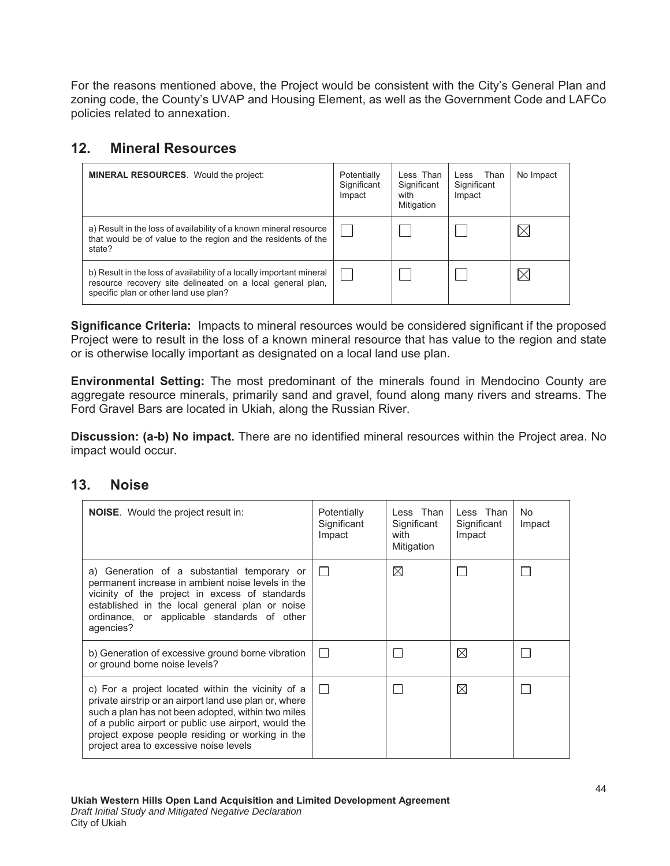For the reasons mentioned above, the Project would be consistent with the City's General Plan and zoning code, the County's UVAP and Housing Element, as well as the Government Code and LAFCo policies related to annexation.

# **12. Mineral Resources**

| <b>MINERAL RESOURCES.</b> Would the project:                                                                                                                                | Potentially<br>Significant<br>Impact | Less Than<br>Significant<br>with<br>Mitigation | Less Than<br>Significant<br>Impact | No Impact |
|-----------------------------------------------------------------------------------------------------------------------------------------------------------------------------|--------------------------------------|------------------------------------------------|------------------------------------|-----------|
| a) Result in the loss of availability of a known mineral resource<br>that would be of value to the region and the residents of the<br>state?                                |                                      |                                                |                                    |           |
| b) Result in the loss of availability of a locally important mineral<br>resource recovery site delineated on a local general plan,<br>specific plan or other land use plan? |                                      |                                                |                                    |           |

**Significance Criteria:** Impacts to mineral resources would be considered significant if the proposed Project were to result in the loss of a known mineral resource that has value to the region and state or is otherwise locally important as designated on a local land use plan.

**Environmental Setting:** The most predominant of the minerals found in Mendocino County are aggregate resource minerals, primarily sand and gravel, found along many rivers and streams. The Ford Gravel Bars are located in Ukiah, along the Russian River.

Discussion: (a-b) No impact. There are no identified mineral resources within the Project area. No impact would occur.

#### 13. Noise

| <b>NOISE.</b> Would the project result in:                                                                                                                                                                                                                                                                              | Potentially<br>Significant<br>Impact | Less Than<br>Significant<br>with<br>Mitigation | Less Than<br>Significant<br>Impact | No.<br>Impact |
|-------------------------------------------------------------------------------------------------------------------------------------------------------------------------------------------------------------------------------------------------------------------------------------------------------------------------|--------------------------------------|------------------------------------------------|------------------------------------|---------------|
| a) Generation of a substantial temporary or<br>permanent increase in ambient noise levels in the<br>vicinity of the project in excess of standards<br>established in the local general plan or noise<br>ordinance, or applicable standards of other<br>agencies?                                                        |                                      | ⊠                                              |                                    |               |
| b) Generation of excessive ground borne vibration<br>or ground borne noise levels?                                                                                                                                                                                                                                      |                                      |                                                | $\boxtimes$                        |               |
| c) For a project located within the vicinity of a<br>private airstrip or an airport land use plan or, where<br>such a plan has not been adopted, within two miles<br>of a public airport or public use airport, would the<br>project expose people residing or working in the<br>project area to excessive noise levels |                                      |                                                | ⊠                                  |               |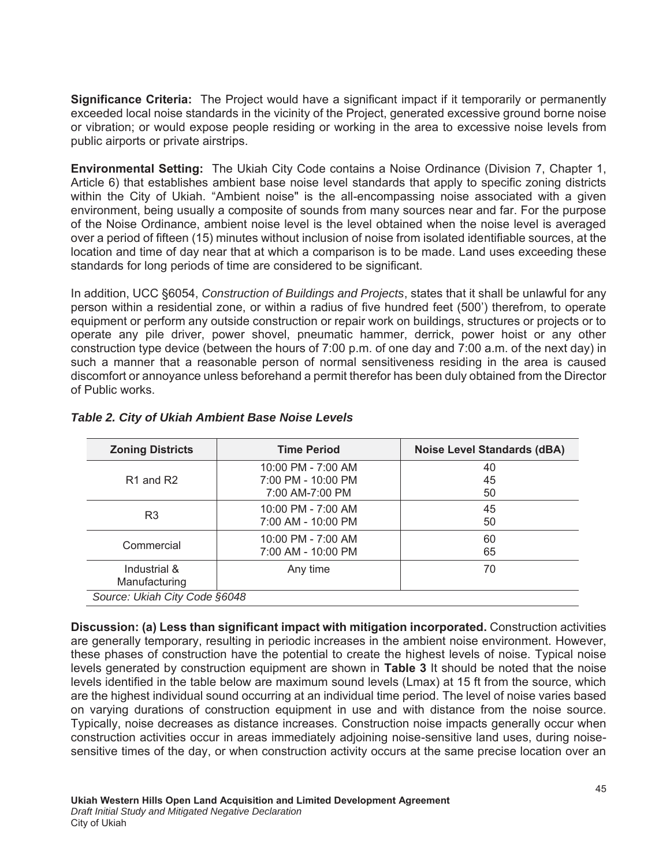**Significance Criteria:** The Project would have a significant impact if it temporarily or permanently exceeded local noise standards in the vicinity of the Project, generated excessive ground borne noise or vibration; or would expose people residing or working in the area to excessive noise levels from public airports or private airstrips.

**Environmental Setting:** The Ukiah City Code contains a Noise Ordinance (Division 7, Chapter 1, Article 6) that establishes ambient base noise level standards that apply to specific zoning districts within the City of Ukiah. "Ambient noise" is the all-encompassing noise associated with a given environment, being usually a composite of sounds from many sources near and far. For the purpose of the Noise Ordinance, ambient noise level is the level obtained when the noise level is averaged over a period of fifteen (15) minutes without inclusion of noise from isolated identifiable sources, at the location and time of day near that at which a comparison is to be made. Land uses exceeding these standards for long periods of time are considered to be significant.

In addition, UCC §6054, *Construction of Buildings and Projects*, states that it shall be unlawful for any person within a residential zone, or within a radius of five hundred feet (500') therefrom, to operate equipment or perform any outside construction or repair work on buildings, structures or projects or to operate any pile driver, power shovel, pneumatic hammer, derrick, power hoist or any other construction type device (between the hours of 7:00 p.m. of one day and 7:00 a.m. of the next day) in such a manner that a reasonable person of normal sensitiveness residing in the area is caused discomfort or annoyance unless beforehand a permit therefor has been duly obtained from the Director of Public works.

| <b>Zoning Districts</b>           | <b>Time Period</b>                                          | <b>Noise Level Standards (dBA)</b> |
|-----------------------------------|-------------------------------------------------------------|------------------------------------|
| R <sub>1</sub> and R <sub>2</sub> | 10:00 PM - 7:00 AM<br>7:00 PM - 10:00 PM<br>7:00 AM-7:00 PM | 40<br>45<br>50                     |
| R <sub>3</sub>                    | 10:00 PM - 7:00 AM<br>7:00 AM - 10:00 PM                    | 45<br>50                           |
| Commercial                        | 10:00 PM - 7:00 AM<br>7:00 AM - 10:00 PM                    | 60<br>65                           |
| Industrial &<br>Manufacturing     | Any time                                                    | 70                                 |
| Source: Ukiah City Code §6048     |                                                             |                                    |

#### *Table 2. City of Ukiah Ambient Base Noise Levels*

**Discussion: (a) Less than significant impact with mitigation incorporated. Construction activities** are generally temporary, resulting in periodic increases in the ambient noise environment. However, these phases of construction have the potential to create the highest levels of noise. Typical noise levels generated by construction equipment are shown in **Table 3** It should be noted that the noise levels identified in the table below are maximum sound levels (Lmax) at 15 ft from the source, which are the highest individual sound occurring at an individual time period. The level of noise varies based on varying durations of construction equipment in use and with distance from the noise source. Typically, noise decreases as distance increases. Construction noise impacts generally occur when construction activities occur in areas immediately adjoining noise-sensitive land uses, during noisesensitive times of the day, or when construction activity occurs at the same precise location over an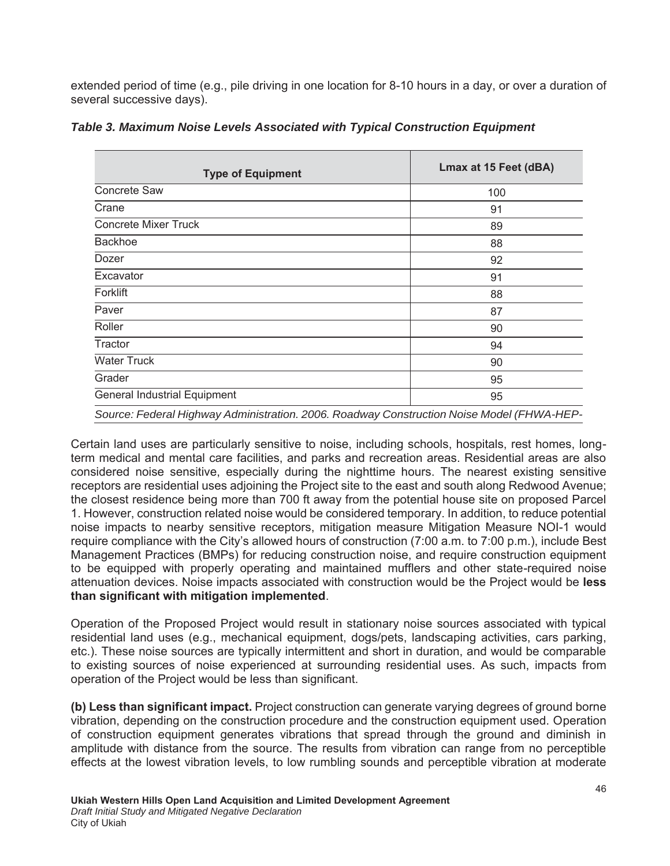extended period of time (e.g., pile driving in one location for 8-10 hours in a day, or over a duration of several successive days).

| <b>Type of Equipment</b>            | Lmax at 15 Feet (dBA) |
|-------------------------------------|-----------------------|
| Concrete Saw                        | 100                   |
| Crane                               | 91                    |
| <b>Concrete Mixer Truck</b>         | 89                    |
| <b>Backhoe</b>                      | 88                    |
| Dozer                               | 92                    |
| Excavator                           | 91                    |
| Forklift                            | 88                    |
| Paver                               | 87                    |
| Roller                              | 90                    |
| Tractor                             | 94                    |
| <b>Water Truck</b>                  | 90                    |
| Grader                              | 95                    |
| <b>General Industrial Equipment</b> | 95                    |
|                                     |                       |

*Table 3. Maximum Noise Levels Associated with Typical Construction Equipment*

*Source: Federal Highway Administration. 2006. Roadway Construction Noise Model (FHWA-HEP-*

Certain land uses are particularly sensitive to noise, including schools, hospitals, rest homes, longterm medical and mental care facilities, and parks and recreation areas. Residential areas are also considered noise sensitive, especially during the nighttime hours. The nearest existing sensitive receptors are residential uses adjoining the Project site to the east and south along Redwood Avenue; the closest residence being more than 700 ft away from the potential house site on proposed Parcel 1. However, construction related noise would be considered temporary. In addition, to reduce potential noise impacts to nearby sensitive receptors, mitigation measure Mitigation Measure NOI-1 would require compliance with the City's allowed hours of construction (7:00 a.m. to 7:00 p.m.), include Best Management Practices (BMPs) for reducing construction noise, and require construction equipment to be equipped with properly operating and maintained mufflers and other state-required noise attenuation devices. Noise impacts associated with construction would be the Project would be **less** than significant with mitigation implemented.

Operation of the Proposed Project would result in stationary noise sources associated with typical residential land uses (e.g., mechanical equipment, dogs/pets, landscaping activities, cars parking, etc.). These noise sources are typically intermittent and short in duration, and would be comparable to existing sources of noise experienced at surrounding residential uses. As such, impacts from operation of the Project would be less than significant.

**(b) Less than significant impact.** Project construction can generate varying degrees of ground borne vibration, depending on the construction procedure and the construction equipment used. Operation of construction equipment generates vibrations that spread through the ground and diminish in amplitude with distance from the source. The results from vibration can range from no perceptible effects at the lowest vibration levels, to low rumbling sounds and perceptible vibration at moderate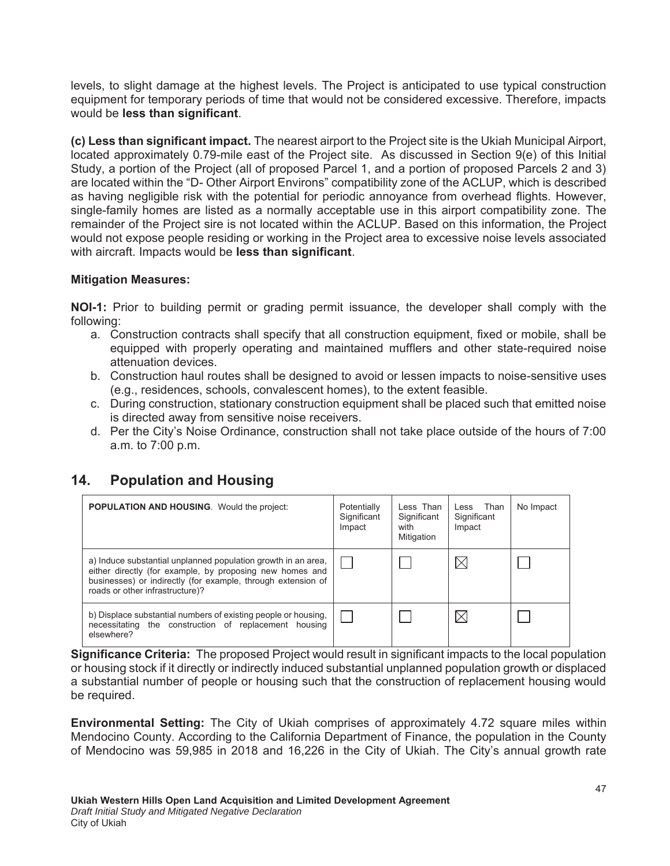levels, to slight damage at the highest levels. The Project is anticipated to use typical construction equipment for temporary periods of time that would not be considered excessive. Therefore, impacts would be **less than significant**.

(c) Less than significant impact. The nearest airport to the Project site is the Ukiah Municipal Airport, located approximately 0.79-mile east of the Project site. As discussed in Section 9(e) of this Initial Study, a portion of the Project (all of proposed Parcel 1, and a portion of proposed Parcels 2 and 3) are located within the "D- Other Airport Environs" compatibility zone of the ACLUP, which is described as having negligible risk with the potential for periodic annoyance from overhead flights. However, single-family homes are listed as a normally acceptable use in this airport compatibility zone. The remainder of the Project sire is not located within the ACLUP. Based on this information, the Project would not expose people residing or working in the Project area to excessive noise levels associated with aircraft. Impacts would be **less than significant**.

#### **Mitigation Measures:**

**NOI-1:** Prior to building permit or grading permit issuance, the developer shall comply with the following:

- a. Construction contracts shall specify that all construction equipment, fixed or mobile, shall be equipped with properly operating and maintained mufflers and other state-required noise attenuation devices.
- b. Construction haul routes shall be designed to avoid or lessen impacts to noise-sensitive uses (e.g., residences, schools, convalescent homes), to the extent feasible.
- c. During construction, stationary construction equipment shall be placed such that emitted noise is directed away from sensitive noise receivers.
- d. Per the City's Noise Ordinance, construction shall not take place outside of the hours of 7:00 a.m. to 7:00 p.m.

#### **14.** Population and Housing

| <b>POPULATION AND HOUSING.</b> Would the project:                                                                                                                                                                            | Potentially<br>Significant<br>Impact | Less Than<br>Significant<br>with<br>Mitigation | Less Than<br>Significant<br>Impact | No Impact |
|------------------------------------------------------------------------------------------------------------------------------------------------------------------------------------------------------------------------------|--------------------------------------|------------------------------------------------|------------------------------------|-----------|
| a) Induce substantial unplanned population growth in an area,<br>either directly (for example, by proposing new homes and<br>businesses) or indirectly (for example, through extension of<br>roads or other infrastructure)? |                                      |                                                | Х                                  |           |
| b) Displace substantial numbers of existing people or housing,<br>necessitating the construction of replacement housing<br>elsewhere?                                                                                        |                                      |                                                | ⋉                                  |           |

**Significance Criteria:** The proposed Project would result in significant impacts to the local population or housing stock if it directly or indirectly induced substantial unplanned population growth or displaced a substantial number of people or housing such that the construction of replacement housing would be required.

**Environmental Setting:** The City of Ukiah comprises of approximately 4.72 square miles within Mendocino County. According to the California Department of Finance, the population in the County of Mendocino was 59,985 in 2018 and 16,226 in the City of Ukiah. The City's annual growth rate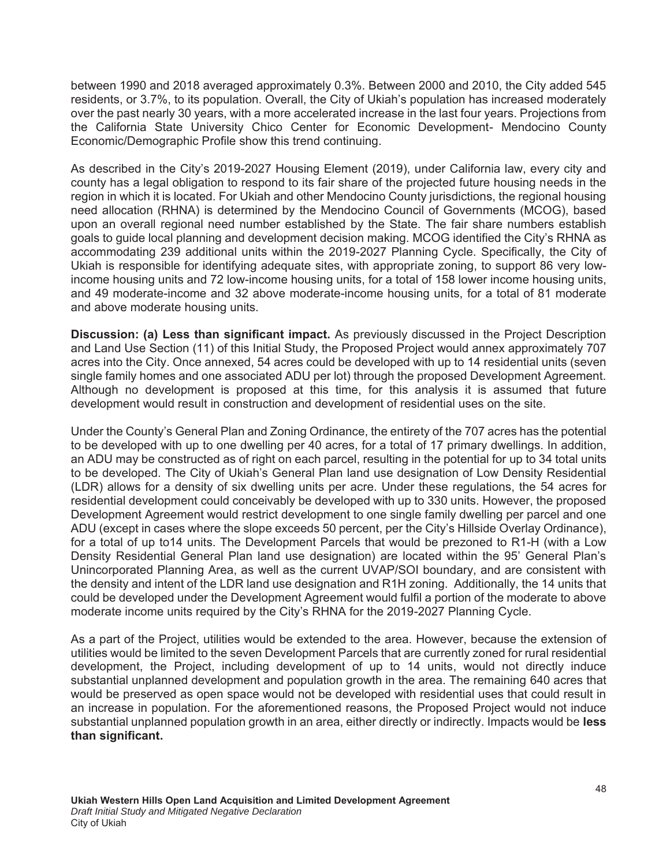between 1990 and 2018 averaged approximately 0.3%. Between 2000 and 2010, the City added 545 residents, or 3.7%, to its population. Overall, the City of Ukiah's population has increased moderately over the past nearly 30 years, with a more accelerated increase in the last four years. Projections from the California State University Chico Center for Economic Development- Mendocino County Economic/Demographic Profile show this trend continuing.

As described in the City's 2019-2027 Housing Element (2019), under California law, every city and county has a legal obligation to respond to its fair share of the projected future housing needs in the region in which it is located. For Ukiah and other Mendocino County jurisdictions, the regional housing need allocation (RHNA) is determined by the Mendocino Council of Governments (MCOG), based upon an overall regional need number established by the State. The fair share numbers establish goals to guide local planning and development decision making. MCOG identified the City's RHNA as accommodating 239 additional units within the 2019-2027 Planning Cycle. Specifically, the City of Ukiah is responsible for identifying adequate sites, with appropriate zoning, to support 86 very lowincome housing units and 72 low-income housing units, for a total of 158 lower income housing units, and 49 moderate-income and 32 above moderate-income housing units, for a total of 81 moderate and above moderate housing units.

**Discussion: (a) Less than significant impact.** As previously discussed in the Project Description and Land Use Section (11) of this Initial Study, the Proposed Project would annex approximately 707 acres into the City. Once annexed, 54 acres could be developed with up to 14 residential units (seven single family homes and one associated ADU per lot) through the proposed Development Agreement. Although no development is proposed at this time, for this analysis it is assumed that future development would result in construction and development of residential uses on the site.

Under the County's General Plan and Zoning Ordinance, the entirety of the 707 acres has the potential to be developed with up to one dwelling per 40 acres, for a total of 17 primary dwellings. In addition, an ADU may be constructed as of right on each parcel, resulting in the potential for up to 34 total units to be developed. The City of Ukiah's General Plan land use designation of Low Density Residential (LDR) allows for a density of six dwelling units per acre. Under these regulations, the 54 acres for residential development could conceivably be developed with up to 330 units. However, the proposed Development Agreement would restrict development to one single family dwelling per parcel and one ADU (except in cases where the slope exceeds 50 percent, per the City's Hillside Overlay Ordinance), for a total of up to14 units. The Development Parcels that would be prezoned to R1-H (with a Low Density Residential General Plan land use designation) are located within the 95' General Plan's Unincorporated Planning Area, as well as the current UVAP/SOI boundary, and are consistent with the density and intent of the LDR land use designation and R1H zoning. Additionally, the 14 units that could be developed under the Development Agreement would fulfil a portion of the moderate to above moderate income units required by the City's RHNA for the 2019-2027 Planning Cycle.

As a part of the Project, utilities would be extended to the area. However, because the extension of utilities would be limited to the seven Development Parcels that are currently zoned for rural residential development, the Project, including development of up to 14 units, would not directly induce substantial unplanned development and population growth in the area. The remaining 640 acres that would be preserved as open space would not be developed with residential uses that could result in an increase in population. For the aforementioned reasons, the Proposed Project would not induce substantial unplanned population growth in an area, either directly or indirectly. Impacts would be less than significant.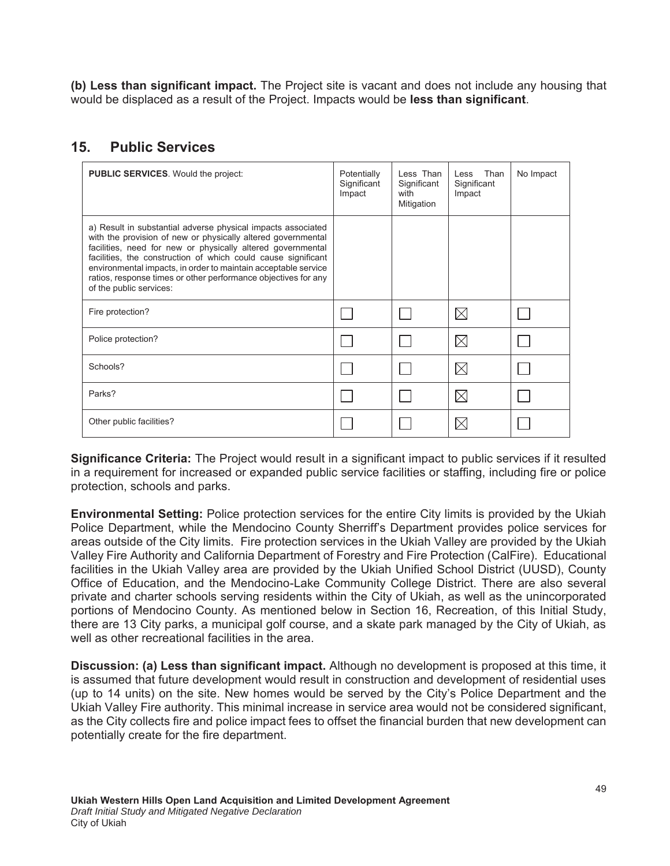(b) Less than significant impact. The Project site is vacant and does not include any housing that would be displaced as a result of the Project. Impacts would be **less than significant**.

#### **15 Public Services**

| <b>PUBLIC SERVICES.</b> Would the project:                                                                                                                                                                                                                                                                                                                                                                                  | Potentially<br>Significant<br>Impact | Less Than<br>Significant<br>with<br>Mitigation | Than<br>Less<br>Significant<br>Impact | No Impact |
|-----------------------------------------------------------------------------------------------------------------------------------------------------------------------------------------------------------------------------------------------------------------------------------------------------------------------------------------------------------------------------------------------------------------------------|--------------------------------------|------------------------------------------------|---------------------------------------|-----------|
| a) Result in substantial adverse physical impacts associated<br>with the provision of new or physically altered governmental<br>facilities, need for new or physically altered governmental<br>facilities, the construction of which could cause significant<br>environmental impacts, in order to maintain acceptable service<br>ratios, response times or other performance objectives for any<br>of the public services: |                                      |                                                |                                       |           |
| Fire protection?                                                                                                                                                                                                                                                                                                                                                                                                            |                                      |                                                | $\boxtimes$                           |           |
| Police protection?                                                                                                                                                                                                                                                                                                                                                                                                          |                                      |                                                | $\times$                              |           |
| Schools?                                                                                                                                                                                                                                                                                                                                                                                                                    |                                      |                                                | $\boxtimes$                           |           |
| Parks?                                                                                                                                                                                                                                                                                                                                                                                                                      |                                      |                                                | $\boxtimes$                           |           |
| Other public facilities?                                                                                                                                                                                                                                                                                                                                                                                                    |                                      |                                                |                                       |           |

**Significance Criteria:** The Project would result in a significant impact to public services if it resulted in a requirement for increased or expanded public service facilities or staffing, including fire or police protection, schools and parks.

**Environmental Setting:** Police protection services for the entire City limits is provided by the Ukiah Police Department, while the Mendocino County Sherriff's Department provides police services for areas outside of the City limits. Fire protection services in the Ukiah Valley are provided by the Ukiah Valley Fire Authority and California Department of Forestry and Fire Protection (CalFire). Educational facilities in the Ukiah Valley area are provided by the Ukiah Unified School District (UUSD), County Office of Education, and the Mendocino-Lake Community College District. There are also several private and charter schools serving residents within the City of Ukiah, as well as the unincorporated portions of Mendocino County. As mentioned below in Section 16, Recreation, of this Initial Study, there are 13 City parks, a municipal golf course, and a skate park managed by the City of Ukiah, as well as other recreational facilities in the area.

**Discussion: (a) Less than significant impact.** Although no development is proposed at this time, it is assumed that future development would result in construction and development of residential uses (up to 14 units) on the site. New homes would be served by the City's Police Department and the Ukiah Valley Fire authority. This minimal increase in service area would not be considered significant, as the City collects fire and police impact fees to offset the financial burden that new development can potentially create for the fire department.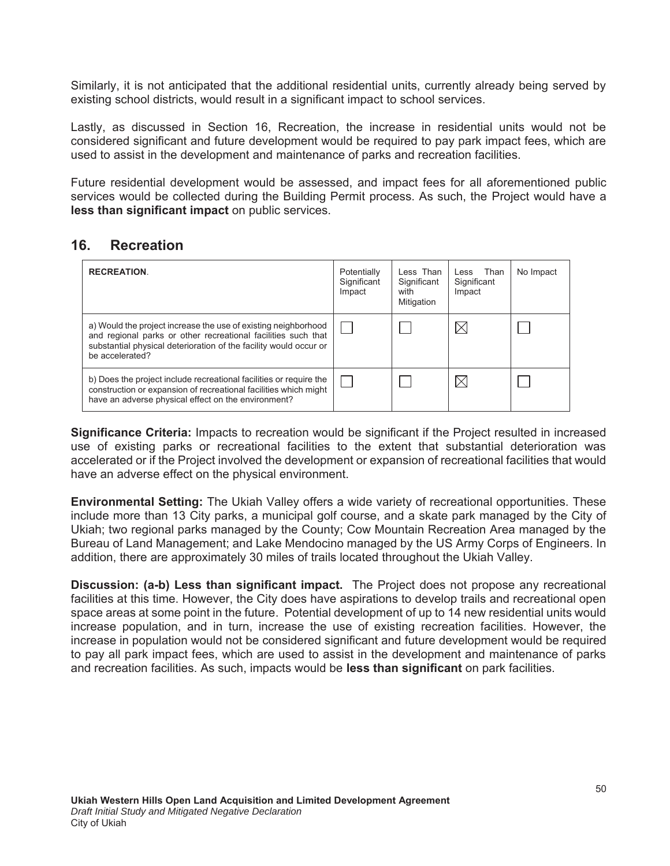Similarly, it is not anticipated that the additional residential units, currently already being served by existing school districts, would result in a significant impact to school services.

Lastly, as discussed in Section 16, Recreation, the increase in residential units would not be considered significant and future development would be required to pay park impact fees, which are used to assist in the development and maintenance of parks and recreation facilities.

Future residential development would be assessed, and impact fees for all aforementioned public services would be collected during the Building Permit process. As such, the Project would have a less than significant impact on public services.

#### 16. Recreation

| <b>RECREATION.</b>                                                                                                                                                                                                      | Potentially<br>Significant<br>Impact | Less Than<br>Significant<br>with<br>Mitigation | Less Than<br>Significant<br>Impact | No Impact |
|-------------------------------------------------------------------------------------------------------------------------------------------------------------------------------------------------------------------------|--------------------------------------|------------------------------------------------|------------------------------------|-----------|
| a) Would the project increase the use of existing neighborhood<br>and regional parks or other recreational facilities such that<br>substantial physical deterioration of the facility would occur or<br>be accelerated? |                                      |                                                |                                    |           |
| b) Does the project include recreational facilities or require the<br>construction or expansion of recreational facilities which might<br>have an adverse physical effect on the environment?                           |                                      |                                                |                                    |           |

**Significance Criteria:** Impacts to recreation would be significant if the Project resulted in increased use of existing parks or recreational facilities to the extent that substantial deterioration was accelerated or if the Project involved the development or expansion of recreational facilities that would have an adverse effect on the physical environment.

**Environmental Setting:** The Ukiah Valley offers a wide variety of recreational opportunities. These include more than 13 City parks, a municipal golf course, and a skate park managed by the City of Ukiah; two regional parks managed by the County; Cow Mountain Recreation Area managed by the Bureau of Land Management; and Lake Mendocino managed by the US Army Corps of Engineers. In addition, there are approximately 30 miles of trails located throughout the Ukiah Valley.

**Discussion: (a-b) Less than significant impact.** The Project does not propose any recreational facilities at this time. However, the City does have aspirations to develop trails and recreational open space areas at some point in the future. Potential development of up to 14 new residential units would increase population, and in turn, increase the use of existing recreation facilities. However, the increase in population would not be considered significant and future development would be required to pay all park impact fees, which are used to assist in the development and maintenance of parks and recreation facilities. As such, impacts would be less than significant on park facilities.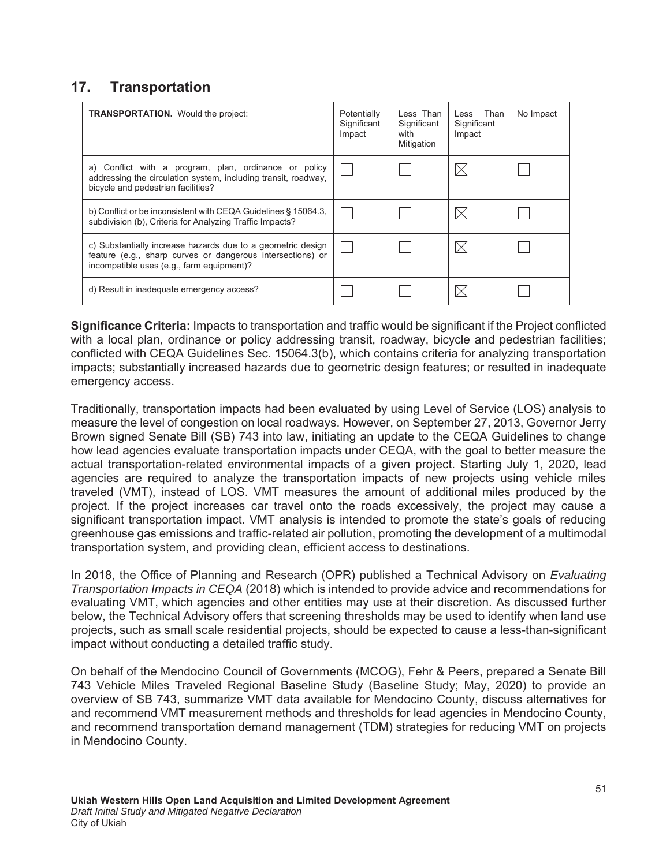# **17.** Transportation

| <b>TRANSPORTATION.</b> Would the project:                                                                                                                              | Potentially<br>Significant<br>Impact | Less Than<br>Significant<br>with<br>Mitigation | Less Than<br>Significant<br>Impact | No Impact |
|------------------------------------------------------------------------------------------------------------------------------------------------------------------------|--------------------------------------|------------------------------------------------|------------------------------------|-----------|
| a) Conflict with a program, plan, ordinance or policy<br>addressing the circulation system, including transit, roadway,<br>bicycle and pedestrian facilities?          |                                      |                                                |                                    |           |
| b) Conflict or be inconsistent with CEQA Guidelines § 15064.3.<br>subdivision (b), Criteria for Analyzing Traffic Impacts?                                             |                                      |                                                |                                    |           |
| c) Substantially increase hazards due to a geometric design<br>feature (e.g., sharp curves or dangerous intersections) or<br>incompatible uses (e.g., farm equipment)? |                                      |                                                |                                    |           |
| d) Result in inadequate emergency access?                                                                                                                              |                                      |                                                |                                    |           |

**Significance Criteria:** Impacts to transportation and traffic would be significant if the Project conflicted with a local plan, ordinance or policy addressing transit, roadway, bicycle and pedestrian facilities; conflicted with CEQA Guidelines Sec. 15064.3(b), which contains criteria for analyzing transportation impacts; substantially increased hazards due to geometric design features; or resulted in inadequate emergency access.

Traditionally, transportation impacts had been evaluated by using Level of Service (LOS) analysis to measure the level of congestion on local roadways. However, on September 27, 2013, Governor Jerry Brown signed Senate Bill (SB) 743 into law, initiating an update to the CEQA Guidelines to change how lead agencies evaluate transportation impacts under CEQA, with the goal to better measure the actual transportation-related environmental impacts of a given project. Starting July 1, 2020, lead agencies are required to analyze the transportation impacts of new projects using vehicle miles traveled (VMT), instead of LOS. VMT measures the amount of additional miles produced by the project. If the project increases car travel onto the roads excessively, the project may cause a significant transportation impact. VMT analysis is intended to promote the state's goals of reducing greenhouse gas emissions and traffic-related air pollution, promoting the development of a multimodal transportation system, and providing clean, efficient access to destinations.

In 2018, the Office of Planning and Research (OPR) published a Technical Advisory on *Evaluating Transportation Impacts in CEQA* (2018) which is intended to provide advice and recommendations for evaluating VMT, which agencies and other entities may use at their discretion. As discussed further below, the Technical Advisory offers that screening thresholds may be used to identify when land use projects, such as small scale residential projects, should be expected to cause a less-than-significant impact without conducting a detailed traffic study.

On behalf of the Mendocino Council of Governments (MCOG), Fehr & Peers, prepared a Senate Bill 743 Vehicle Miles Traveled Regional Baseline Study (Baseline Study; May, 2020) to provide an overview of SB 743, summarize VMT data available for Mendocino County, discuss alternatives for and recommend VMT measurement methods and thresholds for lead agencies in Mendocino County, and recommend transportation demand management (TDM) strategies for reducing VMT on projects in Mendocino County.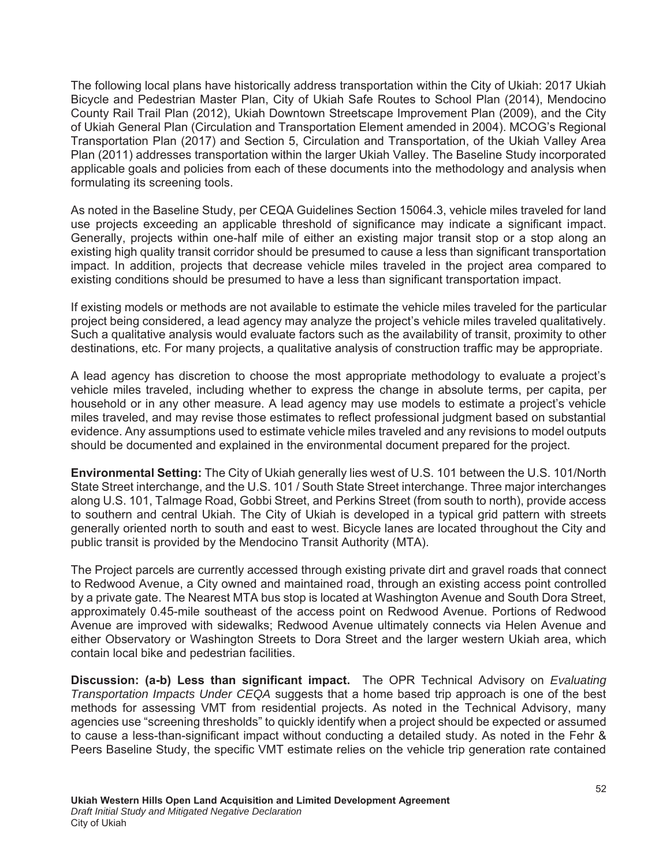The following local plans have historically address transportation within the City of Ukiah: 2017 Ukiah Bicycle and Pedestrian Master Plan, City of Ukiah Safe Routes to School Plan (2014), Mendocino County Rail Trail Plan (2012), Ukiah Downtown Streetscape Improvement Plan (2009), and the City of Ukiah General Plan (Circulation and Transportation Element amended in 2004). MCOG's Regional Transportation Plan (2017) and Section 5, Circulation and Transportation, of the Ukiah Valley Area Plan (2011) addresses transportation within the larger Ukiah Valley. The Baseline Study incorporated applicable goals and policies from each of these documents into the methodology and analysis when formulating its screening tools.

As noted in the Baseline Study, per CEQA Guidelines Section 15064.3, vehicle miles traveled for land use projects exceeding an applicable threshold of significance may indicate a significant impact. Generally, projects within one-half mile of either an existing major transit stop or a stop along an existing high quality transit corridor should be presumed to cause a less than significant transportation impact. In addition, projects that decrease vehicle miles traveled in the project area compared to existing conditions should be presumed to have a less than significant transportation impact.

If existing models or methods are not available to estimate the vehicle miles traveled for the particular project being considered, a lead agency may analyze the project's vehicle miles traveled qualitatively. Such a qualitative analysis would evaluate factors such as the availability of transit, proximity to other destinations, etc. For many projects, a qualitative analysis of construction traffic may be appropriate.

A lead agency has discretion to choose the most appropriate methodology to evaluate a project's vehicle miles traveled, including whether to express the change in absolute terms, per capita, per household or in any other measure. A lead agency may use models to estimate a project's vehicle miles traveled, and may revise those estimates to reflect professional judgment based on substantial evidence. Any assumptions used to estimate vehicle miles traveled and any revisions to model outputs should be documented and explained in the environmental document prepared for the project.

**Environmental Setting:** The City of Ukiah generally lies west of U.S. 101 between the U.S. 101/North State Street interchange, and the U.S. 101 / South State Street interchange. Three major interchanges along U.S. 101, Talmage Road, Gobbi Street, and Perkins Street (from south to north), provide access to southern and central Ukiah. The City of Ukiah is developed in a typical grid pattern with streets generally oriented north to south and east to west. Bicycle lanes are located throughout the City and public transit is provided by the Mendocino Transit Authority (MTA).

The Project parcels are currently accessed through existing private dirt and gravel roads that connect to Redwood Avenue, a City owned and maintained road, through an existing access point controlled by a private gate. The Nearest MTA bus stop is located at Washington Avenue and South Dora Street, approximately 0.45-mile southeast of the access point on Redwood Avenue. Portions of Redwood Avenue are improved with sidewalks; Redwood Avenue ultimately connects via Helen Avenue and either Observatory or Washington Streets to Dora Street and the larger western Ukiah area, which contain local bike and pedestrian facilities.

**Discussion: (a-b) Less than significant impact.** The OPR Technical Advisory on *Evaluating Transportation Impacts Under CEQA* suggests that a home based trip approach is one of the best methods for assessing VMT from residential projects. As noted in the Technical Advisory, many agencies use "screening thresholds" to quickly identify when a project should be expected or assumed to cause a less-than-significant impact without conducting a detailed study. As noted in the Fehr & Peers Baseline Study, the specific VMT estimate relies on the vehicle trip generation rate contained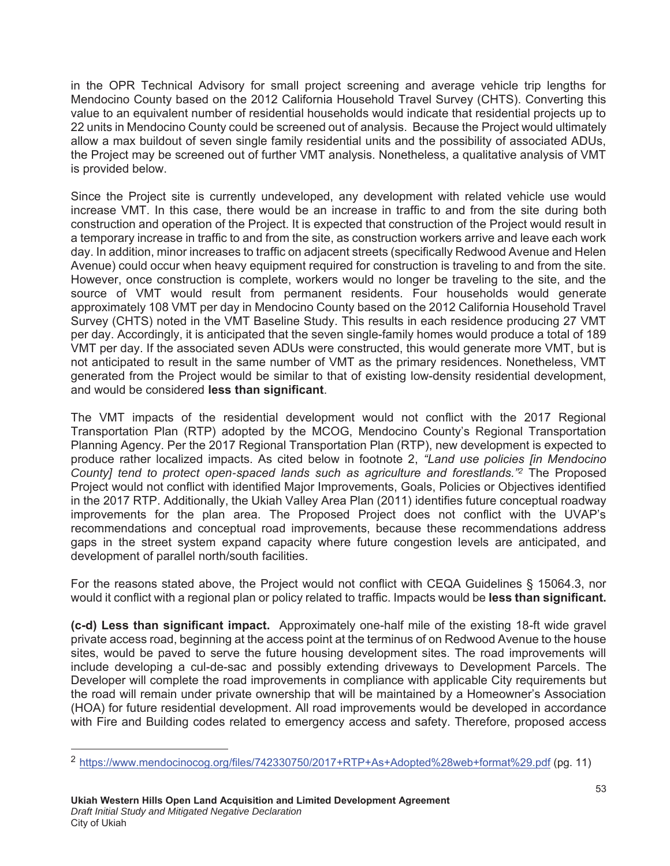in the OPR Technical Advisory for small project screening and average vehicle trip lengths for Mendocino County based on the 2012 California Household Travel Survey (CHTS). Converting this value to an equivalent number of residential households would indicate that residential projects up to 22 units in Mendocino County could be screened out of analysis. Because the Project would ultimately allow a max buildout of seven single family residential units and the possibility of associated ADUs, the Project may be screened out of further VMT analysis. Nonetheless, a qualitative analysis of VMT is provided below.

Since the Project site is currently undeveloped, any development with related vehicle use would increase VMT. In this case, there would be an increase in traffic to and from the site during both construction and operation of the Project. It is expected that construction of the Project would result in a temporary increase in traffic to and from the site, as construction workers arrive and leave each work day. In addition, minor increases to traffic on adjacent streets (specifically Redwood Avenue and Helen Avenue) could occur when heavy equipment required for construction is traveling to and from the site. However, once construction is complete, workers would no longer be traveling to the site, and the source of VMT would result from permanent residents. Four households would generate approximately 108 VMT per day in Mendocino County based on the 2012 California Household Travel Survey (CHTS) noted in the VMT Baseline Study. This results in each residence producing 27 VMT per day. Accordingly, it is anticipated that the seven single-family homes would produce a total of 189 VMT per day. If the associated seven ADUs were constructed, this would generate more VMT, but is not anticipated to result in the same number of VMT as the primary residences. Nonetheless, VMT generated from the Project would be similar to that of existing low-density residential development, and would be considered less than significant.

The VMT impacts of the residential development would not conflict with the 2017 Regional Transportation Plan (RTP) adopted by the MCOG, Mendocino County's Regional Transportation Planning Agency. Per the 2017 Regional Transportation Plan (RTP), new development is expected to produce rather localized impacts. As cited below in footnote 2, *"Land use policies [in Mendocino County] tend to protect open-spaced lands such as agriculture and forestlands."<sup>2</sup>* The Proposed Project would not conflict with identified Major Improvements, Goals, Policies or Objectives identified in the 2017 RTP. Additionally, the Ukiah Valley Area Plan (2011) identifies future conceptual roadway improvements for the plan area. The Proposed Project does not conflict with the UVAP's recommendations and conceptual road improvements, because these recommendations address gaps in the street system expand capacity where future congestion levels are anticipated, and development of parallel north/south facilities.

For the reasons stated above, the Project would not conflict with CEQA Guidelines § 15064.3, nor would it conflict with a regional plan or policy related to traffic. Impacts would be **less than significant.** 

(c-d) Less than significant impact. Approximately one-half mile of the existing 18-ft wide gravel private access road, beginning at the access point at the terminus of on Redwood Avenue to the house sites, would be paved to serve the future housing development sites. The road improvements will include developing a cul-de-sac and possibly extending driveways to Development Parcels. The Developer will complete the road improvements in compliance with applicable City requirements but the road will remain under private ownership that will be maintained by a Homeowner's Association (HOA) for future residential development. All road improvements would be developed in accordance with Fire and Building codes related to emergency access and safety. Therefore, proposed access

l

<sup>&</sup>lt;sup>2</sup> https://www.mendocinocog.org/files/742330750/2017+RTP+As+Adopted%28web+format%29.pdf (pg. 11)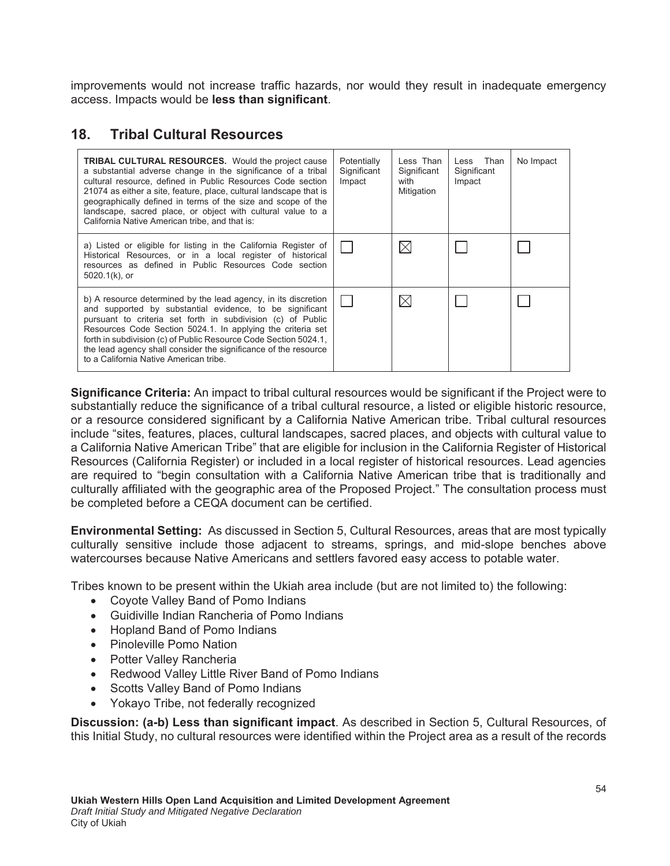improvements would not increase traffic hazards, nor would they result in inadequate emergency access. Impacts would be less than significant.

### **18. Tribal Cultural Resources**

| <b>TRIBAL CULTURAL RESOURCES.</b> Would the project cause<br>a substantial adverse change in the significance of a tribal<br>cultural resource, defined in Public Resources Code section<br>21074 as either a site, feature, place, cultural landscape that is<br>geographically defined in terms of the size and scope of the<br>landscape, sacred place, or object with cultural value to a<br>California Native American tribe, and that is: | Potentially<br>Significant<br>Impact | Less Than<br>Significant<br>with<br>Mitigation | Less Than<br>Significant<br>Impact | No Impact |
|-------------------------------------------------------------------------------------------------------------------------------------------------------------------------------------------------------------------------------------------------------------------------------------------------------------------------------------------------------------------------------------------------------------------------------------------------|--------------------------------------|------------------------------------------------|------------------------------------|-----------|
| a) Listed or eligible for listing in the California Register of<br>Historical Resources, or in a local register of historical<br>resources as defined in Public Resources Code section<br>$5020.1(k)$ , or                                                                                                                                                                                                                                      |                                      | $\bowtie$                                      |                                    |           |
| b) A resource determined by the lead agency, in its discretion<br>and supported by substantial evidence, to be significant<br>pursuant to criteria set forth in subdivision (c) of Public<br>Resources Code Section 5024.1. In applying the criteria set<br>forth in subdivision (c) of Public Resource Code Section 5024.1,<br>the lead agency shall consider the significance of the resource<br>to a California Native American tribe.       |                                      | $\boxtimes$                                    |                                    |           |

**Significance Criteria:** An impact to tribal cultural resources would be significant if the Project were to substantially reduce the significance of a tribal cultural resource, a listed or eligible historic resource, or a resource considered significant by a California Native American tribe. Tribal cultural resources include "sites, features, places, cultural landscapes, sacred places, and objects with cultural value to a California Native American Tribe" that are eligible for inclusion in the California Register of Historical Resources (California Register) or included in a local register of historical resources. Lead agencies are required to "begin consultation with a California Native American tribe that is traditionally and culturally affiliated with the geographic area of the Proposed Project." The consultation process must be completed before a CEQA document can be certified.

**Environmental Setting:** As discussed in Section 5, Cultural Resources, areas that are most typically culturally sensitive include those adjacent to streams, springs, and mid-slope benches above watercourses because Native Americans and settlers favored easy access to potable water.

Tribes known to be present within the Ukiah area include (but are not limited to) the following:

- Coyote Valley Band of Pomo Indians
- Guidiville Indian Rancheria of Pomo Indians
- Hopland Band of Pomo Indians
- Pinoleville Pomo Nation
- Potter Valley Rancheria
- Redwood Valley Little River Band of Pomo Indians
- Scotts Valley Band of Pomo Indians
- Yokayo Tribe, not federally recognized

**Discussion: (a-b) Less than significant impact.** As described in Section 5, Cultural Resources, of this Initial Study, no cultural resources were identified within the Project area as a result of the records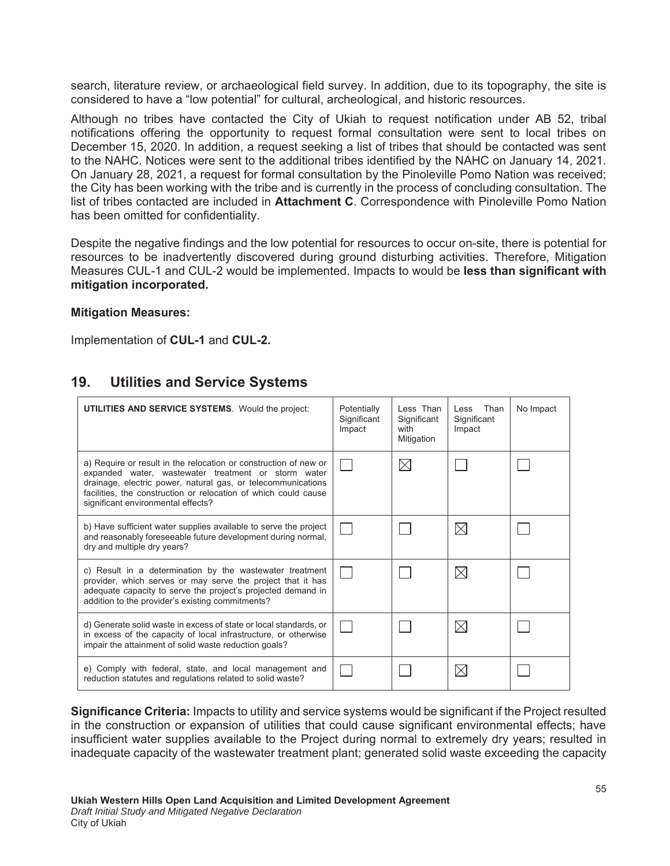search, literature review, or archaeological field survey. In addition, due to its topography, the site is considered to have a "low potential" for cultural, archeological, and historic resources.

Although no tribes have contacted the City of Ukiah to request notification under AB 52, tribal notifications offering the opportunity to request formal consultation were sent to local tribes on December 15, 2020. In addition, a request seeking a list of tribes that should be contacted was sent to the NAHC. Notices were sent to the additional tribes identified by the NAHC on January 14, 2021. On January 28, 2021, a request for formal consultation by the Pinoleville Pomo Nation was received; the City has been working with the tribe and is currently in the process of concluding consultation. The list of tribes contacted are included in Attachment C. Correspondence with Pinoleville Pomo Nation has been omitted for confidentiality.

Despite the negative findings and the low potential for resources to occur on-site, there is potential for resources to be inadvertently discovered during ground disturbing activities. Therefore, Mitigation Measures CUL-1 and CUL-2 would be implemented. Impacts to would be less than significant with mitigation incorporated.

#### **Mitigation Measures:**

Implementation of **CUL-1** and **CUL-2.** 

# **19.** Utilities and Service Systems

| UTILITIES AND SERVICE SYSTEMS. Would the project:                                                                                                                                                                                                                                                | Potentially<br>Significant<br>Impact | Less Than<br>Significant<br>with<br>Mitigation | Less Than<br>Significant<br>Impact | No Impact |
|--------------------------------------------------------------------------------------------------------------------------------------------------------------------------------------------------------------------------------------------------------------------------------------------------|--------------------------------------|------------------------------------------------|------------------------------------|-----------|
| a) Require or result in the relocation or construction of new or<br>expanded water, wastewater treatment or storm water<br>drainage, electric power, natural gas, or telecommunications<br>facilities, the construction or relocation of which could cause<br>significant environmental effects? |                                      | $\boxtimes$                                    |                                    |           |
| b) Have sufficient water supplies available to serve the project<br>and reasonably foreseeable future development during normal,<br>dry and multiple dry years?                                                                                                                                  |                                      |                                                | $\boxtimes$                        |           |
| c) Result in a determination by the wastewater treatment<br>provider, which serves or may serve the project that it has<br>adequate capacity to serve the project's projected demand in<br>addition to the provider's existing commitments?                                                      |                                      |                                                | $\times$                           |           |
| d) Generate solid waste in excess of state or local standards, or<br>in excess of the capacity of local infrastructure, or otherwise<br>impair the attainment of solid waste reduction goals?                                                                                                    |                                      |                                                | $\boxtimes$                        |           |
| e) Comply with federal, state, and local management and<br>reduction statutes and regulations related to solid waste?                                                                                                                                                                            |                                      |                                                | $\times$                           |           |

**Significance Criteria:** Impacts to utility and service systems would be significant if the Project resulted in the construction or expansion of utilities that could cause significant environmental effects; have insufficient water supplies available to the Project during normal to extremely dry years; resulted in inadequate capacity of the wastewater treatment plant; generated solid waste exceeding the capacity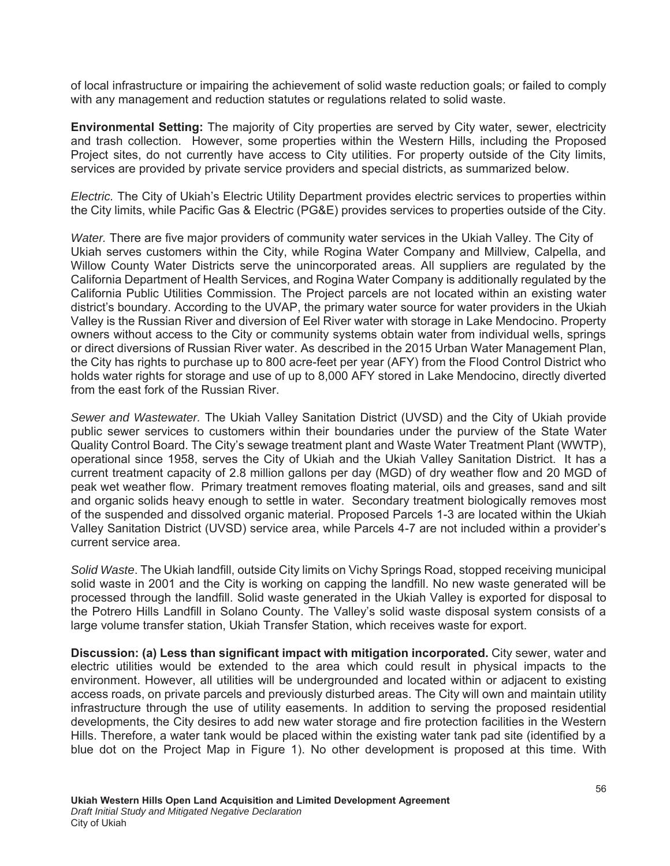of local infrastructure or impairing the achievement of solid waste reduction goals; or failed to comply with any management and reduction statutes or regulations related to solid waste.

**Environmental Setting:** The majority of City properties are served by City water, sewer, electricity and trash collection. However, some properties within the Western Hills, including the Proposed Project sites, do not currently have access to City utilities. For property outside of the City limits, services are provided by private service providers and special districts, as summarized below.

*Electric.* The City of Ukiah's Electric Utility Department provides electric services to properties within the City limits, while Pacific Gas & Electric (PG&E) provides services to properties outside of the City.

*Water.* There are five major providers of community water services in the Ukiah Valley. The City of Ukiah serves customers within the City, while Rogina Water Company and Millview, Calpella, and Willow County Water Districts serve the unincorporated areas. All suppliers are regulated by the California Department of Health Services, and Rogina Water Company is additionally regulated by the California Public Utilities Commission. The Project parcels are not located within an existing water district's boundary. According to the UVAP, the primary water source for water providers in the Ukiah Valley is the Russian River and diversion of Eel River water with storage in Lake Mendocino. Property owners without access to the City or community systems obtain water from individual wells, springs or direct diversions of Russian River water. As described in the 2015 Urban Water Management Plan, the City has rights to purchase up to 800 acre-feet per year (AFY) from the Flood Control District who holds water rights for storage and use of up to 8,000 AFY stored in Lake Mendocino, directly diverted from the east fork of the Russian River.

*Sewer and Wastewater.* The Ukiah Valley Sanitation District (UVSD) and the City of Ukiah provide public sewer services to customers within their boundaries under the purview of the State Water Quality Control Board. The City's sewage treatment plant and Waste Water Treatment Plant (WWTP), operational since 1958, serves the City of Ukiah and the Ukiah Valley Sanitation District. It has a current treatment capacity of 2.8 million gallons per day (MGD) of dry weather flow and 20 MGD of peak wet weather flow. Primary treatment removes floating material, oils and greases, sand and silt and organic solids heavy enough to settle in water. Secondary treatment biologically removes most of the suspended and dissolved organic material. Proposed Parcels 1-3 are located within the Ukiah Valley Sanitation District (UVSD) service area, while Parcels 4-7 are not included within a provider's current service area.

*Solid Waste*. The Ukiah landfill, outside City limits on Vichy Springs Road, stopped receiving municipal solid waste in 2001 and the City is working on capping the landfill. No new waste generated will be processed through the landfill. Solid waste generated in the Ukiah Valley is exported for disposal to the Potrero Hills Landfill in Solano County. The Valley's solid waste disposal system consists of a large volume transfer station, Ukiah Transfer Station, which receives waste for export.

**Discussion: (a) Less than significant impact with mitigation incorporated. City sewer, water and** electric utilities would be extended to the area which could result in physical impacts to the environment. However, all utilities will be undergrounded and located within or adjacent to existing access roads, on private parcels and previously disturbed areas. The City will own and maintain utility infrastructure through the use of utility easements. In addition to serving the proposed residential developments, the City desires to add new water storage and fire protection facilities in the Western Hills. Therefore, a water tank would be placed within the existing water tank pad site (identified by a blue dot on the Project Map in Figure 1). No other development is proposed at this time. With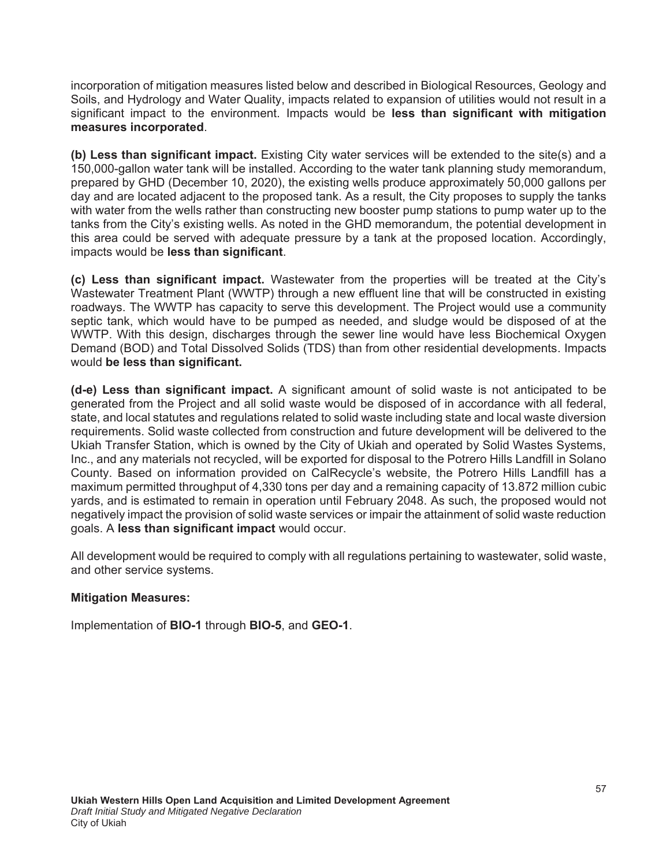incorporation of mitigation measures listed below and described in Biological Resources, Geology and Soils, and Hydrology and Water Quality, impacts related to expansion of utilities would not result in a significant impact to the environment. Impacts would be less than significant with mitigation measures incorporated.

**(b) Less than significant impact.** Existing City water services will be extended to the site(s) and a 150,000-gallon water tank will be installed. According to the water tank planning study memorandum, prepared by GHD (December 10, 2020), the existing wells produce approximately 50,000 gallons per day and are located adjacent to the proposed tank. As a result, the City proposes to supply the tanks with water from the wells rather than constructing new booster pump stations to pump water up to the tanks from the City's existing wells. As noted in the GHD memorandum, the potential development in this area could be served with adequate pressure by a tank at the proposed location. Accordingly, impacts would be **less than significant**.

(c) Less than significant impact. Wastewater from the properties will be treated at the City's Wastewater Treatment Plant (WWTP) through a new effluent line that will be constructed in existing roadways. The WWTP has capacity to serve this development. The Project would use a community septic tank, which would have to be pumped as needed, and sludge would be disposed of at the WWTP. With this design, discharges through the sewer line would have less Biochemical Oxygen Demand (BOD) and Total Dissolved Solids (TDS) than from other residential developments. Impacts would be less than significant.

(d-e) Less than significant impact. A significant amount of solid waste is not anticipated to be generated from the Project and all solid waste would be disposed of in accordance with all federal, state, and local statutes and regulations related to solid waste including state and local waste diversion requirements. Solid waste collected from construction and future development will be delivered to the Ukiah Transfer Station, which is owned by the City of Ukiah and operated by Solid Wastes Systems, Inc., and any materials not recycled, will be exported for disposal to the Potrero Hills Landfill in Solano County. Based on information provided on CalRecycle's website, the Potrero Hills Landfill has a maximum permitted throughput of 4,330 tons per day and a remaining capacity of 13.872 million cubic yards, and is estimated to remain in operation until February 2048. As such, the proposed would not negatively impact the provision of solid waste services or impair the attainment of solid waste reduction goals. A less than significant impact would occur.

All development would be required to comply with all regulations pertaining to wastewater, solid waste, and other service systems.

#### **Mitigation Measures:**

Implementation of **BIO-1** through **BIO-5**, and **GEO-1**.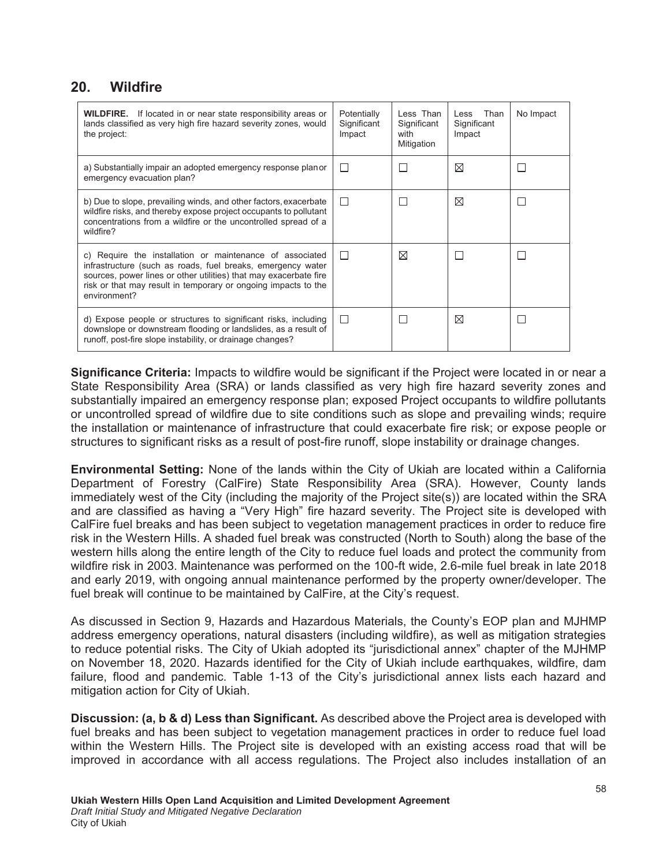#### 20. Wildfire

| <b>WILDFIRE.</b> If located in or near state responsibility areas or<br>lands classified as very high fire hazard severity zones, would<br>the project:                                                                                                                        | Potentially<br>Significant<br>Impact | Less Than<br>Significant<br>with<br>Mitigation | Less Than<br>Significant<br>Impact | No Impact    |
|--------------------------------------------------------------------------------------------------------------------------------------------------------------------------------------------------------------------------------------------------------------------------------|--------------------------------------|------------------------------------------------|------------------------------------|--------------|
| a) Substantially impair an adopted emergency response planor<br>emergency evacuation plan?                                                                                                                                                                                     |                                      |                                                | ⊠                                  | $\mathbf{I}$ |
| b) Due to slope, prevailing winds, and other factors, exacerbate<br>wildfire risks, and thereby expose project occupants to pollutant<br>concentrations from a wildfire or the uncontrolled spread of a<br>wildfire?                                                           | H                                    |                                                | ⊠                                  | $\mathbf{L}$ |
| c) Require the installation or maintenance of associated<br>infrastructure (such as roads, fuel breaks, emergency water<br>sources, power lines or other utilities) that may exacerbate fire<br>risk or that may result in temporary or ongoing impacts to the<br>environment? | $\perp$                              | ⊠                                              |                                    |              |
| d) Expose people or structures to significant risks, including<br>downslope or downstream flooding or landslides, as a result of<br>runoff, post-fire slope instability, or drainage changes?                                                                                  | П                                    |                                                | ⊠                                  | H            |

Significance Criteria: Impacts to wildfire would be significant if the Project were located in or near a State Responsibility Area (SRA) or lands classified as very high fire hazard severity zones and substantially impaired an emergency response plan; exposed Project occupants to wildfire pollutants or uncontrolled spread of wildfire due to site conditions such as slope and prevailing winds; require the installation or maintenance of infrastructure that could exacerbate fire risk; or expose people or structures to significant risks as a result of post-fire runoff, slope instability or drainage changes.

**Environmental Setting:** None of the lands within the City of Ukiah are located within a California Department of Forestry (CalFire) State Responsibility Area (SRA). However, County lands immediately west of the City (including the majority of the Project site(s)) are located within the SRA and are classified as having a "Very High" fire hazard severity. The Project site is developed with CalFire fuel breaks and has been subject to vegetation management practices in order to reduce fire risk in the Western Hills. A shaded fuel break was constructed (North to South) along the base of the western hills along the entire length of the City to reduce fuel loads and protect the community from wildfire risk in 2003. Maintenance was performed on the 100-ft wide, 2.6-mile fuel break in late 2018 and early 2019, with ongoing annual maintenance performed by the property owner/developer. The fuel break will continue to be maintained by CalFire, at the City's request.

As discussed in Section 9, Hazards and Hazardous Materials, the County's EOP plan and MJHMP address emergency operations, natural disasters (including wildfire), as well as mitigation strategies to reduce potential risks. The City of Ukiah adopted its "jurisdictional annex" chapter of the MJHMP on November 18, 2020. Hazards identified for the City of Ukiah include earthquakes, wildfire, dam failure, flood and pandemic. Table 1-13 of the City's jurisdictional annex lists each hazard and mitigation action for City of Ukiah.

**Discussion: (a, b & d) Less than Significant.** As described above the Project area is developed with fuel breaks and has been subject to vegetation management practices in order to reduce fuel load within the Western Hills. The Project site is developed with an existing access road that will be improved in accordance with all access regulations. The Project also includes installation of an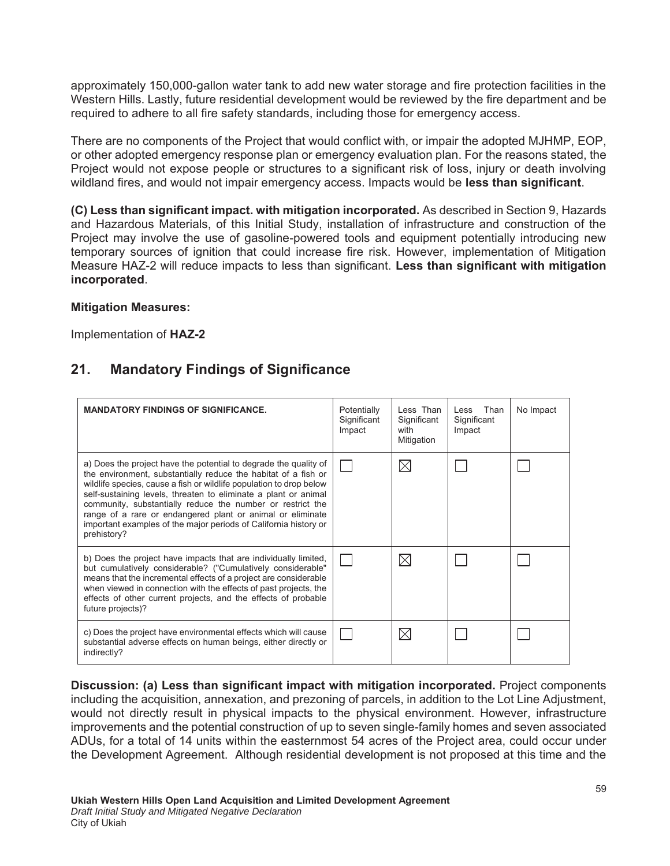approximately 150,000-gallon water tank to add new water storage and fire protection facilities in the Western Hills. Lastly, future residential development would be reviewed by the fire department and be required to adhere to all fire safety standards, including those for emergency access.

There are no components of the Project that would conflict with, or impair the adopted MJHMP, EOP, or other adopted emergency response plan or emergency evaluation plan. For the reasons stated, the Project would not expose people or structures to a significant risk of loss, injury or death involving wildland fires, and would not impair emergency access. Impacts would be **less than significant**.

(C) Less than significant impact. with mitigation incorporated. As described in Section 9, Hazards and Hazardous Materials, of this Initial Study, installation of infrastructure and construction of the Project may involve the use of gasoline-powered tools and equipment potentially introducing new temporary sources of ignition that could increase fire risk. However, implementation of Mitigation Measure HAZ-2 will reduce impacts to less than significant. Less than significant with mitigation **incorporated.** 

#### **Mitigation Measures:**

Implementation of **HAZ-2** 

# **21. Mandatory Findings of Significance**

| <b>MANDATORY FINDINGS OF SIGNIFICANCE.</b>                                                                                                                                                                                                                                                                                                                                                                                                                                                  | Potentially<br>Significant<br>Impact | Less Than<br>Significant<br>with<br>Mitigation | Than<br>Less<br>Significant<br>Impact | No Impact |
|---------------------------------------------------------------------------------------------------------------------------------------------------------------------------------------------------------------------------------------------------------------------------------------------------------------------------------------------------------------------------------------------------------------------------------------------------------------------------------------------|--------------------------------------|------------------------------------------------|---------------------------------------|-----------|
| a) Does the project have the potential to degrade the quality of<br>the environment, substantially reduce the habitat of a fish or<br>wildlife species, cause a fish or wildlife population to drop below<br>self-sustaining levels, threaten to eliminate a plant or animal<br>community, substantially reduce the number or restrict the<br>range of a rare or endangered plant or animal or eliminate<br>important examples of the major periods of California history or<br>prehistory? |                                      | $\boxtimes$                                    |                                       |           |
| b) Does the project have impacts that are individually limited,<br>but cumulatively considerable? ("Cumulatively considerable"<br>means that the incremental effects of a project are considerable<br>when viewed in connection with the effects of past projects, the<br>effects of other current projects, and the effects of probable<br>future projects)?                                                                                                                               |                                      | $\boxtimes$                                    |                                       |           |
| c) Does the project have environmental effects which will cause<br>substantial adverse effects on human beings, either directly or<br>indirectly?                                                                                                                                                                                                                                                                                                                                           |                                      | $\boxtimes$                                    |                                       |           |

Discussion: (a) Less than significant impact with mitigation incorporated. Project components including the acquisition, annexation, and prezoning of parcels, in addition to the Lot Line Adjustment, would not directly result in physical impacts to the physical environment. However, infrastructure improvements and the potential construction of up to seven single-family homes and seven associated ADUs, for a total of 14 units within the easternmost 54 acres of the Project area, could occur under the Development Agreement. Although residential development is not proposed at this time and the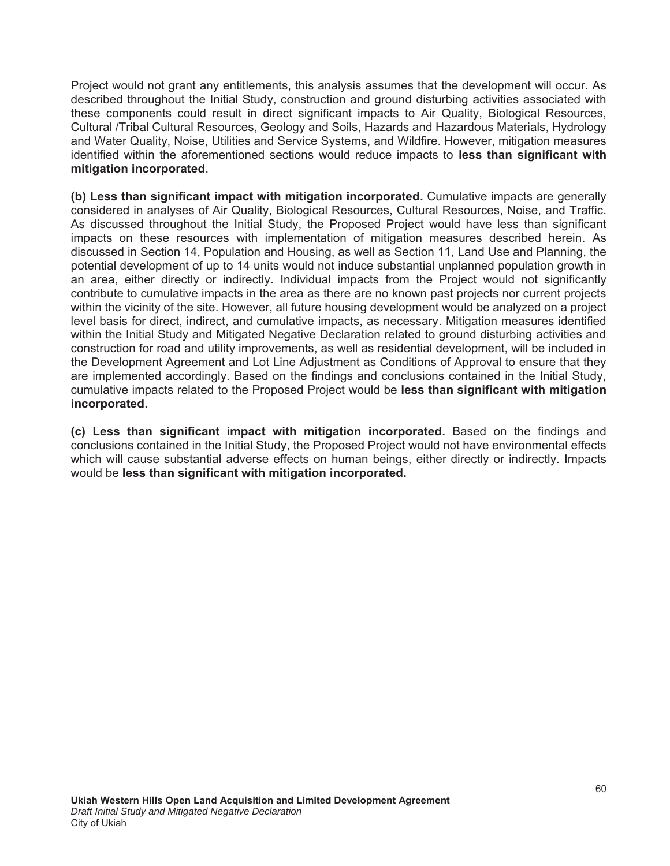Project would not grant any entitlements, this analysis assumes that the development will occur. As described throughout the Initial Study, construction and ground disturbing activities associated with these components could result in direct significant impacts to Air Quality, Biological Resources, Cultural /Tribal Cultural Resources, Geology and Soils, Hazards and Hazardous Materials, Hydrology and Water Quality, Noise, Utilities and Service Systems, and Wildfire. However, mitigation measures identified within the aforementioned sections would reduce impacts to less than significant with mitigation incorporated.

**(b) Less than significant impact with mitigation incorporated.** Cumulative impacts are generally considered in analyses of Air Quality, Biological Resources, Cultural Resources, Noise, and Traffic. As discussed throughout the Initial Study, the Proposed Project would have less than significant impacts on these resources with implementation of mitigation measures described herein. As discussed in Section 14, Population and Housing, as well as Section 11, Land Use and Planning, the potential development of up to 14 units would not induce substantial unplanned population growth in an area, either directly or indirectly. Individual impacts from the Project would not significantly contribute to cumulative impacts in the area as there are no known past projects nor current projects within the vicinity of the site. However, all future housing development would be analyzed on a project level basis for direct, indirect, and cumulative impacts, as necessary. Mitigation measures identified within the Initial Study and Mitigated Negative Declaration related to ground disturbing activities and construction for road and utility improvements, as well as residential development, will be included in the Development Agreement and Lot Line Adjustment as Conditions of Approval to ensure that they are implemented accordingly. Based on the findings and conclusions contained in the Initial Study, cumulative impacts related to the Proposed Project would be less than significant with mitigation **incorporated.** 

(c) Less than significant impact with mitigation incorporated. Based on the findings and conclusions contained in the Initial Study, the Proposed Project would not have environmental effects which will cause substantial adverse effects on human beings, either directly or indirectly. Impacts would be less than significant with mitigation incorporated.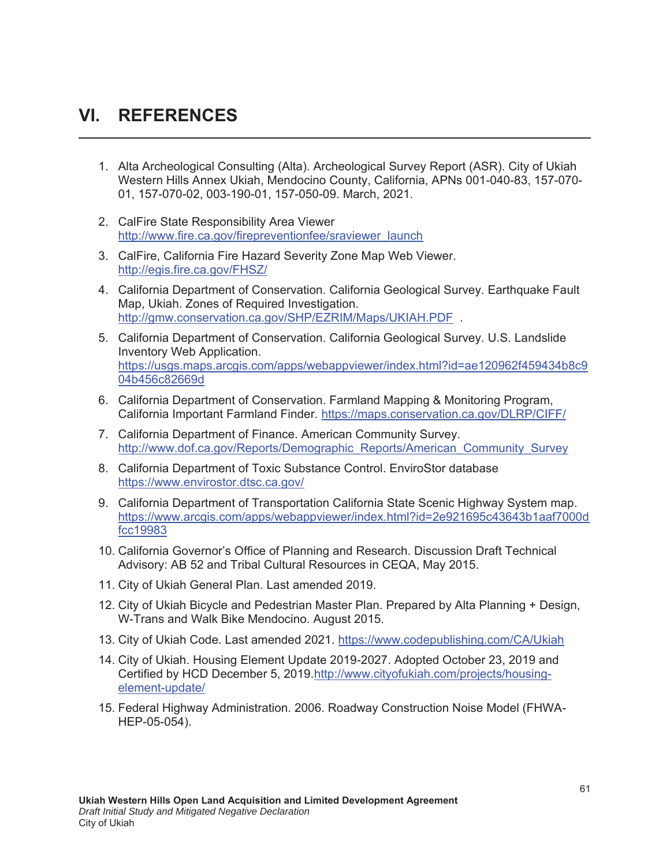# **VI. REFERENCES**

- 1. Alta Archeological Consulting (Alta). Archeological Survey Report (ASR). City of Ukiah Western Hills Annex Ukiah, Mendocino County, California, APNs 001-040-83, 157-070- 01, 157-070-02, 003-190-01, 157-050-09. March, 2021.
- 2. CalFire State Responsibility Area Viewer http://www.fire.ca.gov/firepreventionfee/sraviewer\_launch
- 3. CalFire, California Fire Hazard Severity Zone Map Web Viewer. http://egis.fire.ca.gov/FHSZ/
- 4. California Department of Conservation. California Geological Survey. Earthquake Fault Map, Ukiah. Zones of Required Investigation. http://gmw.conservation.ca.gov/SHP/EZRIM/Maps/UKIAH.PDF .
- 5. California Department of Conservation. California Geological Survey. U.S. Landslide Inventory Web Application. https://usgs.maps.arcgis.com/apps/webappviewer/index.html?id=ae120962f459434b8c9 04b456c82669d
- 6. California Department of Conservation. Farmland Mapping & Monitoring Program, California Important Farmland Finder. https://maps.conservation.ca.gov/DLRP/CIFF/
- 7. California Department of Finance. American Community Survey. http://www.dof.ca.gov/Reports/Demographic\_Reports/American\_Community\_Survey
- 8. California Department of Toxic Substance Control. EnviroStor database https://www.envirostor.dtsc.ca.gov/
- 9. California Department of Transportation California State Scenic Highway System map. https://www.arcgis.com/apps/webappviewer/index.html?id=2e921695c43643b1aaf7000d fcc19983
- 10. California Governor's Office of Planning and Research. Discussion Draft Technical Advisory: AB 52 and Tribal Cultural Resources in CEQA, May 2015.
- 11. City of Ukiah General Plan. Last amended 2019.
- 12. City of Ukiah Bicycle and Pedestrian Master Plan. Prepared by Alta Planning + Design, W-Trans and Walk Bike Mendocino. August 2015.
- 13. City of Ukiah Code. Last amended 2021. https://www.codepublishing.com/CA/Ukiah
- 14. City of Ukiah. Housing Element Update 2019-2027. Adopted October 23, 2019 and Certified by HCD December 5, 2019.http://www.cityofukiah.com/projects/housingelement-update/
- 15. Federal Highway Administration. 2006. Roadway Construction Noise Model (FHWA-HEP-05-054).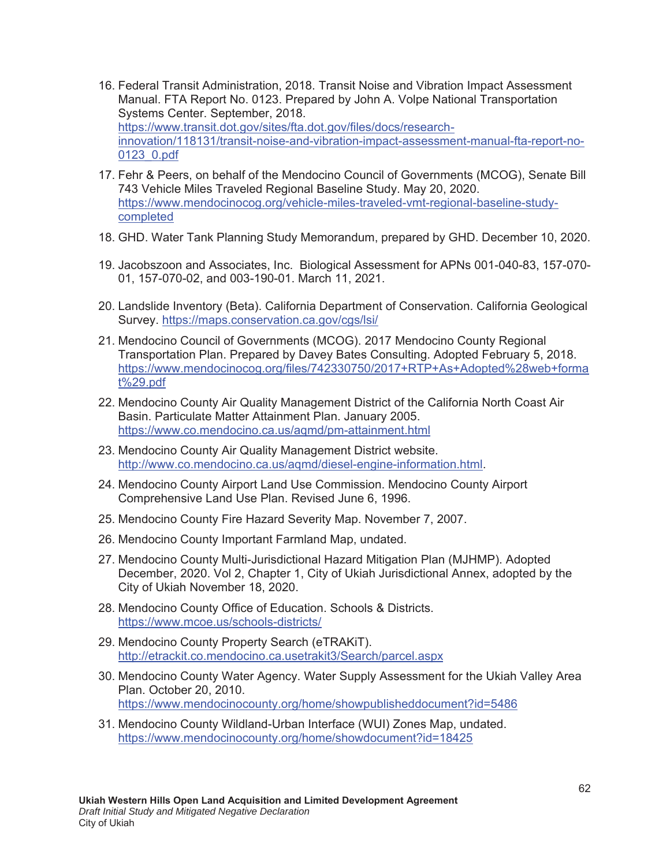- 16. Federal Transit Administration, 2018. Transit Noise and Vibration Impact Assessment Manual. FTA Report No. 0123. Prepared by John A. Volpe National Transportation Systems Center. September, 2018. https://www.transit.dot.gov/sites/fta.dot.gov/files/docs/researchinnovation/118131/transit-noise-and-vibration-impact-assessment-manual-fta-report-no-0123\_0.pdf
- 17. Fehr & Peers, on behalf of the Mendocino Council of Governments (MCOG), Senate Bill 743 Vehicle Miles Traveled Regional Baseline Study. May 20, 2020. https://www.mendocinocog.org/vehicle-miles-traveled-vmt-regional-baseline-studycompleted
- 18. GHD. Water Tank Planning Study Memorandum, prepared by GHD. December 10, 2020.
- 19. Jacobszoon and Associates, Inc. Biological Assessment for APNs 001-040-83, 157-070- 01, 157-070-02, and 003-190-01. March 11, 2021.
- 20. Landslide Inventory (Beta). California Department of Conservation. California Geological Survey. https://maps.conservation.ca.gov/cgs/lsi/
- 21. Mendocino Council of Governments (MCOG). 2017 Mendocino County Regional Transportation Plan. Prepared by Davey Bates Consulting. Adopted February 5, 2018. https://www.mendocinocog.org/files/742330750/2017+RTP+As+Adopted%28web+forma t%29.pdf
- 22. Mendocino County Air Quality Management District of the California North Coast Air Basin. Particulate Matter Attainment Plan. January 2005. https://www.co.mendocino.ca.us/aqmd/pm-attainment.html
- 23. Mendocino County Air Quality Management District website. http://www.co.mendocino.ca.us/aqmd/diesel-engine-information.html.
- 24. Mendocino County Airport Land Use Commission. Mendocino County Airport Comprehensive Land Use Plan. Revised June 6, 1996.
- 25. Mendocino County Fire Hazard Severity Map. November 7, 2007.
- 26. Mendocino County Important Farmland Map, undated.
- 27. Mendocino County Multi-Jurisdictional Hazard Mitigation Plan (MJHMP). Adopted December, 2020. Vol 2, Chapter 1, City of Ukiah Jurisdictional Annex, adopted by the City of Ukiah November 18, 2020.
- 28. Mendocino County Office of Education. Schools & Districts. https://www.mcoe.us/schools-districts/
- 29. Mendocino County Property Search (eTRAKiT). http://etrackit.co.mendocino.ca.usetrakit3/Search/parcel.aspx
- 30. Mendocino County Water Agency. Water Supply Assessment for the Ukiah Valley Area Plan. October 20, 2010. https://www.mendocinocounty.org/home/showpublisheddocument?id=5486
- 31. Mendocino County Wildland-Urban Interface (WUI) Zones Map, undated. https://www.mendocinocounty.org/home/showdocument?id=18425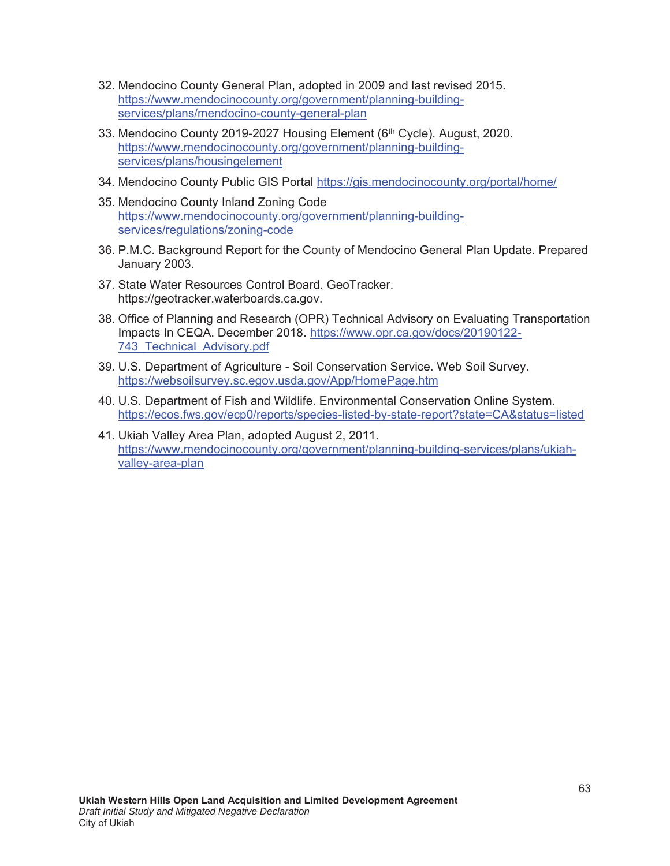- 32. Mendocino County General Plan, adopted in 2009 and last revised 2015. https://www.mendocinocounty.org/government/planning-buildingservices/plans/mendocino-county-general-plan
- 33. Mendocino County 2019-2027 Housing Element (6<sup>th</sup> Cycle). August, 2020. https://www.mendocinocounty.org/government/planning-buildingservices/plans/housingelement
- 34. Mendocino County Public GIS Portal https://gis.mendocinocounty.org/portal/home/
- 35. Mendocino County Inland Zoning Code https://www.mendocinocounty.org/government/planning-buildingservices/regulations/zoning-code
- 36. P.M.C. Background Report for the County of Mendocino General Plan Update. Prepared January 2003.
- 37. State Water Resources Control Board. GeoTracker. https://geotracker.waterboards.ca.gov.
- 38. Office of Planning and Research (OPR) Technical Advisory on Evaluating Transportation Impacts In CEQA. December 2018. https://www.opr.ca.gov/docs/20190122- 743\_Technical\_Advisory.pdf
- 39. U.S. Department of Agriculture Soil Conservation Service. Web Soil Survey. https://websoilsurvey.sc.egov.usda.gov/App/HomePage.htm
- 40. U.S. Department of Fish and Wildlife. Environmental Conservation Online System. https://ecos.fws.gov/ecp0/reports/species-listed-by-state-report?state=CA&status=listed
- 41. Ukiah Valley Area Plan, adopted August 2, 2011. https://www.mendocinocounty.org/government/planning-building-services/plans/ukiahvalley-area-plan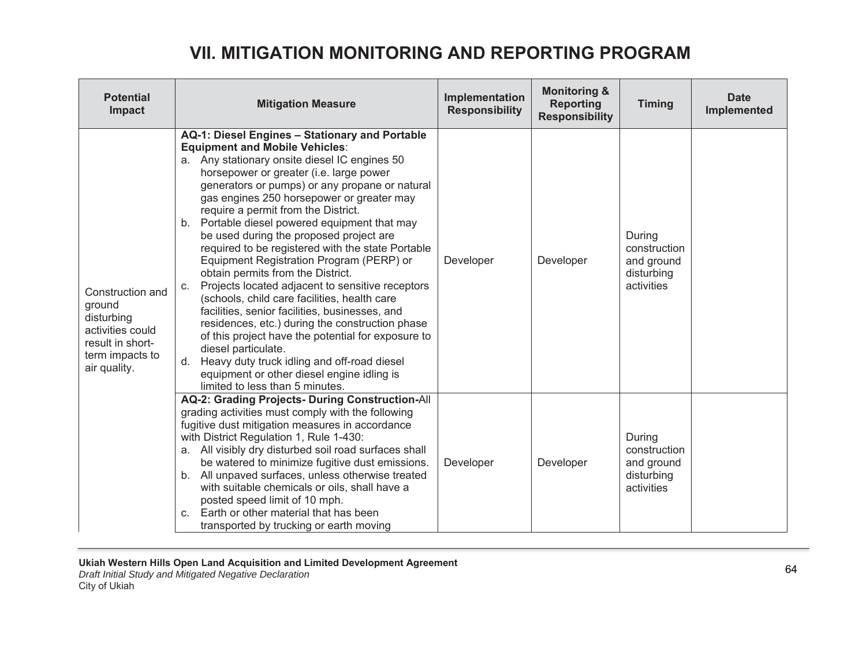# **VII. MITIGATION MONITORING AND REPORTING PROGRAM**

| <b>Potential</b><br>Impact                                                                                          | <b>Mitigation Measure</b>                                                                                                                                                                                                                                                                                                                                                                                                                                                                                                                                                                                                                                                                                                                                                                                                                                                                                                                                                                     | Implementation<br><b>Responsibility</b> | <b>Monitoring &amp;</b><br><b>Reporting</b><br><b>Responsibility</b> | <b>Timing</b>                                                    | <b>Date</b><br>Implemented |
|---------------------------------------------------------------------------------------------------------------------|-----------------------------------------------------------------------------------------------------------------------------------------------------------------------------------------------------------------------------------------------------------------------------------------------------------------------------------------------------------------------------------------------------------------------------------------------------------------------------------------------------------------------------------------------------------------------------------------------------------------------------------------------------------------------------------------------------------------------------------------------------------------------------------------------------------------------------------------------------------------------------------------------------------------------------------------------------------------------------------------------|-----------------------------------------|----------------------------------------------------------------------|------------------------------------------------------------------|----------------------------|
| Construction and<br>ground<br>disturbing<br>activities could<br>result in short-<br>term impacts to<br>air quality. | AQ-1: Diesel Engines - Stationary and Portable<br><b>Equipment and Mobile Vehicles:</b><br>a. Any stationary onsite diesel IC engines 50<br>horsepower or greater (i.e. large power<br>generators or pumps) or any propane or natural<br>gas engines 250 horsepower or greater may<br>require a permit from the District.<br>b. Portable diesel powered equipment that may<br>be used during the proposed project are<br>required to be registered with the state Portable<br>Equipment Registration Program (PERP) or<br>obtain permits from the District.<br>Projects located adjacent to sensitive receptors<br>C.<br>(schools, child care facilities, health care<br>facilities, senior facilities, businesses, and<br>residences, etc.) during the construction phase<br>of this project have the potential for exposure to<br>diesel particulate.<br>Heavy duty truck idling and off-road diesel<br>d.<br>equipment or other diesel engine idling is<br>limited to less than 5 minutes. | Developer                               | Developer                                                            | During<br>construction<br>and ground<br>disturbing<br>activities |                            |
|                                                                                                                     | AQ-2: Grading Projects- During Construction-All<br>grading activities must comply with the following<br>fugitive dust mitigation measures in accordance<br>with District Regulation 1, Rule 1-430:<br>a. All visibly dry disturbed soil road surfaces shall<br>be watered to minimize fugitive dust emissions.<br>b. All unpaved surfaces, unless otherwise treated<br>with suitable chemicals or oils, shall have a<br>posted speed limit of 10 mph.<br>Earth or other material that has been<br>$C_{r}$<br>transported by trucking or earth moving                                                                                                                                                                                                                                                                                                                                                                                                                                          | Developer                               | Developer                                                            | During<br>construction<br>and ground<br>disturbing<br>activities |                            |

*Draft Initial Study and Mitigated Negative Declaration* City of Ukiah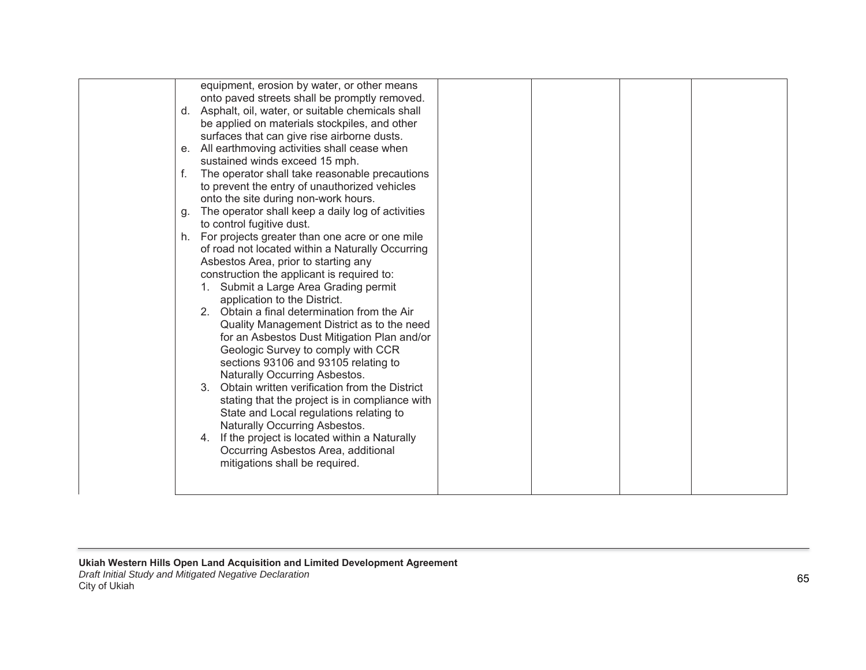| equipment, erosion by water, or other means<br>onto paved streets shall be promptly removed.<br>Asphalt, oil, water, or suitable chemicals shall<br>d.<br>be applied on materials stockpiles, and other<br>surfaces that can give rise airborne dusts.<br>e. All earthmoving activities shall cease when<br>sustained winds exceed 15 mph.<br>f.<br>The operator shall take reasonable precautions<br>to prevent the entry of unauthorized vehicles<br>onto the site during non-work hours.<br>The operator shall keep a daily log of activities<br>g.<br>to control fugitive dust.<br>For projects greater than one acre or one mile<br>h.<br>of road not located within a Naturally Occurring<br>Asbestos Area, prior to starting any<br>construction the applicant is required to:<br>Submit a Large Area Grading permit<br>application to the District.<br>2. Obtain a final determination from the Air<br>Quality Management District as to the need<br>for an Asbestos Dust Mitigation Plan and/or<br>Geologic Survey to comply with CCR<br>sections 93106 and 93105 relating to<br>Naturally Occurring Asbestos.<br>Obtain written verification from the District<br>$3_{-}$<br>stating that the project is in compliance with |
|---------------------------------------------------------------------------------------------------------------------------------------------------------------------------------------------------------------------------------------------------------------------------------------------------------------------------------------------------------------------------------------------------------------------------------------------------------------------------------------------------------------------------------------------------------------------------------------------------------------------------------------------------------------------------------------------------------------------------------------------------------------------------------------------------------------------------------------------------------------------------------------------------------------------------------------------------------------------------------------------------------------------------------------------------------------------------------------------------------------------------------------------------------------------------------------------------------------------------------------|
| State and Local regulations relating to<br>Naturally Occurring Asbestos.<br>If the project is located within a Naturally<br>4.<br>Occurring Asbestos Area, additional<br>mitigations shall be required.                                                                                                                                                                                                                                                                                                                                                                                                                                                                                                                                                                                                                                                                                                                                                                                                                                                                                                                                                                                                                               |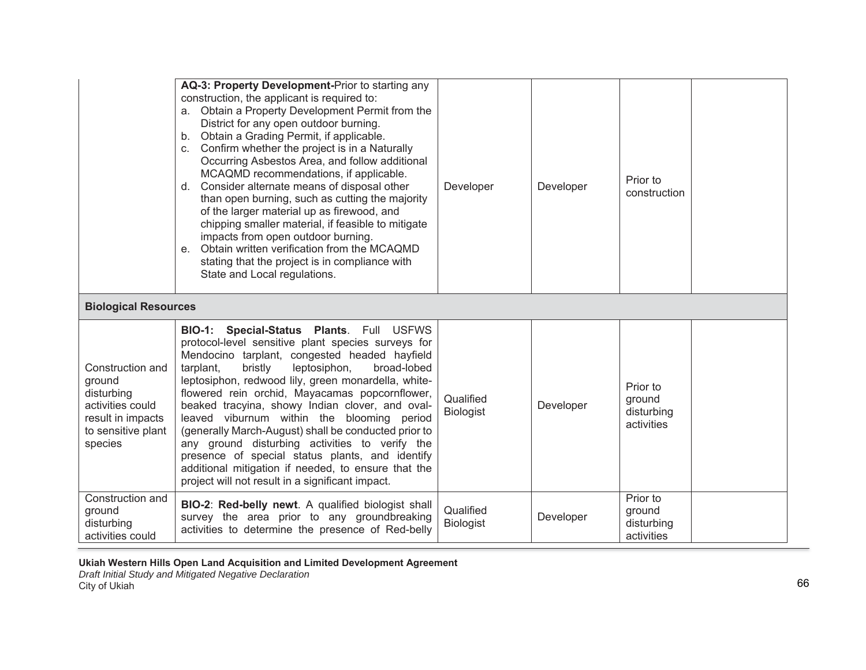|                                                                                                                    | AQ-3: Property Development-Prior to starting any<br>construction, the applicant is required to:<br>a. Obtain a Property Development Permit from the<br>District for any open outdoor burning.<br>Obtain a Grading Permit, if applicable.<br>b <sub>1</sub><br>Confirm whether the project is in a Naturally<br>C <sub>1</sub><br>Occurring Asbestos Area, and follow additional<br>MCAQMD recommendations, if applicable.<br>Consider alternate means of disposal other<br>d.<br>than open burning, such as cutting the majority<br>of the larger material up as firewood, and<br>chipping smaller material, if feasible to mitigate<br>impacts from open outdoor burning.<br>Obtain written verification from the MCAQMD<br>$e_{-}$<br>stating that the project is in compliance with<br>State and Local regulations. | Developer                     | Developer | Prior to<br>construction                       |
|--------------------------------------------------------------------------------------------------------------------|------------------------------------------------------------------------------------------------------------------------------------------------------------------------------------------------------------------------------------------------------------------------------------------------------------------------------------------------------------------------------------------------------------------------------------------------------------------------------------------------------------------------------------------------------------------------------------------------------------------------------------------------------------------------------------------------------------------------------------------------------------------------------------------------------------------------|-------------------------------|-----------|------------------------------------------------|
| <b>Biological Resources</b>                                                                                        |                                                                                                                                                                                                                                                                                                                                                                                                                                                                                                                                                                                                                                                                                                                                                                                                                        |                               |           |                                                |
| Construction and<br>ground<br>disturbing<br>activities could<br>result in impacts<br>to sensitive plant<br>species | BIO-1: Special-Status Plants. Full USFWS<br>protocol-level sensitive plant species surveys for<br>Mendocino tarplant, congested headed hayfield<br>tarplant,<br>bristly<br>leptosiphon,<br>broad-lobed<br>leptosiphon, redwood lily, green monardella, white-<br>flowered rein orchid, Mayacamas popcornflower,<br>beaked tracyina, showy Indian clover, and oval-<br>leaved viburnum within the blooming period<br>(generally March-August) shall be conducted prior to<br>any ground disturbing activities to verify the<br>presence of special status plants, and identify<br>additional mitigation if needed, to ensure that the<br>project will not result in a significant impact.                                                                                                                               | Qualified<br><b>Biologist</b> | Developer | Prior to<br>ground<br>disturbing<br>activities |
| Construction and<br>ground<br>disturbing<br>activities could                                                       | <b>BIO-2: Red-belly newt.</b> A qualified biologist shall<br>survey the area prior to any groundbreaking<br>activities to determine the presence of Red-belly                                                                                                                                                                                                                                                                                                                                                                                                                                                                                                                                                                                                                                                          | Qualified<br><b>Biologist</b> | Developer | Prior to<br>ground<br>disturbing<br>activities |

Ukiah Western Hills Open Land Acquisition and Limited Development Agreement

*Draft Initial Study and Mitigated Negative Declaration*

City of Ukiah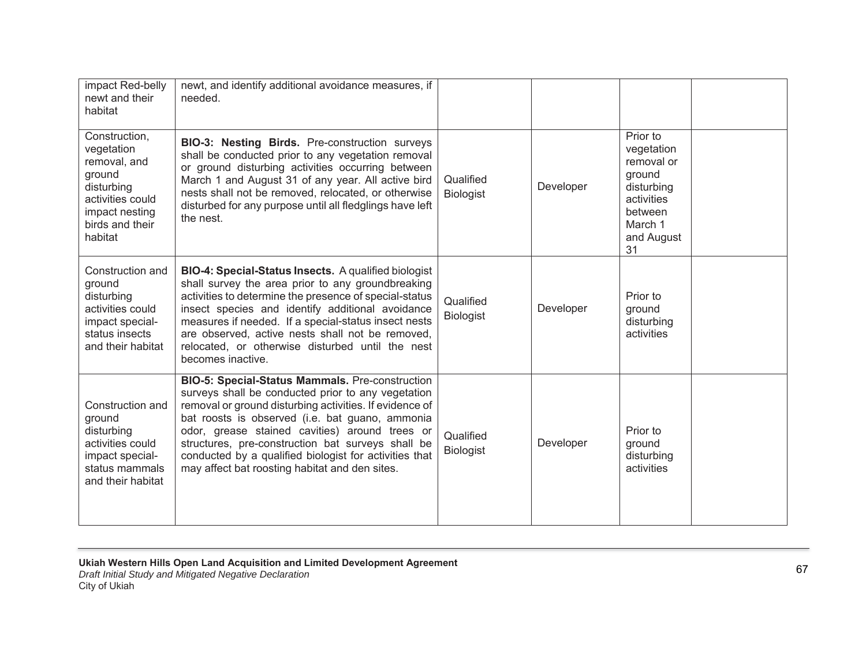| impact Red-belly<br>newt and their<br>habitat                                                                                           | newt, and identify additional avoidance measures, if<br>needed.                                                                                                                                                                                                                                                                                                                                                                        |                               |           |                                                                                                                      |
|-----------------------------------------------------------------------------------------------------------------------------------------|----------------------------------------------------------------------------------------------------------------------------------------------------------------------------------------------------------------------------------------------------------------------------------------------------------------------------------------------------------------------------------------------------------------------------------------|-------------------------------|-----------|----------------------------------------------------------------------------------------------------------------------|
| Construction,<br>vegetation<br>removal, and<br>ground<br>disturbing<br>activities could<br>impact nesting<br>birds and their<br>habitat | <b>BIO-3: Nesting Birds.</b> Pre-construction surveys<br>shall be conducted prior to any vegetation removal<br>or ground disturbing activities occurring between<br>March 1 and August 31 of any year. All active bird<br>nests shall not be removed, relocated, or otherwise<br>disturbed for any purpose until all fledglings have left<br>the nest.                                                                                 | Qualified<br><b>Biologist</b> | Developer | Prior to<br>vegetation<br>removal or<br>ground<br>disturbing<br>activities<br>between<br>March 1<br>and August<br>31 |
| Construction and<br>ground<br>disturbing<br>activities could<br>impact special-<br>status insects<br>and their habitat                  | BIO-4: Special-Status Insects. A qualified biologist<br>shall survey the area prior to any groundbreaking<br>activities to determine the presence of special-status<br>insect species and identify additional avoidance<br>measures if needed. If a special-status insect nests<br>are observed, active nests shall not be removed,<br>relocated, or otherwise disturbed until the nest<br>becomes inactive.                           | Qualified<br><b>Biologist</b> | Developer | Prior to<br>ground<br>disturbing<br>activities                                                                       |
| Construction and<br>ground<br>disturbing<br>activities could<br>impact special-<br>status mammals<br>and their habitat                  | BIO-5: Special-Status Mammals. Pre-construction<br>surveys shall be conducted prior to any vegetation<br>removal or ground disturbing activities. If evidence of<br>bat roosts is observed (i.e. bat guano, ammonia<br>odor, grease stained cavities) around trees or<br>structures, pre-construction bat surveys shall be<br>conducted by a qualified biologist for activities that<br>may affect bat roosting habitat and den sites. | Qualified<br><b>Biologist</b> | Developer | Prior to<br>ground<br>disturbing<br>activities                                                                       |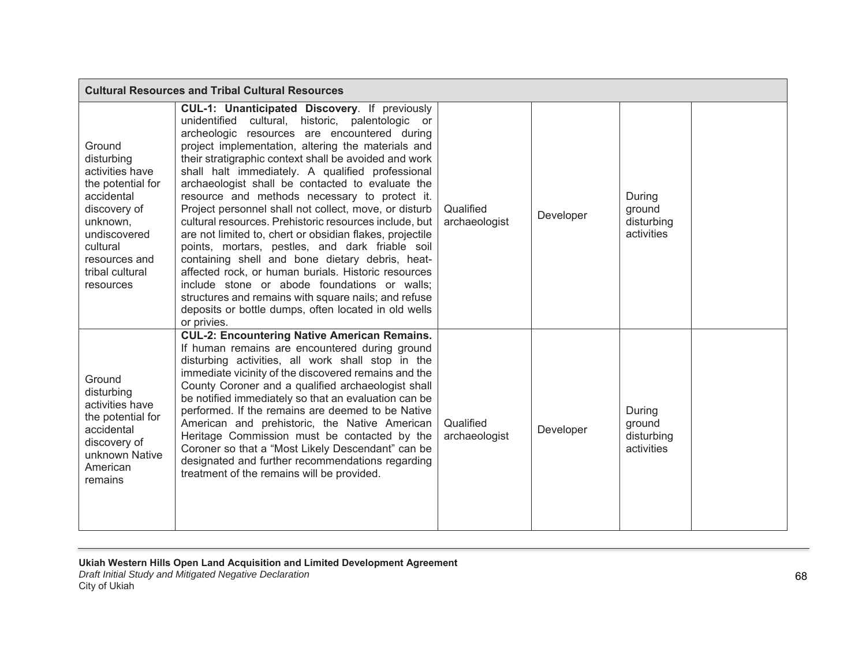| <b>Cultural Resources and Tribal Cultural Resources</b>                                                                                                                             |                                                                                                                                                                                                                                                                                                                                                                                                                                                                                                                                                                                                                                                                                                                                                                                                                                                                                                                                                             |                            |           |                                              |  |
|-------------------------------------------------------------------------------------------------------------------------------------------------------------------------------------|-------------------------------------------------------------------------------------------------------------------------------------------------------------------------------------------------------------------------------------------------------------------------------------------------------------------------------------------------------------------------------------------------------------------------------------------------------------------------------------------------------------------------------------------------------------------------------------------------------------------------------------------------------------------------------------------------------------------------------------------------------------------------------------------------------------------------------------------------------------------------------------------------------------------------------------------------------------|----------------------------|-----------|----------------------------------------------|--|
| Ground<br>disturbing<br>activities have<br>the potential for<br>accidental<br>discovery of<br>unknown,<br>undiscovered<br>cultural<br>resources and<br>tribal cultural<br>resources | <b>CUL-1: Unanticipated Discovery.</b> If previously<br>unidentified cultural, historic, palentologic or<br>archeologic resources are encountered during<br>project implementation, altering the materials and<br>their stratigraphic context shall be avoided and work<br>shall halt immediately. A qualified professional<br>archaeologist shall be contacted to evaluate the<br>resource and methods necessary to protect it.<br>Project personnel shall not collect, move, or disturb<br>cultural resources. Prehistoric resources include, but<br>are not limited to, chert or obsidian flakes, projectile<br>points, mortars, pestles, and dark friable soil<br>containing shell and bone dietary debris, heat-<br>affected rock, or human burials. Historic resources<br>include stone or abode foundations or walls;<br>structures and remains with square nails; and refuse<br>deposits or bottle dumps, often located in old wells<br>or privies. | Qualified<br>archaeologist | Developer | During<br>ground<br>disturbing<br>activities |  |
| Ground<br>disturbing<br>activities have<br>the potential for<br>accidental<br>discovery of<br>unknown Native<br>American<br>remains                                                 | <b>CUL-2: Encountering Native American Remains.</b><br>If human remains are encountered during ground<br>disturbing activities, all work shall stop in the<br>immediate vicinity of the discovered remains and the<br>County Coroner and a qualified archaeologist shall<br>be notified immediately so that an evaluation can be<br>performed. If the remains are deemed to be Native<br>American and prehistoric, the Native American<br>Heritage Commission must be contacted by the<br>Coroner so that a "Most Likely Descendant" can be<br>designated and further recommendations regarding<br>treatment of the remains will be provided.                                                                                                                                                                                                                                                                                                               | Qualified<br>archaeologist | Developer | During<br>ground<br>disturbing<br>activities |  |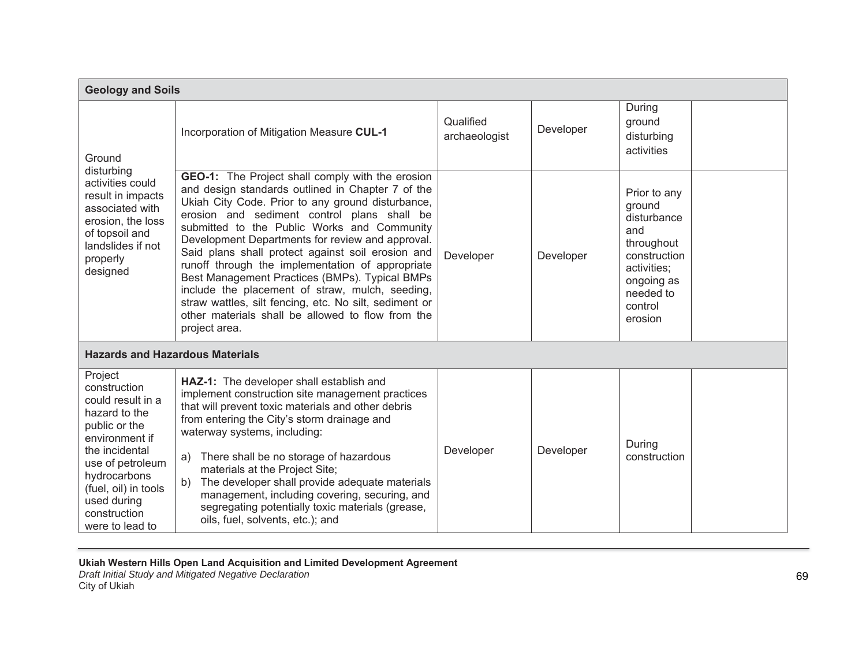|                                                                                                                                                                                                                                  | <b>Geology and Soils</b>                                                                                                                                                                                                                                                                                                                                                                                                                                                                                                                                                                                                                                          |                            |           |                                                                                                                                            |  |  |
|----------------------------------------------------------------------------------------------------------------------------------------------------------------------------------------------------------------------------------|-------------------------------------------------------------------------------------------------------------------------------------------------------------------------------------------------------------------------------------------------------------------------------------------------------------------------------------------------------------------------------------------------------------------------------------------------------------------------------------------------------------------------------------------------------------------------------------------------------------------------------------------------------------------|----------------------------|-----------|--------------------------------------------------------------------------------------------------------------------------------------------|--|--|
| Ground<br>disturbing<br>activities could<br>result in impacts<br>associated with<br>erosion, the loss<br>of topsoil and<br>landslides if not<br>properly<br>designed                                                             | Incorporation of Mitigation Measure CUL-1                                                                                                                                                                                                                                                                                                                                                                                                                                                                                                                                                                                                                         | Qualified<br>archaeologist | Developer | During<br>ground<br>disturbing<br>activities                                                                                               |  |  |
|                                                                                                                                                                                                                                  | <b>GEO-1:</b> The Project shall comply with the erosion<br>and design standards outlined in Chapter 7 of the<br>Ukiah City Code. Prior to any ground disturbance,<br>erosion and sediment control plans shall be<br>submitted to the Public Works and Community<br>Development Departments for review and approval.<br>Said plans shall protect against soil erosion and<br>runoff through the implementation of appropriate<br>Best Management Practices (BMPs). Typical BMPs<br>include the placement of straw, mulch, seeding,<br>straw wattles, silt fencing, etc. No silt, sediment or<br>other materials shall be allowed to flow from the<br>project area. | Developer                  | Developer | Prior to any<br>ground<br>disturbance<br>and<br>throughout<br>construction<br>activities;<br>ongoing as<br>needed to<br>control<br>erosion |  |  |
| <b>Hazards and Hazardous Materials</b>                                                                                                                                                                                           |                                                                                                                                                                                                                                                                                                                                                                                                                                                                                                                                                                                                                                                                   |                            |           |                                                                                                                                            |  |  |
| Project<br>construction<br>could result in a<br>hazard to the<br>public or the<br>environment if<br>the incidental<br>use of petroleum<br>hydrocarbons<br>(fuel, oil) in tools<br>used during<br>construction<br>were to lead to | HAZ-1: The developer shall establish and<br>implement construction site management practices<br>that will prevent toxic materials and other debris<br>from entering the City's storm drainage and<br>waterway systems, including:<br>There shall be no storage of hazardous<br>a)<br>materials at the Project Site;<br>The developer shall provide adequate materials<br>b)<br>management, including covering, securing, and<br>segregating potentially toxic materials (grease,<br>oils, fuel, solvents, etc.); and                                                                                                                                              | Developer                  | Developer | During<br>construction                                                                                                                     |  |  |

Ukiah Western Hills Open Land Acquisition and Limited Development Agreement

*Draft Initial Study and Mitigated Negative Declaration* City of Ukiah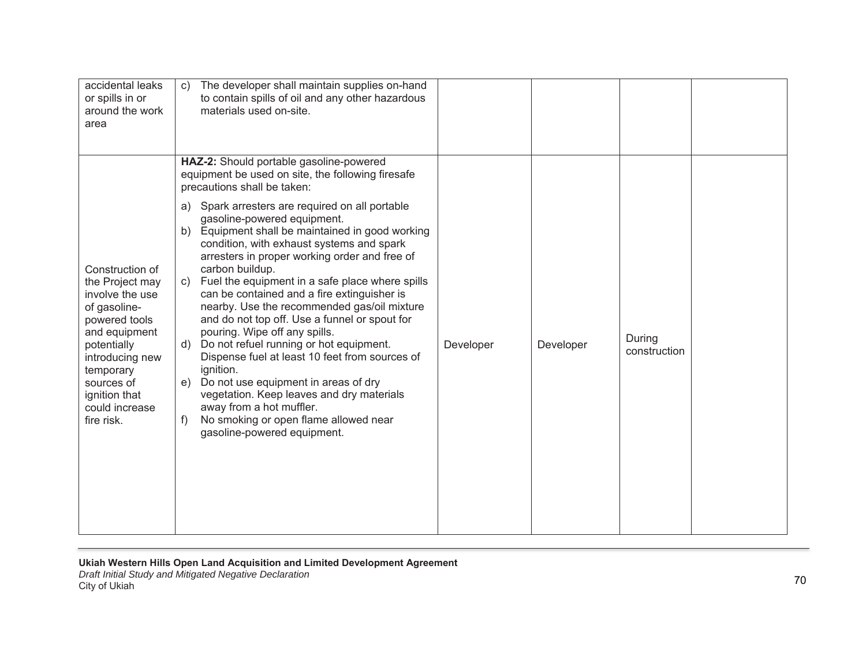| accidental leaks<br>or spills in or<br>around the work<br>area                                                                                                                                                        | The developer shall maintain supplies on-hand<br>$\mathbf{C}$<br>to contain spills of oil and any other hazardous<br>materials used on-site.                                                                                                                                                                                                                                                                                                                                                                                                                                                                                                                                                                                                                                                                                                                                                                                                        |           |           |                        |  |
|-----------------------------------------------------------------------------------------------------------------------------------------------------------------------------------------------------------------------|-----------------------------------------------------------------------------------------------------------------------------------------------------------------------------------------------------------------------------------------------------------------------------------------------------------------------------------------------------------------------------------------------------------------------------------------------------------------------------------------------------------------------------------------------------------------------------------------------------------------------------------------------------------------------------------------------------------------------------------------------------------------------------------------------------------------------------------------------------------------------------------------------------------------------------------------------------|-----------|-----------|------------------------|--|
| Construction of<br>the Project may<br>involve the use<br>of gasoline-<br>powered tools<br>and equipment<br>potentially<br>introducing new<br>temporary<br>sources of<br>ignition that<br>could increase<br>fire risk. | HAZ-2: Should portable gasoline-powered<br>equipment be used on site, the following firesafe<br>precautions shall be taken:<br>Spark arresters are required on all portable<br>a)<br>gasoline-powered equipment.<br>Equipment shall be maintained in good working<br>b)<br>condition, with exhaust systems and spark<br>arresters in proper working order and free of<br>carbon buildup.<br>Fuel the equipment in a safe place where spills<br>C)<br>can be contained and a fire extinguisher is<br>nearby. Use the recommended gas/oil mixture<br>and do not top off. Use a funnel or spout for<br>pouring. Wipe off any spills.<br>Do not refuel running or hot equipment.<br>d)<br>Dispense fuel at least 10 feet from sources of<br>ignition.<br>e) Do not use equipment in areas of dry<br>vegetation. Keep leaves and dry materials<br>away from a hot muffler.<br>No smoking or open flame allowed near<br>f)<br>gasoline-powered equipment. | Developer | Developer | During<br>construction |  |

*Draft Initial Study and Mitigated Negative Declaration* City of Ukiah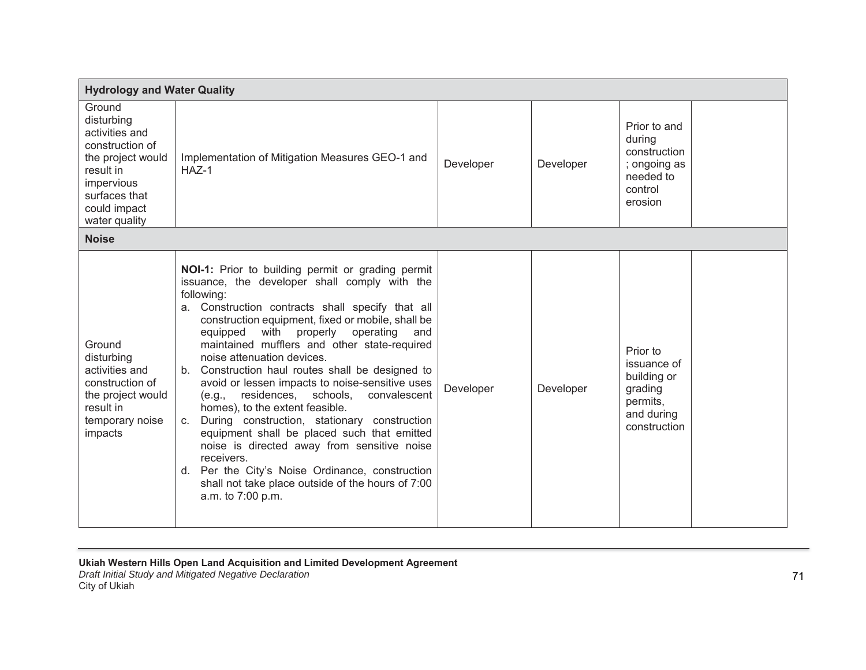| <b>Hydrology and Water Quality</b>                                                                                                                          |                                                                                                                                                                                                                                                                                                                                                                                                                                                                                                                                                                                                                                                                                                                                                                                                                                                  |           |           |                                                                                             |  |  |  |
|-------------------------------------------------------------------------------------------------------------------------------------------------------------|--------------------------------------------------------------------------------------------------------------------------------------------------------------------------------------------------------------------------------------------------------------------------------------------------------------------------------------------------------------------------------------------------------------------------------------------------------------------------------------------------------------------------------------------------------------------------------------------------------------------------------------------------------------------------------------------------------------------------------------------------------------------------------------------------------------------------------------------------|-----------|-----------|---------------------------------------------------------------------------------------------|--|--|--|
| Ground<br>disturbing<br>activities and<br>construction of<br>the project would<br>result in<br>impervious<br>surfaces that<br>could impact<br>water quality | Implementation of Mitigation Measures GEO-1 and<br>$HAZ-1$                                                                                                                                                                                                                                                                                                                                                                                                                                                                                                                                                                                                                                                                                                                                                                                       | Developer | Developer | Prior to and<br>during<br>construction<br>; ongoing as<br>needed to<br>control<br>erosion   |  |  |  |
| <b>Noise</b>                                                                                                                                                |                                                                                                                                                                                                                                                                                                                                                                                                                                                                                                                                                                                                                                                                                                                                                                                                                                                  |           |           |                                                                                             |  |  |  |
| Ground<br>disturbing<br>activities and<br>construction of<br>the project would<br>result in<br>temporary noise<br>impacts                                   | NOI-1: Prior to building permit or grading permit<br>issuance, the developer shall comply with the<br>following:<br>a. Construction contracts shall specify that all<br>construction equipment, fixed or mobile, shall be<br>equipped with properly<br>operating<br>and<br>maintained mufflers and other state-required<br>noise attenuation devices.<br>b. Construction haul routes shall be designed to<br>avoid or lessen impacts to noise-sensitive uses<br>residences, schools,<br>convalescent<br>(e.g.,<br>homes), to the extent feasible.<br>During construction, stationary construction<br>C.<br>equipment shall be placed such that emitted<br>noise is directed away from sensitive noise<br>receivers.<br>d. Per the City's Noise Ordinance, construction<br>shall not take place outside of the hours of 7:00<br>a.m. to 7:00 p.m. | Developer | Developer | Prior to<br>issuance of<br>building or<br>grading<br>permits,<br>and during<br>construction |  |  |  |